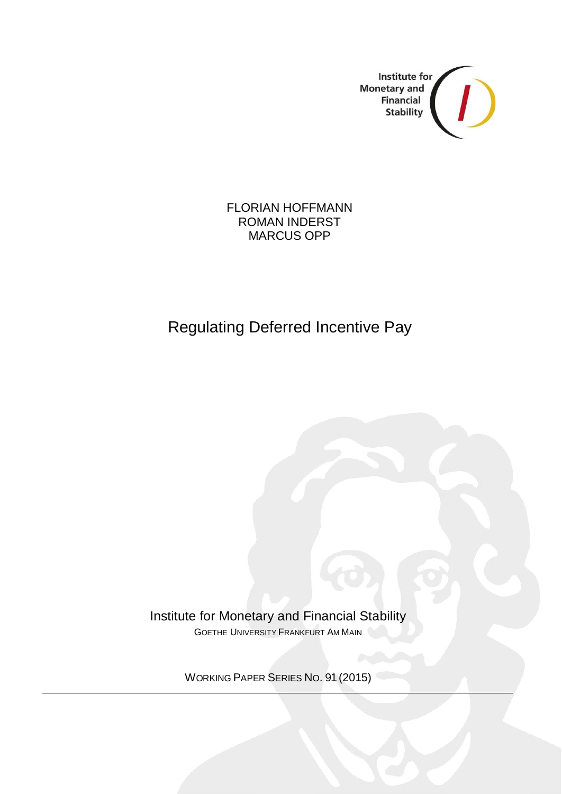

### FLORIAN HOFFMANN ROMAN INDERST MARCUS OPP

# Regulating Deferred Incentive Pay

Institute for Monetary and Financial Stability GOETHE UNIVERSITY FRANKFURT AM MAIN

WORKING PAPER SERIES NO. 91 (2015)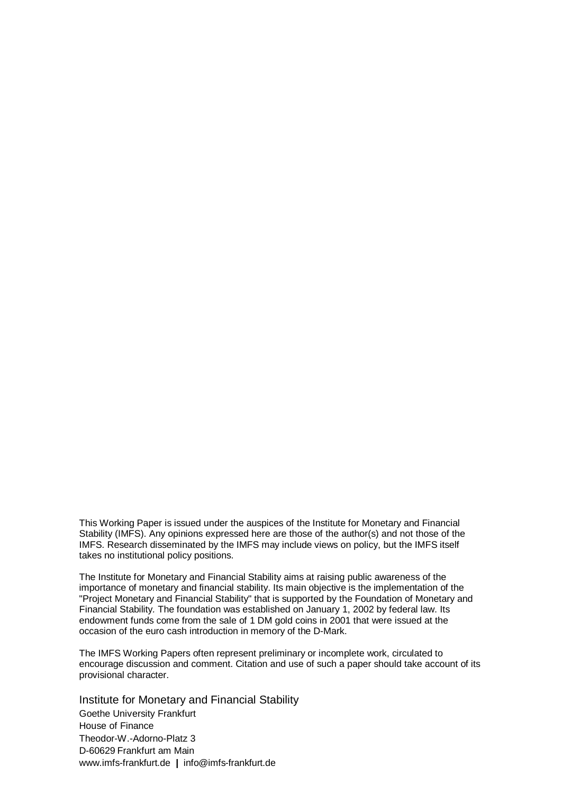This Working Paper is issued under the auspices of the Institute for Monetary and Financial Stability (IMFS). Any opinions expressed here are those of the author(s) and not those of the IMFS. Research disseminated by the IMFS may include views on policy, but the IMFS itself takes no institutional policy positions.

The Institute for Monetary and Financial Stability aims at raising public awareness of the importance of monetary and financial stability. Its main objective is the implementation of the "Project Monetary and Financial Stability" that is supported by the Foundation of Monetary and Financial Stability*.* The foundation was established on January 1, 2002 by federal law. Its endowment funds come from the sale of 1 DM gold coins in 2001 that were issued at the occasion of the euro cash introduction in memory of the D-Mark.

The IMFS Working Papers often represent preliminary or incomplete work, circulated to encourage discussion and comment. Citation and use of such a paper should take account of its provisional character.

Institute for Monetary and Financial Stability Goethe University Frankfurt House of Finance Theodor-W.-Adorno-Platz 3 D-60629 Frankfurt am Main www.imfs-frankfurt.de **|** info@imfs-frankfurt.de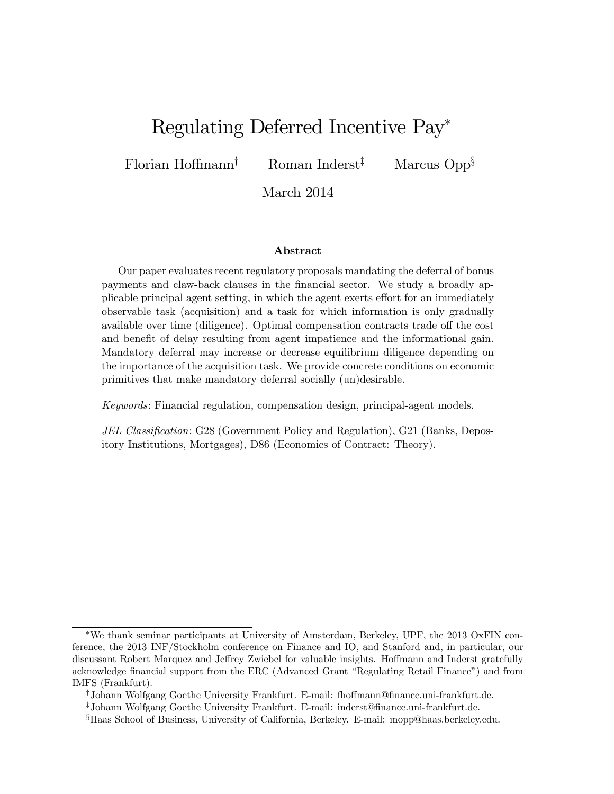# Regulating Deferred Incentive Pay

Florian Hoffmann<sup>†</sup> Roman Inderst<sup>‡</sup> Marcus Opp<sup>§</sup>

March 2014

#### Abstract

Our paper evaluates recent regulatory proposals mandating the deferral of bonus payments and claw-back clauses in the Önancial sector. We study a broadly applicable principal agent setting, in which the agent exerts effort for an immediately observable task (acquisition) and a task for which information is only gradually available over time (diligence). Optimal compensation contracts trade off the cost and benefit of delay resulting from agent impatience and the informational gain. Mandatory deferral may increase or decrease equilibrium diligence depending on the importance of the acquisition task. We provide concrete conditions on economic primitives that make mandatory deferral socially (un)desirable.

Keywords: Financial regulation, compensation design, principal-agent models.

JEL Classification: G28 (Government Policy and Regulation), G21 (Banks, Depository Institutions, Mortgages), D86 (Economics of Contract: Theory).

We thank seminar participants at University of Amsterdam, Berkeley, UPF, the 2013 OxFIN conference, the 2013 INF/Stockholm conference on Finance and IO, and Stanford and, in particular, our discussant Robert Marquez and Jeffrey Zwiebel for valuable insights. Hoffmann and Inderst gratefully acknowledge financial support from the ERC (Advanced Grant "Regulating Retail Finance") and from IMFS (Frankfurt).

<sup>&</sup>lt;sup>†</sup>Johann Wolfgang Goethe University Frankfurt. E-mail: fhoffmann@finance.uni-frankfurt.de.

<sup>z</sup>Johann Wolfgang Goethe University Frankfurt. E-mail: inderst@Önance.uni-frankfurt.de.

<sup>&</sup>lt;sup>§</sup>Haas School of Business, University of California, Berkeley. E-mail: mopp@haas.berkeley.edu.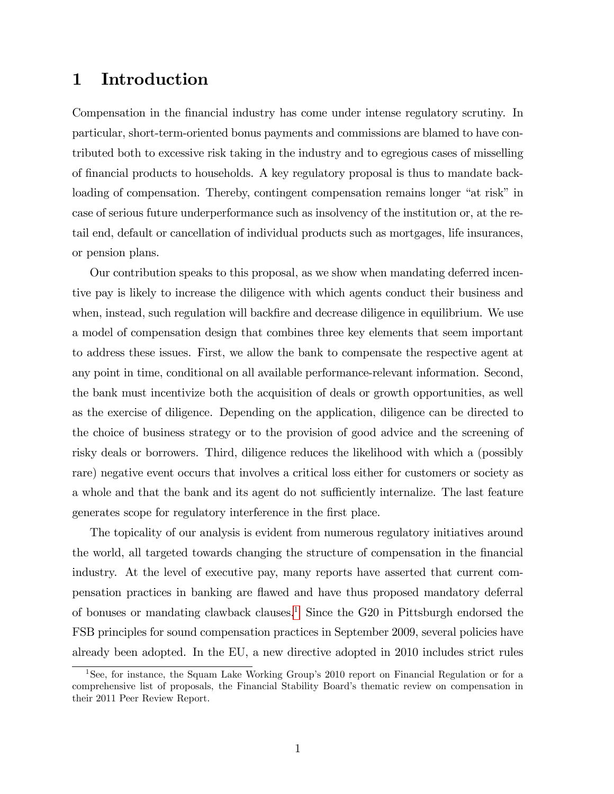# 1 Introduction

Compensation in the financial industry has come under intense regulatory scrutiny. In particular, short-term-oriented bonus payments and commissions are blamed to have contributed both to excessive risk taking in the industry and to egregious cases of misselling of Önancial products to households. A key regulatory proposal is thus to mandate backloading of compensation. Thereby, contingent compensation remains longer "at risk" in case of serious future underperformance such as insolvency of the institution or, at the retail end, default or cancellation of individual products such as mortgages, life insurances, or pension plans.

Our contribution speaks to this proposal, as we show when mandating deferred incentive pay is likely to increase the diligence with which agents conduct their business and when, instead, such regulation will backfire and decrease diligence in equilibrium. We use a model of compensation design that combines three key elements that seem important to address these issues. First, we allow the bank to compensate the respective agent at any point in time, conditional on all available performance-relevant information. Second, the bank must incentivize both the acquisition of deals or growth opportunities, as well as the exercise of diligence. Depending on the application, diligence can be directed to the choice of business strategy or to the provision of good advice and the screening of risky deals or borrowers. Third, diligence reduces the likelihood with which a (possibly rare) negative event occurs that involves a critical loss either for customers or society as a whole and that the bank and its agent do not sufficiently internalize. The last feature generates scope for regulatory interference in the first place.

The topicality of our analysis is evident from numerous regulatory initiatives around the world, all targeted towards changing the structure of compensation in the financial industry. At the level of executive pay, many reports have asserted that current compensation practices in banking are áawed and have thus proposed mandatory deferral of bonuses or mandating clawback clauses.<sup>[1](#page-3-0)</sup> Since the G20 in Pittsburgh endorsed the FSB principles for sound compensation practices in September 2009, several policies have already been adopted. In the EU, a new directive adopted in 2010 includes strict rules

<span id="page-3-0"></span><sup>&</sup>lt;sup>1</sup>See, for instance, the Squam Lake Working Group's 2010 report on Financial Regulation or for a comprehensive list of proposals, the Financial Stability Boardís thematic review on compensation in their 2011 Peer Review Report.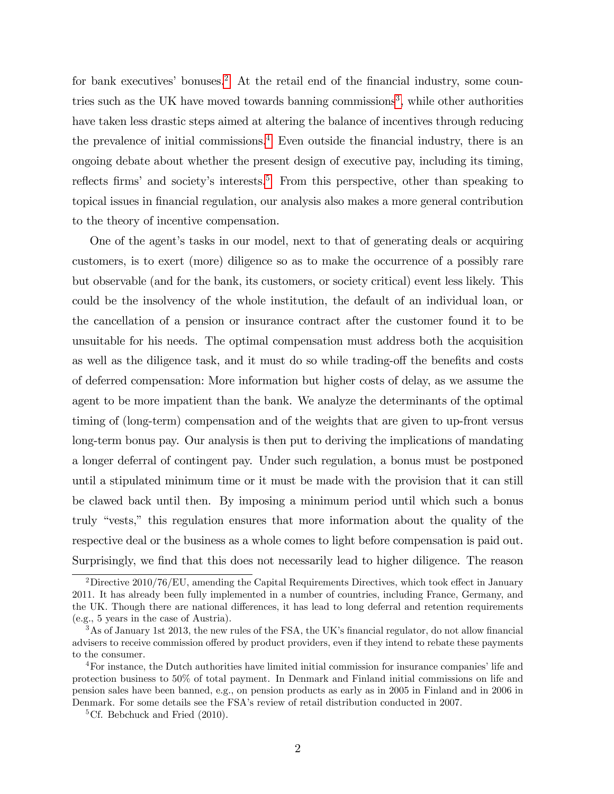for bank executives' bonuses.<sup>[2](#page-4-0)</sup> At the retail end of the financial industry, some coun-tries such as the UK have moved towards banning commissions<sup>[3](#page-4-1)</sup>, while other authorities have taken less drastic steps aimed at altering the balance of incentives through reducing the prevalence of initial commissions.<sup>[4](#page-4-2)</sup> Even outside the financial industry, there is an ongoing debate about whether the present design of executive pay, including its timing, reflects firms' and society's interests.<sup>[5](#page-4-3)</sup> From this perspective, other than speaking to topical issues in financial regulation, our analysis also makes a more general contribution to the theory of incentive compensation.

One of the agent's tasks in our model, next to that of generating deals or acquiring customers, is to exert (more) diligence so as to make the occurrence of a possibly rare but observable (and for the bank, its customers, or society critical) event less likely. This could be the insolvency of the whole institution, the default of an individual loan, or the cancellation of a pension or insurance contract after the customer found it to be unsuitable for his needs. The optimal compensation must address both the acquisition as well as the diligence task, and it must do so while trading-off the benefits and costs of deferred compensation: More information but higher costs of delay, as we assume the agent to be more impatient than the bank. We analyze the determinants of the optimal timing of (long-term) compensation and of the weights that are given to up-front versus long-term bonus pay. Our analysis is then put to deriving the implications of mandating a longer deferral of contingent pay. Under such regulation, a bonus must be postponed until a stipulated minimum time or it must be made with the provision that it can still be clawed back until then. By imposing a minimum period until which such a bonus truly "vests," this regulation ensures that more information about the quality of the respective deal or the business as a whole comes to light before compensation is paid out. Surprisingly, we find that this does not necessarily lead to higher diligence. The reason

<span id="page-4-0"></span> $^{2}$ Directive 2010/76/EU, amending the Capital Requirements Directives, which took effect in January 2011. It has already been fully implemented in a number of countries, including France, Germany, and the UK. Though there are national differences, it has lead to long deferral and retention requirements (e.g., 5 years in the case of Austria).

<span id="page-4-1"></span> $3\,\text{As}$  of January 1st 2013, the new rules of the FSA, the UK's financial regulator, do not allow financial advisers to receive commission offered by product providers, even if they intend to rebate these payments to the consumer.

<span id="page-4-2"></span><sup>&</sup>lt;sup>4</sup>For instance, the Dutch authorities have limited initial commission for insurance companies' life and protection business to 50% of total payment. In Denmark and Finland initial commissions on life and pension sales have been banned, e.g., on pension products as early as in 2005 in Finland and in 2006 in Denmark. For some details see the FSAís review of retail distribution conducted in 2007.

<span id="page-4-3"></span><sup>&</sup>lt;sup>5</sup>Cf. Bebchuck and Fried  $(2010)$ .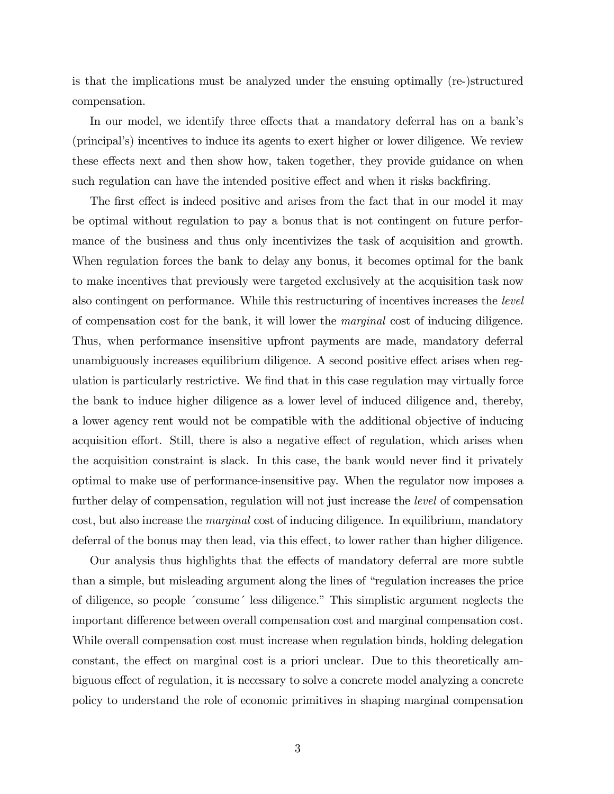is that the implications must be analyzed under the ensuing optimally (re-)structured compensation.

In our model, we identify three effects that a mandatory deferral has on a bank's (principalís) incentives to induce its agents to exert higher or lower diligence. We review these effects next and then show how, taken together, they provide guidance on when such regulation can have the intended positive effect and when it risks backfiring.

The first effect is indeed positive and arises from the fact that in our model it may be optimal without regulation to pay a bonus that is not contingent on future performance of the business and thus only incentivizes the task of acquisition and growth. When regulation forces the bank to delay any bonus, it becomes optimal for the bank to make incentives that previously were targeted exclusively at the acquisition task now also contingent on performance. While this restructuring of incentives increases the level of compensation cost for the bank, it will lower the marginal cost of inducing diligence. Thus, when performance insensitive upfront payments are made, mandatory deferral unambiguously increases equilibrium diligence. A second positive effect arises when regulation is particularly restrictive. We find that in this case regulation may virtually force the bank to induce higher diligence as a lower level of induced diligence and, thereby, a lower agency rent would not be compatible with the additional objective of inducing acquisition effort. Still, there is also a negative effect of regulation, which arises when the acquisition constraint is slack. In this case, the bank would never find it privately optimal to make use of performance-insensitive pay. When the regulator now imposes a further delay of compensation, regulation will not just increase the *level* of compensation cost, but also increase the marginal cost of inducing diligence. In equilibrium, mandatory deferral of the bonus may then lead, via this effect, to lower rather than higher diligence.

Our analysis thus highlights that the effects of mandatory deferral are more subtle than a simple, but misleading argument along the lines of "regulation increases the price" of diligence, so people 'consume' less diligence." This simplistic argument neglects the important difference between overall compensation cost and marginal compensation cost. While overall compensation cost must increase when regulation binds, holding delegation constant, the effect on marginal cost is a priori unclear. Due to this theoretically ambiguous effect of regulation, it is necessary to solve a concrete model analyzing a concrete policy to understand the role of economic primitives in shaping marginal compensation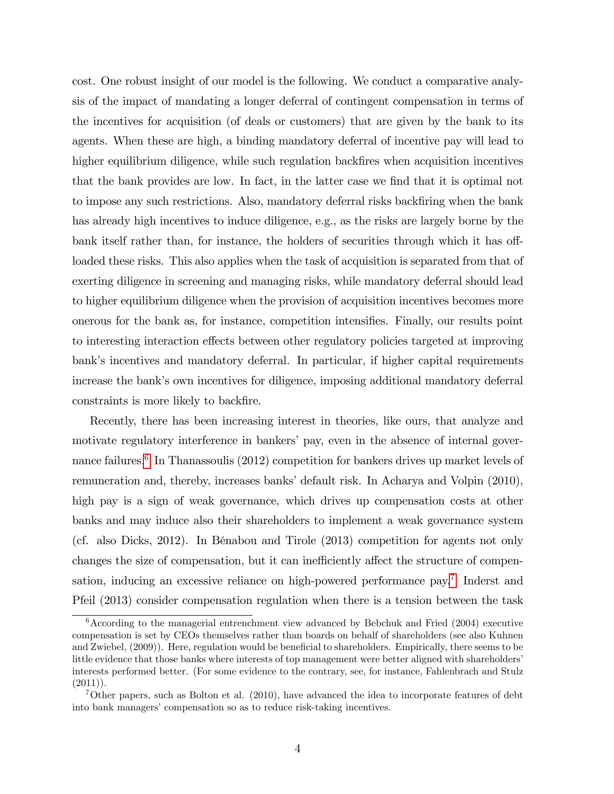cost. One robust insight of our model is the following. We conduct a comparative analysis of the impact of mandating a longer deferral of contingent compensation in terms of the incentives for acquisition (of deals or customers) that are given by the bank to its agents. When these are high, a binding mandatory deferral of incentive pay will lead to higher equilibrium diligence, while such regulation backfires when acquisition incentives that the bank provides are low. In fact, in the latter case we find that it is optimal not to impose any such restrictions. Also, mandatory deferral risks backfiring when the bank has already high incentives to induce diligence, e.g., as the risks are largely borne by the bank itself rather than, for instance, the holders of securities through which it has offloaded these risks. This also applies when the task of acquisition is separated from that of exerting diligence in screening and managing risks, while mandatory deferral should lead to higher equilibrium diligence when the provision of acquisition incentives becomes more onerous for the bank as, for instance, competition intensifies. Finally, our results point to interesting interaction effects between other regulatory policies targeted at improving bank's incentives and mandatory deferral. In particular, if higher capital requirements increase the bank's own incentives for diligence, imposing additional mandatory deferral constraints is more likely to backfire.

Recently, there has been increasing interest in theories, like ours, that analyze and motivate regulatory interference in bankers' pay, even in the absence of internal gover-nance failures.<sup>[6](#page-6-0)</sup> In Thanassoulis (2012) competition for bankers drives up market levels of remuneration and, thereby, increases banks' default risk. In Acharya and Volpin (2010), high pay is a sign of weak governance, which drives up compensation costs at other banks and may induce also their shareholders to implement a weak governance system (cf. also Dicks, 2012). In BÈnabou and Tirole (2013) competition for agents not only changes the size of compensation, but it can inefficiently affect the structure of compen-sation, inducing an excessive reliance on high-powered performance pay.<sup>[7](#page-6-1)</sup> Inderst and Pfeil (2013) consider compensation regulation when there is a tension between the task

<span id="page-6-0"></span> $6$ According to the managerial entrenchment view advanced by Bebchuk and Fried  $(2004)$  executive compensation is set by CEOs themselves rather than boards on behalf of shareholders (see also Kuhnen and Zwiebel, (2009)). Here, regulation would be beneficial to shareholders. Empirically, there seems to be little evidence that those banks where interests of top management were better aligned with shareholders' interests performed better. (For some evidence to the contrary, see, for instance, Fahlenbrach and Stulz  $(2011)$ .

<span id="page-6-1"></span><sup>7</sup>Other papers, such as Bolton et al. (2010), have advanced the idea to incorporate features of debt into bank managers' compensation so as to reduce risk-taking incentives.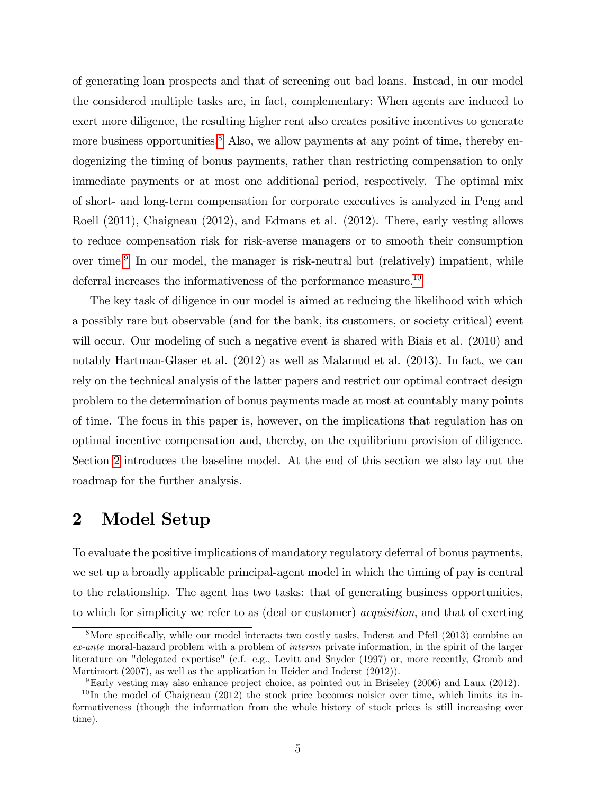of generating loan prospects and that of screening out bad loans. Instead, in our model the considered multiple tasks are, in fact, complementary: When agents are induced to exert more diligence, the resulting higher rent also creates positive incentives to generate more business opportunities.<sup>[8](#page-7-0)</sup> Also, we allow payments at any point of time, thereby endogenizing the timing of bonus payments, rather than restricting compensation to only immediate payments or at most one additional period, respectively. The optimal mix of short- and long-term compensation for corporate executives is analyzed in Peng and Roell (2011), Chaigneau (2012), and Edmans et al. (2012). There, early vesting allows to reduce compensation risk for risk-averse managers or to smooth their consumption over time.<sup>[9](#page-7-1)</sup> In our model, the manager is risk-neutral but (relatively) impatient, while deferral increases the informativeness of the performance measure.<sup>[10](#page-7-2)</sup>

The key task of diligence in our model is aimed at reducing the likelihood with which a possibly rare but observable (and for the bank, its customers, or society critical) event will occur. Our modeling of such a negative event is shared with Biais et al.  $(2010)$  and notably Hartman-Glaser et al. (2012) as well as Malamud et al. (2013). In fact, we can rely on the technical analysis of the latter papers and restrict our optimal contract design problem to the determination of bonus payments made at most at countably many points of time. The focus in this paper is, however, on the implications that regulation has on optimal incentive compensation and, thereby, on the equilibrium provision of diligence. Section [2](#page-7-3) introduces the baseline model. At the end of this section we also lay out the roadmap for the further analysis.

## <span id="page-7-3"></span>2 Model Setup

To evaluate the positive implications of mandatory regulatory deferral of bonus payments, we set up a broadly applicable principal-agent model in which the timing of pay is central to the relationship. The agent has two tasks: that of generating business opportunities, to which for simplicity we refer to as (deal or customer) acquisition, and that of exerting

<span id="page-7-0"></span> $8$ More specifically, while our model interacts two costly tasks, Inderst and Pfeil (2013) combine an ex-ante moral-hazard problem with a problem of interim private information, in the spirit of the larger literature on "delegated expertise" (c.f. e.g., Levitt and Snyder (1997) or, more recently, Gromb and Martimort (2007), as well as the application in Heider and Inderst (2012)).

<span id="page-7-2"></span><span id="page-7-1"></span><sup>9</sup>Early vesting may also enhance project choice, as pointed out in Briseley (2006) and Laux (2012).

 $10$ In the model of Chaigneau (2012) the stock price becomes noisier over time, which limits its informativeness (though the information from the whole history of stock prices is still increasing over time).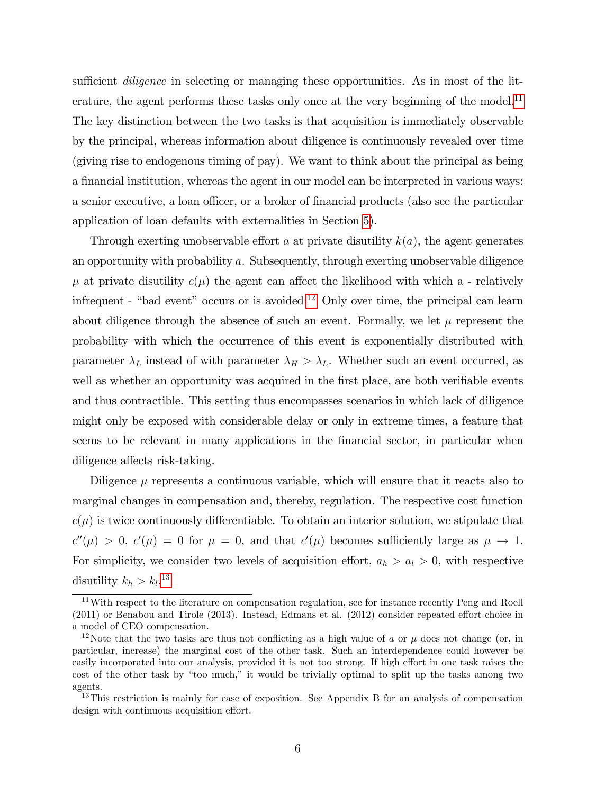sufficient *diligence* in selecting or managing these opportunities. As in most of the lit-erature, the agent performs these tasks only once at the very beginning of the model.<sup>[11](#page-8-0)</sup> The key distinction between the two tasks is that acquisition is immediately observable by the principal, whereas information about diligence is continuously revealed over time (giving rise to endogenous timing of pay). We want to think about the principal as being a financial institution, whereas the agent in our model can be interpreted in various ways: a senior executive, a loan officer, or a broker of financial products (also see the particular application of loan defaults with externalities in Section [5\)](#page-25-0).

Through exerting unobservable effort a at private disutility  $k(a)$ , the agent generates an opportunity with probability a. Subsequently, through exerting unobservable diligence  $\mu$  at private disutility  $c(\mu)$  the agent can affect the likelihood with which a - relatively infrequent - "bad event" occurs or is avoided.<sup>[12](#page-8-1)</sup> Only over time, the principal can learn about diligence through the absence of such an event. Formally, we let  $\mu$  represent the probability with which the occurrence of this event is exponentially distributed with parameter  $\lambda_L$  instead of with parameter  $\lambda_H > \lambda_L$ . Whether such an event occurred, as well as whether an opportunity was acquired in the first place, are both verifiable events and thus contractible. This setting thus encompasses scenarios in which lack of diligence might only be exposed with considerable delay or only in extreme times, a feature that seems to be relevant in many applications in the financial sector, in particular when diligence affects risk-taking.

Diligence  $\mu$  represents a continuous variable, which will ensure that it reacts also to marginal changes in compensation and, thereby, regulation. The respective cost function  $c(\mu)$  is twice continuously differentiable. To obtain an interior solution, we stipulate that  $c''(\mu) > 0$ ,  $c'(\mu) = 0$  for  $\mu = 0$ , and that  $c'(\mu)$  becomes sufficiently large as  $\mu \to 1$ . For simplicity, we consider two levels of acquisition effort,  $a_h > a_l > 0$ , with respective disutility  $k_h > k_l$ .<sup>[13](#page-8-2)</sup>

<span id="page-8-0"></span><sup>&</sup>lt;sup>11</sup>With respect to the literature on compensation regulation, see for instance recently Peng and Roell  $(2011)$  or Benabou and Tirole  $(2013)$ . Instead, Edmans et al.  $(2012)$  consider repeated effort choice in a model of CEO compensation.

<span id="page-8-1"></span><sup>&</sup>lt;sup>12</sup>Note that the two tasks are thus not conflicting as a high value of a or  $\mu$  does not change (or, in particular, increase) the marginal cost of the other task. Such an interdependence could however be easily incorporated into our analysis, provided it is not too strong. If high effort in one task raises the cost of the other task by "too much," it would be trivially optimal to split up the tasks among two agents.

<span id="page-8-2"></span><sup>&</sup>lt;sup>13</sup>This restriction is mainly for ease of exposition. See Appendix B for an analysis of compensation design with continuous acquisition effort.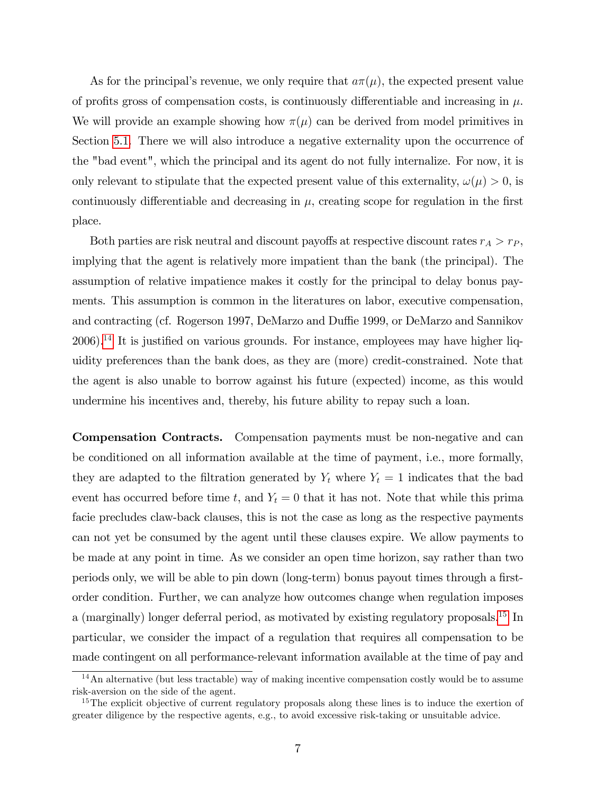As for the principal's revenue, we only require that  $a\pi(\mu)$ , the expected present value of profits gross of compensation costs, is continuously differentiable and increasing in  $\mu$ . We will provide an example showing how  $\pi(\mu)$  can be derived from model primitives in Section [5.1.](#page-25-1) There we will also introduce a negative externality upon the occurrence of the "bad event", which the principal and its agent do not fully internalize. For now, it is only relevant to stipulate that the expected present value of this externality,  $\omega(\mu) > 0$ , is continuously differentiable and decreasing in  $\mu$ , creating scope for regulation in the first place.

Both parties are risk neutral and discount payoffs at respective discount rates  $r_A > r_P$ , implying that the agent is relatively more impatient than the bank (the principal). The assumption of relative impatience makes it costly for the principal to delay bonus payments. This assumption is common in the literatures on labor, executive compensation, and contracting (cf. Rogerson 1997, DeMarzo and Duffie 1999, or DeMarzo and Sannikov  $2006$ ).<sup>[14](#page-9-0)</sup> It is justified on various grounds. For instance, employees may have higher liquidity preferences than the bank does, as they are (more) credit-constrained. Note that the agent is also unable to borrow against his future (expected) income, as this would undermine his incentives and, thereby, his future ability to repay such a loan.

Compensation Contracts. Compensation payments must be non-negative and can be conditioned on all information available at the time of payment, i.e., more formally, they are adapted to the filtration generated by  $Y_t$  where  $Y_t = 1$  indicates that the bad event has occurred before time t, and  $Y_t = 0$  that it has not. Note that while this prima facie precludes claw-back clauses, this is not the case as long as the respective payments can not yet be consumed by the agent until these clauses expire. We allow payments to be made at any point in time. As we consider an open time horizon, say rather than two periods only, we will be able to pin down (long-term) bonus payout times through a firstorder condition. Further, we can analyze how outcomes change when regulation imposes a (marginally) longer deferral period, as motivated by existing regulatory proposals.<sup>[15](#page-9-1)</sup> In particular, we consider the impact of a regulation that requires all compensation to be made contingent on all performance-relevant information available at the time of pay and

<span id="page-9-0"></span> $14$ An alternative (but less tractable) way of making incentive compensation costly would be to assume risk-aversion on the side of the agent.

<span id="page-9-1"></span><sup>&</sup>lt;sup>15</sup>The explicit objective of current regulatory proposals along these lines is to induce the exertion of greater diligence by the respective agents, e.g., to avoid excessive risk-taking or unsuitable advice.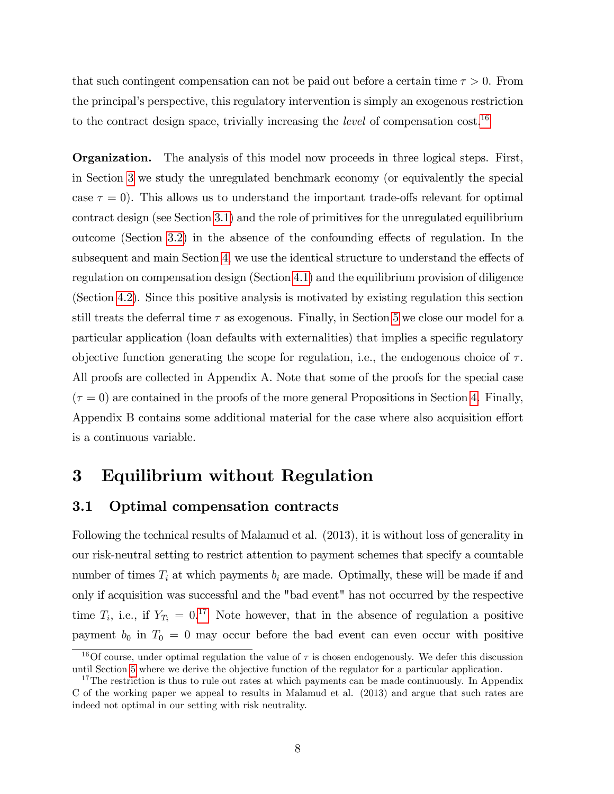that such contingent compensation can not be paid out before a certain time  $\tau > 0$ . From the principal's perspective, this regulatory intervention is simply an exogenous restriction to the contract design space, trivially increasing the *level* of compensation  $\cos t$ .<sup>[16](#page-10-0)</sup>

Organization. The analysis of this model now proceeds in three logical steps. First, in Section [3](#page-10-1) we study the unregulated benchmark economy (or equivalently the special case  $\tau = 0$ ). This allows us to understand the important trade-offs relevant for optimal contract design (see Section [3.1\)](#page-10-2) and the role of primitives for the unregulated equilibrium outcome (Section [3.2\)](#page-16-0) in the absence of the confounding effects of regulation. In the subsequent and main Section [4,](#page-17-0) we use the identical structure to understand the effects of regulation on compensation design (Section [4.1\)](#page-18-0) and the equilibrium provision of diligence (Section [4.2\)](#page-21-0). Since this positive analysis is motivated by existing regulation this section still treats the deferral time  $\tau$  as exogenous. Finally, in Section [5](#page-25-0) we close our model for a particular application (loan defaults with externalities) that implies a specific regulatory objective function generating the scope for regulation, i.e., the endogenous choice of  $\tau$ . All proofs are collected in Appendix A. Note that some of the proofs for the special case  $(\tau = 0)$  are contained in the proofs of the more general Propositions in Section [4.](#page-17-0) Finally, Appendix B contains some additional material for the case where also acquisition effort is a continuous variable.

# <span id="page-10-1"></span>3 Equilibrium without Regulation

### <span id="page-10-2"></span>3.1 Optimal compensation contracts

Following the technical results of Malamud et al. (2013), it is without loss of generality in our risk-neutral setting to restrict attention to payment schemes that specify a countable number of times  $T_i$  at which payments  $b_i$  are made. Optimally, these will be made if and only if acquisition was successful and the "bad event" has not occurred by the respective time  $T_i$ , i.e., if  $Y_{T_i} = 0.17$  $Y_{T_i} = 0.17$  Note however, that in the absence of regulation a positive payment  $b_0$  in  $T_0 = 0$  may occur before the bad event can even occur with positive

<span id="page-10-0"></span><sup>&</sup>lt;sup>16</sup>Of course, under optimal regulation the value of  $\tau$  is chosen endogenously. We defer this discussion until Section [5](#page-25-0) where we derive the objective function of the regulator for a particular application.

<span id="page-10-3"></span><sup>&</sup>lt;sup>17</sup>The restriction is thus to rule out rates at which payments can be made continuously. In Appendix C of the working paper we appeal to results in Malamud et al. (2013) and argue that such rates are indeed not optimal in our setting with risk neutrality.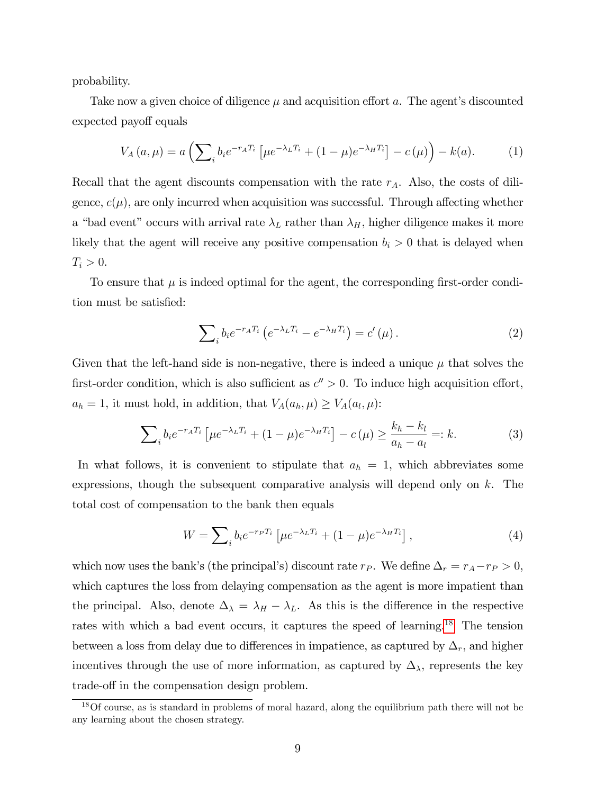probability.

Take now a given choice of diligence  $\mu$  and acquisition effort a. The agent's discounted expected payoff equals

<span id="page-11-3"></span>
$$
V_A(a,\mu) = a \left( \sum_{i} b_i e^{-r_A T_i} \left[ \mu e^{-\lambda_L T_i} + (1 - \mu) e^{-\lambda_H T_i} \right] - c(\mu) \right) - k(a). \tag{1}
$$

Recall that the agent discounts compensation with the rate  $r_A$ . Also, the costs of diligence,  $c(\mu)$ , are only incurred when acquisition was successful. Through affecting whether a "bad event" occurs with arrival rate  $\lambda_L$  rather than  $\lambda_H$ , higher diligence makes it more likely that the agent will receive any positive compensation  $b_i > 0$  that is delayed when  $T_i > 0$ .

To ensure that  $\mu$  is indeed optimal for the agent, the corresponding first-order condition must be satisfied:

<span id="page-11-1"></span>
$$
\sum_{i} b_{i} e^{-r_{A}T_{i}} \left( e^{-\lambda_{L}T_{i}} - e^{-\lambda_{H}T_{i}} \right) = c'(\mu).
$$
 (2)

Given that the left-hand side is non-negative, there is indeed a unique  $\mu$  that solves the first-order condition, which is also sufficient as  $c'' > 0$ . To induce high acquisition effort,  $a_h = 1$ , it must hold, in addition, that  $V_A(a_h, \mu) \ge V_A(a_l, \mu)$ :

<span id="page-11-2"></span>
$$
\sum_{i} b_{i} e^{-r_{A} T_{i}} \left[ \mu e^{-\lambda_{L} T_{i}} + (1 - \mu) e^{-\lambda_{H} T_{i}} \right] - c(\mu) \ge \frac{k_{h} - k_{l}}{a_{h} - a_{l}} =: k.
$$
 (3)

In what follows, it is convenient to stipulate that  $a_h = 1$ , which abbreviates some expressions, though the subsequent comparative analysis will depend only on  $k$ . The total cost of compensation to the bank then equals

$$
W = \sum_{i} b_i e^{-r_p T_i} \left[ \mu e^{-\lambda_L T_i} + (1 - \mu) e^{-\lambda_H T_i} \right],\tag{4}
$$

which now uses the bank's (the principal's) discount rate  $r_P$ . We define  $\Delta_r = r_A - r_P > 0$ , which captures the loss from delaying compensation as the agent is more impatient than the principal. Also, denote  $\Delta_{\lambda} = \lambda_H - \lambda_L$ . As this is the difference in the respective rates with which a bad event occurs, it captures the speed of learning.<sup>[18](#page-11-0)</sup> The tension between a loss from delay due to differences in impatience, as captured by  $\Delta_r$ , and higher incentives through the use of more information, as captured by  $\Delta_{\lambda}$ , represents the key trade-off in the compensation design problem.

<span id="page-11-0"></span><sup>18</sup>Of course, as is standard in problems of moral hazard, along the equilibrium path there will not be any learning about the chosen strategy.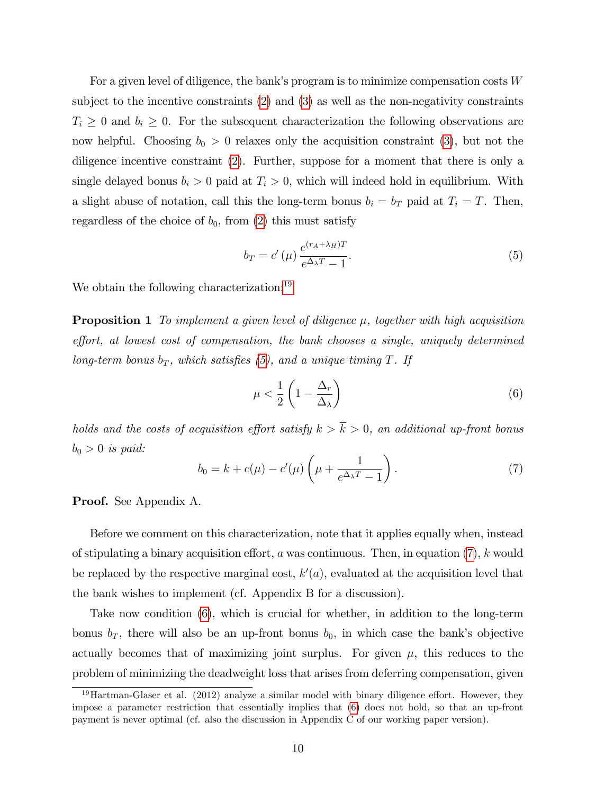For a given level of diligence, the bank's program is to minimize compensation costs  $W$ subject to the incentive constraints [\(2\)](#page-11-1) and [\(3\)](#page-11-2) as well as the non-negativity constraints  $T_i \geq 0$  and  $b_i \geq 0$ . For the subsequent characterization the following observations are now helpful. Choosing  $b_0 > 0$  relaxes only the acquisition constraint [\(3\)](#page-11-2), but not the diligence incentive constraint [\(2\)](#page-11-1). Further, suppose for a moment that there is only a single delayed bonus  $b_i > 0$  paid at  $T_i > 0$ , which will indeed hold in equilibrium. With a slight abuse of notation, call this the long-term bonus  $b_i = b_T$  paid at  $T_i = T$ . Then, regardless of the choice of  $b_0$ , from [\(2\)](#page-11-1) this must satisfy

<span id="page-12-1"></span>
$$
b_T = c'(\mu) \frac{e^{(r_A + \lambda_H)T}}{e^{\Delta_\lambda T} - 1}.
$$
\n
$$
(5)
$$

<span id="page-12-4"></span>We obtain the following characterization:<sup>[19](#page-12-0)</sup>

**Proposition 1** To implement a given level of diligence  $\mu$ , together with high acquisition  $effort$ , at lowest cost of compensation, the bank chooses a single, uniquely determined long-term bonus  $b_T$ , which satisfies [\(5\)](#page-12-1), and a unique timing T. If

<span id="page-12-3"></span>
$$
\mu < \frac{1}{2} \left( 1 - \frac{\Delta_r}{\Delta_\lambda} \right) \tag{6}
$$

holds and the costs of acquisition effort satisfy  $k > \overline{k} > 0$ , an additional up-front bonus  $b_0 > 0$  is paid:

<span id="page-12-2"></span>
$$
b_0 = k + c(\mu) - c'(\mu) \left(\mu + \frac{1}{e^{\Delta_\lambda T} - 1}\right). \tag{7}
$$

Proof. See Appendix A.

Before we comment on this characterization, note that it applies equally when, instead of stipulating a binary acquisition effort, a was continuous. Then, in equation  $(7)$ , k would be replaced by the respective marginal cost,  $k'(a)$ , evaluated at the acquisition level that the bank wishes to implement (cf. Appendix B for a discussion).

Take now condition [\(6\)](#page-12-3), which is crucial for whether, in addition to the long-term bonus  $b_T$ , there will also be an up-front bonus  $b_0$ , in which case the bank's objective actually becomes that of maximizing joint surplus. For given  $\mu$ , this reduces to the problem of minimizing the deadweight loss that arises from deferring compensation, given

<span id="page-12-0"></span> $19$ Hartman-Glaser et al. (2012) analyze a similar model with binary diligence effort. However, they impose a parameter restriction that essentially implies that [\(6\)](#page-12-3) does not hold, so that an up-front payment is never optimal (cf. also the discussion in Appendix C of our working paper version).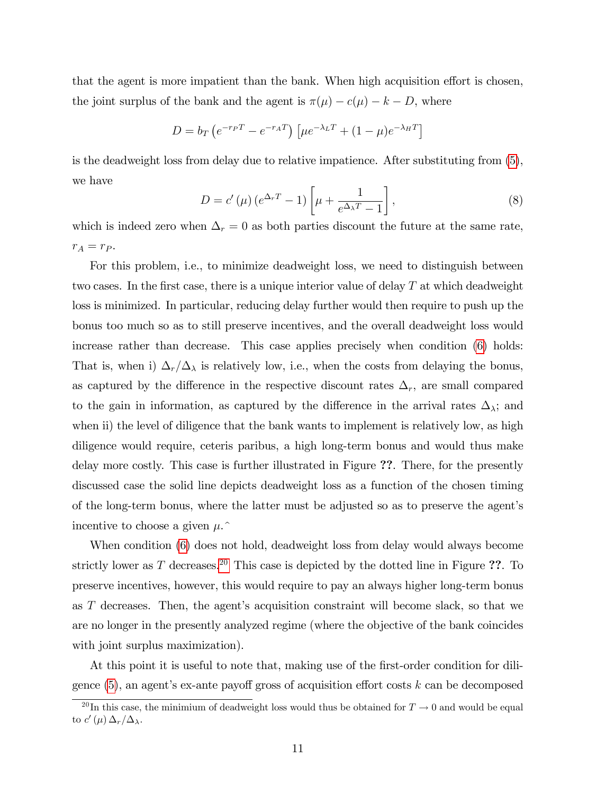that the agent is more impatient than the bank. When high acquisition effort is chosen, the joint surplus of the bank and the agent is  $\pi(\mu) - c(\mu) - k - D$ , where

$$
D = b_T \left( e^{-r_P T} - e^{-r_A T} \right) \left[ \mu e^{-\lambda_L T} + (1 - \mu) e^{-\lambda_H T} \right]
$$

is the deadweight loss from delay due to relative impatience. After substituting from [\(5\)](#page-12-1), we have

$$
D = c'(\mu) \left( e^{\Delta_r T} - 1 \right) \left[ \mu + \frac{1}{e^{\Delta_\lambda T} - 1} \right],\tag{8}
$$

which is indeed zero when  $\Delta_r = 0$  as both parties discount the future at the same rate,  $r_A = r_P$ .

For this problem, i.e., to minimize deadweight loss, we need to distinguish between two cases. In the first case, there is a unique interior value of delay  $T$  at which deadweight loss is minimized. In particular, reducing delay further would then require to push up the bonus too much so as to still preserve incentives, and the overall deadweight loss would increase rather than decrease. This case applies precisely when condition [\(6\)](#page-12-3) holds: That is, when i)  $\Delta_r/\Delta_\lambda$  is relatively low, i.e., when the costs from delaying the bonus, as captured by the difference in the respective discount rates  $\Delta_r$ , are small compared to the gain in information, as captured by the difference in the arrival rates  $\Delta_{\lambda}$ ; and when ii) the level of diligence that the bank wants to implement is relatively low, as high diligence would require, ceteris paribus, a high long-term bonus and would thus make delay more costly. This case is further illustrated in Figure ??. There, for the presently discussed case the solid line depicts deadweight loss as a function of the chosen timing of the long-term bonus, where the latter must be adjusted so as to preserve the agent's incentive to choose a given  $\mu$ .

When condition [\(6\)](#page-12-3) does not hold, deadweight loss from delay would always become strictly lower as T decreases.<sup>[20](#page-13-0)</sup> This case is depicted by the dotted line in Figure ??. To preserve incentives, however, this would require to pay an always higher long-term bonus as  $T$  decreases. Then, the agent's acquisition constraint will become slack, so that we are no longer in the presently analyzed regime (where the objective of the bank coincides with joint surplus maximization).

At this point it is useful to note that, making use of the first-order condition for diligence  $(5)$ , an agent's ex-ante payoff gross of acquisition effort costs k can be decomposed

<span id="page-13-0"></span><sup>&</sup>lt;sup>20</sup>In this case, the minimium of deadweight loss would thus be obtained for  $T \to 0$  and would be equal to  $c'(\mu) \Delta_r/\Delta_\lambda$ .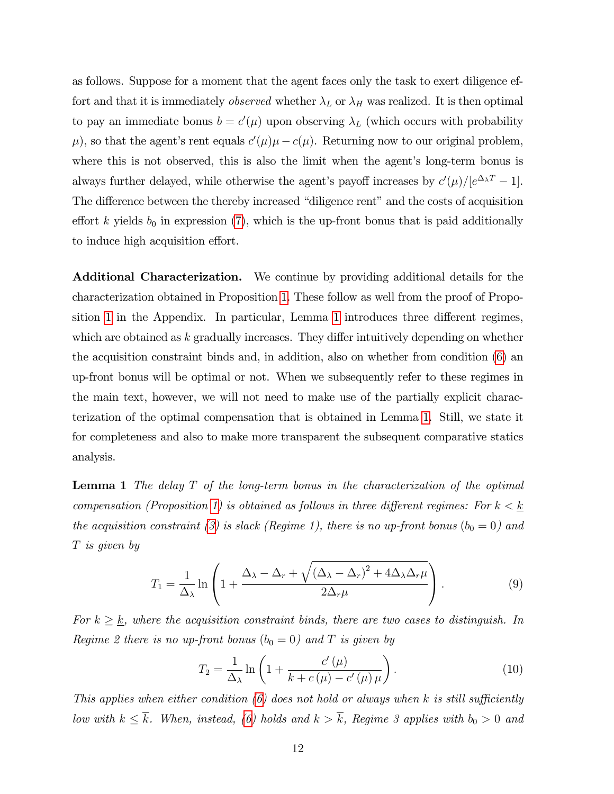as follows. Suppose for a moment that the agent faces only the task to exert diligence effort and that it is immediately *observed* whether  $\lambda_L$  or  $\lambda_H$  was realized. It is then optimal to pay an immediate bonus  $b = c'(\mu)$  upon observing  $\lambda_L$  (which occurs with probability  $\mu$ ), so that the agent's rent equals  $c'(\mu)\mu - c(\mu)$ . Returning now to our original problem, where this is not observed, this is also the limit when the agent's long-term bonus is always further delayed, while otherwise the agent's payoff increases by  $c'(\mu)/[e^{\Delta_{\lambda}T}-1]$ . The difference between the thereby increased "diligence rent" and the costs of acquisition effort k yields  $b_0$  in expression [\(7\)](#page-12-2), which is the up-front bonus that is paid additionally to induce high acquisition effort.

Additional Characterization. We continue by providing additional details for the characterization obtained in Proposition [1.](#page-12-4) These follow as well from the proof of Propo-sition [1](#page-14-0) in the Appendix. In particular, Lemma 1 introduces three different regimes, which are obtained as  $k$  gradually increases. They differ intuitively depending on whether the acquisition constraint binds and, in addition, also on whether from condition [\(6\)](#page-12-3) an up-front bonus will be optimal or not. When we subsequently refer to these regimes in the main text, however, we will not need to make use of the partially explicit characterization of the optimal compensation that is obtained in Lemma [1.](#page-14-0) Still, we state it for completeness and also to make more transparent the subsequent comparative statics analysis.

<span id="page-14-0"></span>**Lemma 1** The delay  $T$  of the long-term bonus in the characterization of the optimal compensation (Proposition [1\)](#page-12-4) is obtained as follows in three different regimes: For  $k < \underline{k}$ the acquisition constraint [\(3\)](#page-11-2) is slack (Regime 1), there is no up-front bonus ( $b_0 = 0$ ) and T is given by

<span id="page-14-2"></span>
$$
T_1 = \frac{1}{\Delta_{\lambda}} \ln \left( 1 + \frac{\Delta_{\lambda} - \Delta_r + \sqrt{(\Delta_{\lambda} - \Delta_r)^2 + 4\Delta_{\lambda}\Delta_r\mu}}{2\Delta_r\mu} \right).
$$
 (9)

For  $k \geq \underline{k}$ , where the acquisition constraint binds, there are two cases to distinguish. In Regime 2 there is no up-front bonus  $(b_0 = 0)$  and T is given by

<span id="page-14-1"></span>
$$
T_2 = \frac{1}{\Delta_{\lambda}} \ln \left( 1 + \frac{c'(\mu)}{k + c(\mu) - c'(\mu)\mu} \right). \tag{10}
$$

This applies when either condition  $(6)$  does not hold or always when k is still sufficiently low with  $k \leq \overline{k}$ . When, instead, [\(6\)](#page-12-3) holds and  $k > \overline{k}$ , Regime 3 applies with  $b_0 > 0$  and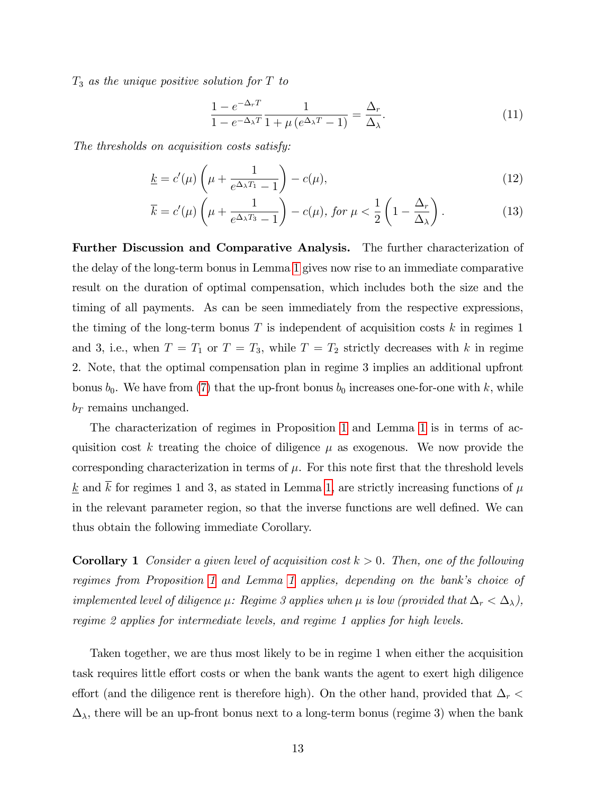$T_3$  as the unique positive solution for T to

<span id="page-15-3"></span><span id="page-15-2"></span><span id="page-15-1"></span>
$$
\frac{1 - e^{-\Delta_r T}}{1 - e^{-\Delta_\lambda T}} \frac{1}{1 + \mu \left(e^{\Delta_\lambda T} - 1\right)} = \frac{\Delta_r}{\Delta_\lambda}.
$$
\n(11)

The thresholds on acquisition costs satisfy:

$$
\underline{k} = c'(\mu) \left(\mu + \frac{1}{e^{\Delta_{\lambda} T_1} - 1}\right) - c(\mu),\tag{12}
$$

$$
\overline{k} = c'(\mu) \left(\mu + \frac{1}{e^{\Delta_{\lambda} T_3} - 1}\right) - c(\mu), \text{ for } \mu < \frac{1}{2} \left(1 - \frac{\Delta_r}{\Delta_{\lambda}}\right). \tag{13}
$$

Further Discussion and Comparative Analysis. The further characterization of the delay of the long-term bonus in Lemma [1](#page-14-0) gives now rise to an immediate comparative result on the duration of optimal compensation, which includes both the size and the timing of all payments. As can be seen immediately from the respective expressions, the timing of the long-term bonus  $T$  is independent of acquisition costs  $k$  in regimes 1 and 3, i.e., when  $T = T_1$  or  $T = T_3$ , while  $T = T_2$  strictly decreases with k in regime 2. Note, that the optimal compensation plan in regime 3 implies an additional upfront bonus  $b_0$ . We have from [\(7\)](#page-12-2) that the up-front bonus  $b_0$  increases one-for-one with k, while  $b_T$  remains unchanged.

The characterization of regimes in Proposition [1](#page-12-4) and Lemma [1](#page-14-0) is in terms of acquisition cost k treating the choice of diligence  $\mu$  as exogenous. We now provide the corresponding characterization in terms of  $\mu$ . For this note first that the threshold levels  $k$  and k for regimes 1 and 3, as stated in Lemma [1,](#page-14-0) are strictly increasing functions of  $\mu$ in the relevant parameter region, so that the inverse functions are well defined. We can thus obtain the following immediate Corollary.

<span id="page-15-0"></span>**Corollary 1** Consider a given level of acquisition cost  $k > 0$ . Then, one of the following regimes from Proposition [1](#page-14-0) and Lemma 1 applies, depending on the bank's choice of implemented level of diligence  $\mu$ : Regime 3 applies when  $\mu$  is low (provided that  $\Delta_r < \Delta_{\lambda}$ ), regime 2 applies for intermediate levels, and regime 1 applies for high levels.

Taken together, we are thus most likely to be in regime 1 when either the acquisition task requires little effort costs or when the bank wants the agent to exert high diligence effort (and the diligence rent is therefore high). On the other hand, provided that  $\Delta_r$  $\Delta_{\lambda}$ , there will be an up-front bonus next to a long-term bonus (regime 3) when the bank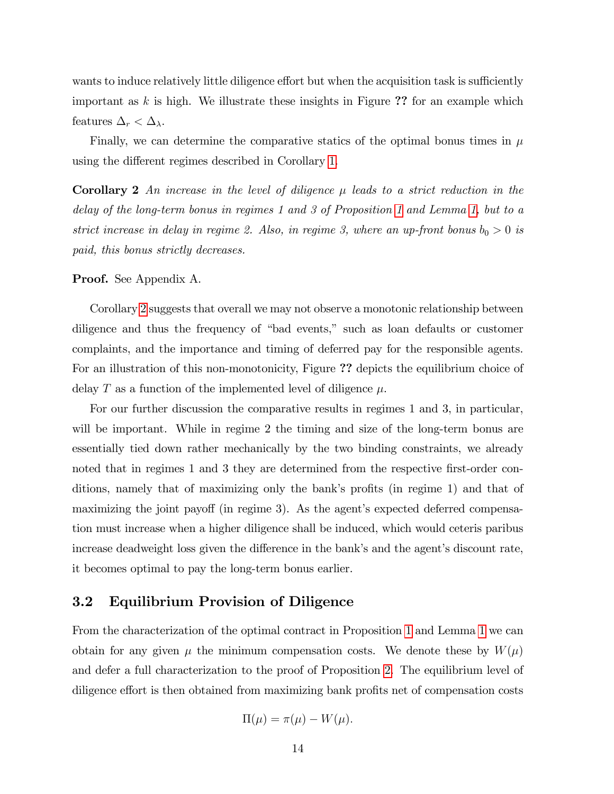wants to induce relatively little diligence effort but when the acquisition task is sufficiently important as  $k$  is high. We illustrate these insights in Figure ?? for an example which features  $\Delta_r < \Delta_\lambda$ .

Finally, we can determine the comparative statics of the optimal bonus times in  $\mu$ using the different regimes described in Corollary [1.](#page-15-0)

<span id="page-16-1"></span>**Corollary 2** An increase in the level of diligence  $\mu$  leads to a strict reduction in the delay of the long-term bonus in regimes 1 and 3 of Proposition [1](#page-12-4) and Lemma [1,](#page-14-0) but to a strict increase in delay in regime 2. Also, in regime 3, where an up-front bonus  $b_0 > 0$  is paid, this bonus strictly decreases.

#### Proof. See Appendix A.

Corollary [2](#page-16-1) suggests that overall we may not observe a monotonic relationship between diligence and thus the frequency of "bad events," such as loan defaults or customer complaints, and the importance and timing of deferred pay for the responsible agents. For an illustration of this non-monotonicity, Figure ?? depicts the equilibrium choice of delay T as a function of the implemented level of diligence  $\mu$ .

For our further discussion the comparative results in regimes 1 and 3, in particular, will be important. While in regime 2 the timing and size of the long-term bonus are essentially tied down rather mechanically by the two binding constraints, we already noted that in regimes 1 and 3 they are determined from the respective first-order conditions, namely that of maximizing only the bank's profits (in regime 1) and that of maximizing the joint payoff (in regime 3). As the agent's expected deferred compensation must increase when a higher diligence shall be induced, which would ceteris paribus increase deadweight loss given the difference in the bank's and the agent's discount rate, it becomes optimal to pay the long-term bonus earlier.

### <span id="page-16-0"></span>3.2 Equilibrium Provision of Diligence

From the characterization of the optimal contract in Proposition [1](#page-12-4) and Lemma [1](#page-14-0) we can obtain for any given  $\mu$  the minimum compensation costs. We denote these by  $W(\mu)$ and defer a full characterization to the proof of Proposition [2.](#page-17-1) The equilibrium level of diligence effort is then obtained from maximizing bank profits net of compensation costs

$$
\Pi(\mu) = \pi(\mu) - W(\mu).
$$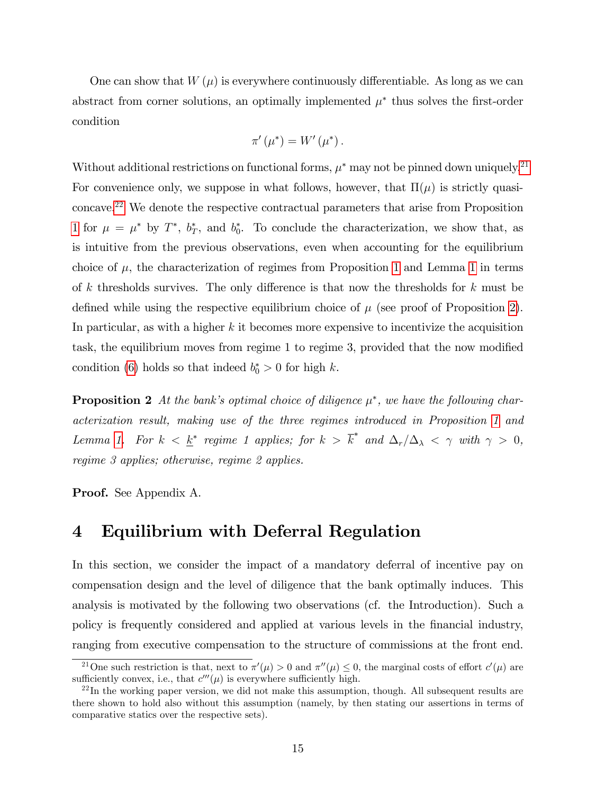One can show that  $W(\mu)$  is everywhere continuously differentiable. As long as we can abstract from corner solutions, an optimally implemented  $\mu^*$  thus solves the first-order condition

$$
\pi'(\mu^*) = W'(\mu^*).
$$

Without additional restrictions on functional forms,  $\mu^*$  may not be pinned down uniquely.<sup>[21](#page-17-2)</sup> For convenience only, we suppose in what follows, however, that  $\Pi(\mu)$  is strictly quasiconcave.[22](#page-17-3) We denote the respective contractual parameters that arise from Proposition [1](#page-12-4) for  $\mu = \mu^*$  by  $T^*$ ,  $b_T^*$ , and  $b_0^*$ . To conclude the characterization, we show that, as is intuitive from the previous observations, even when accounting for the equilibrium choice of  $\mu$ , the characterization of regimes from Proposition [1](#page-14-0) and Lemma 1 in terms of k thresholds survives. The only difference is that now the thresholds for  $k$  must be defined while using the respective equilibrium choice of  $\mu$  (see proof of Proposition [2\)](#page-17-1). In particular, as with a higher  $k$  it becomes more expensive to incentivize the acquisition task, the equilibrium moves from regime 1 to regime 3, provided that the now modified condition [\(6\)](#page-12-3) holds so that indeed  $b_0^* > 0$  for high k.

<span id="page-17-1"></span>**Proposition 2** At the bank's optimal choice of diligence  $\mu^*$ , we have the following characterization result, making use of the three regimes introduced in Proposition [1](#page-12-4) and Lemma [1.](#page-14-0) For  $k < \underline{k}^*$  regime 1 applies; for  $k > \overline{k}^*$  and  $\Delta_r/\Delta_\lambda < \gamma$  with  $\gamma > 0$ , regime 3 applies; otherwise, regime 2 applies.

Proof. See Appendix A.

## <span id="page-17-0"></span>4 Equilibrium with Deferral Regulation

In this section, we consider the impact of a mandatory deferral of incentive pay on compensation design and the level of diligence that the bank optimally induces. This analysis is motivated by the following two observations (cf. the Introduction). Such a policy is frequently considered and applied at various levels in the Önancial industry, ranging from executive compensation to the structure of commissions at the front end.

<span id="page-17-2"></span><sup>&</sup>lt;sup>21</sup>One such restriction is that, next to  $\pi'(\mu) > 0$  and  $\pi''(\mu) \leq 0$ , the marginal costs of effort  $c'(\mu)$  are sufficiently convex, i.e., that  $c'''(\mu)$  is everywhere sufficiently high.

<span id="page-17-3"></span> $^{22}$ In the working paper version, we did not make this assumption, though. All subsequent results are there shown to hold also without this assumption (namely, by then stating our assertions in terms of comparative statics over the respective sets).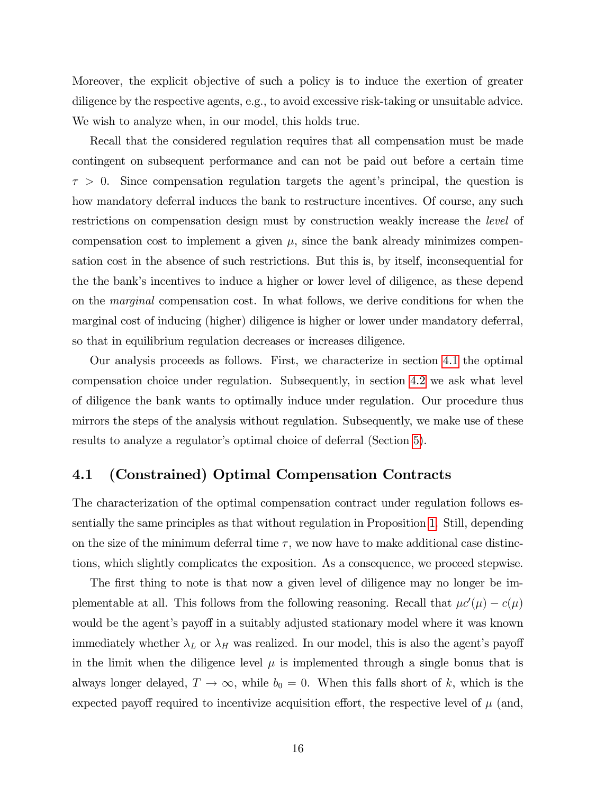Moreover, the explicit objective of such a policy is to induce the exertion of greater diligence by the respective agents, e.g., to avoid excessive risk-taking or unsuitable advice. We wish to analyze when, in our model, this holds true.

Recall that the considered regulation requires that all compensation must be made contingent on subsequent performance and can not be paid out before a certain time  $\tau > 0$ . Since compensation regulation targets the agent's principal, the question is how mandatory deferral induces the bank to restructure incentives. Of course, any such restrictions on compensation design must by construction weakly increase the level of compensation cost to implement a given  $\mu$ , since the bank already minimizes compensation cost in the absence of such restrictions. But this is, by itself, inconsequential for the the bank's incentives to induce a higher or lower level of diligence, as these depend on the marginal compensation cost. In what follows, we derive conditions for when the marginal cost of inducing (higher) diligence is higher or lower under mandatory deferral, so that in equilibrium regulation decreases or increases diligence.

Our analysis proceeds as follows. First, we characterize in section [4.1](#page-18-0) the optimal compensation choice under regulation. Subsequently, in section [4.2](#page-21-0) we ask what level of diligence the bank wants to optimally induce under regulation. Our procedure thus mirrors the steps of the analysis without regulation. Subsequently, we make use of these results to analyze a regulator's optimal choice of deferral (Section [5\)](#page-25-0).

### <span id="page-18-0"></span>4.1 (Constrained) Optimal Compensation Contracts

The characterization of the optimal compensation contract under regulation follows essentially the same principles as that without regulation in Proposition [1.](#page-12-4) Still, depending on the size of the minimum deferral time  $\tau$ , we now have to make additional case distinctions, which slightly complicates the exposition. As a consequence, we proceed stepwise.

The first thing to note is that now a given level of diligence may no longer be implementable at all. This follows from the following reasoning. Recall that  $\mu c'(\mu) - c(\mu)$ would be the agent's payoff in a suitably adjusted stationary model where it was known immediately whether  $\lambda_L$  or  $\lambda_H$  was realized. In our model, this is also the agent's payoff in the limit when the diligence level  $\mu$  is implemented through a single bonus that is always longer delayed,  $T \to \infty$ , while  $b_0 = 0$ . When this falls short of k, which is the expected payoff required to incentivize acquisition effort, the respective level of  $\mu$  (and,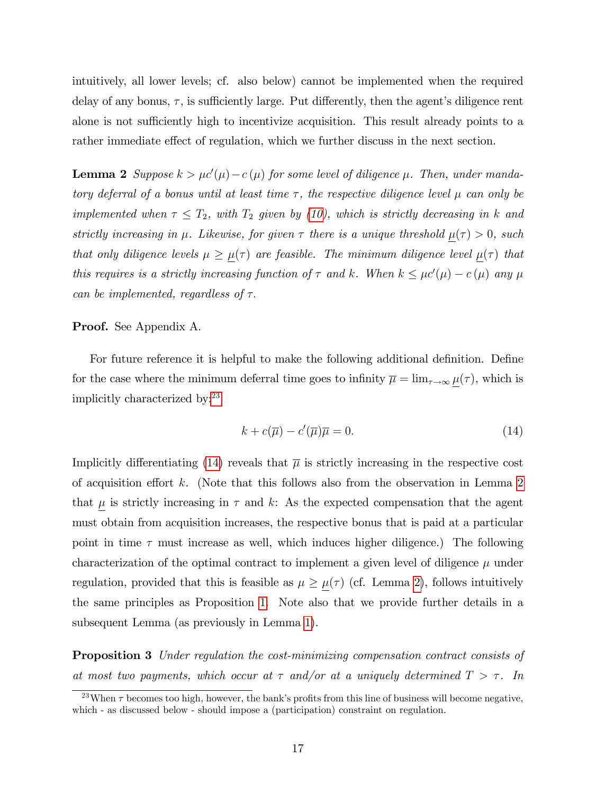intuitively, all lower levels; cf. also below) cannot be implemented when the required delay of any bonus,  $\tau$ , is sufficiently large. Put differently, then the agent's diligence rent alone is not sufficiently high to incentivize acquisition. This result already points to a rather immediate effect of regulation, which we further discuss in the next section.

<span id="page-19-2"></span>**Lemma 2** Suppose  $k > \mu c'(\mu) - c(\mu)$  for some level of diligence  $\mu$ . Then, under mandatory deferral of a bonus until at least time  $\tau$ , the respective diligence level  $\mu$  can only be implemented when  $\tau \leq T_2$ , with  $T_2$  given by [\(10\)](#page-14-1), which is strictly decreasing in k and strictly increasing in  $\mu$ . Likewise, for given  $\tau$  there is a unique threshold  $\mu(\tau) > 0$ , such that only diligence levels  $\mu \geq \mu(\tau)$  are feasible. The minimum diligence level  $\mu(\tau)$  that this requires is a strictly increasing function of  $\tau$  and k. When  $k \leq \mu c'(\mu) - c(\mu)$  any  $\mu$ can be implemented, regardless of  $\tau$ .

#### Proof. See Appendix A.

For future reference it is helpful to make the following additional definition. Define for the case where the minimum deferral time goes to infinity  $\overline{\mu} = \lim_{\tau \to \infty} \mu(\tau)$ , which is implicitly characterized by:[23](#page-19-0)

<span id="page-19-1"></span>
$$
k + c(\overline{\mu}) - c'(\overline{\mu})\overline{\mu} = 0.
$$
\n(14)

Implicitly differentiating [\(14\)](#page-19-1) reveals that  $\bar{\mu}$  is strictly increasing in the respective cost of acquisition effort k. (Note that this follows also from the observation in Lemma [2](#page-19-2) that  $\underline{\mu}$  is strictly increasing in  $\tau$  and  $k$ : As the expected compensation that the agent must obtain from acquisition increases, the respective bonus that is paid at a particular point in time  $\tau$  must increase as well, which induces higher diligence.) The following characterization of the optimal contract to implement a given level of diligence  $\mu$  under regulation, provided that this is feasible as  $\mu \geq \mu(\tau)$  (cf. Lemma [2\)](#page-19-2), follows intuitively the same principles as Proposition [1.](#page-12-4) Note also that we provide further details in a subsequent Lemma (as previously in Lemma [1\)](#page-14-0).

<span id="page-19-3"></span>Proposition 3 Under regulation the cost-minimizing compensation contract consists of at most two payments, which occur at  $\tau$  and/or at a uniquely determined  $T > \tau$ . In

<span id="page-19-0"></span><sup>&</sup>lt;sup>23</sup>When  $\tau$  becomes too high, however, the bank's profits from this line of business will become negative, which - as discussed below - should impose a (participation) constraint on regulation.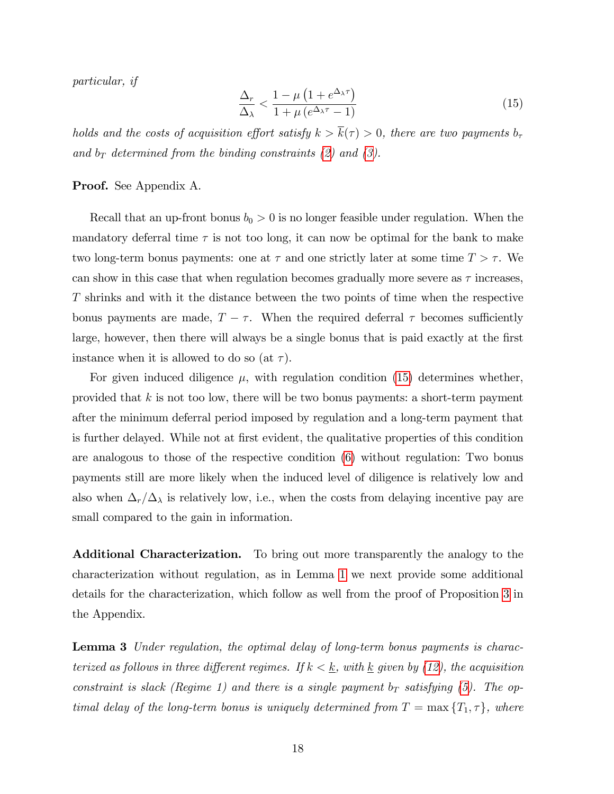particular, if

<span id="page-20-0"></span>
$$
\frac{\Delta_r}{\Delta_\lambda} < \frac{1 - \mu \left( 1 + e^{\Delta_\lambda \tau} \right)}{1 + \mu \left( e^{\Delta_\lambda \tau} - 1 \right)} \tag{15}
$$

holds and the costs of acquisition effort satisfy  $k > \overline{k}(\tau) > 0$ , there are two payments  $b_{\tau}$ and  $b_T$  determined from the binding constraints [\(2\)](#page-11-1) and [\(3\)](#page-11-2).

#### Proof. See Appendix A.

Recall that an up-front bonus  $b_0 > 0$  is no longer feasible under regulation. When the mandatory deferral time  $\tau$  is not too long, it can now be optimal for the bank to make two long-term bonus payments: one at  $\tau$  and one strictly later at some time  $T > \tau$ . We can show in this case that when regulation becomes gradually more severe as  $\tau$  increases, T shrinks and with it the distance between the two points of time when the respective bonus payments are made,  $T - \tau$ . When the required deferral  $\tau$  becomes sufficiently large, however, then there will always be a single bonus that is paid exactly at the first instance when it is allowed to do so (at  $\tau$ ).

For given induced diligence  $\mu$ , with regulation condition [\(15\)](#page-20-0) determines whether, provided that  $k$  is not too low, there will be two bonus payments: a short-term payment after the minimum deferral period imposed by regulation and a long-term payment that is further delayed. While not at first evident, the qualitative properties of this condition are analogous to those of the respective condition [\(6\)](#page-12-3) without regulation: Two bonus payments still are more likely when the induced level of diligence is relatively low and also when  $\Delta_r/\Delta_\lambda$  is relatively low, i.e., when the costs from delaying incentive pay are small compared to the gain in information.

Additional Characterization. To bring out more transparently the analogy to the characterization without regulation, as in Lemma [1](#page-14-0) we next provide some additional details for the characterization, which follow as well from the proof of Proposition [3](#page-19-3) in the Appendix.

<span id="page-20-1"></span>**Lemma 3** Under regulation, the optimal delay of long-term bonus payments is characterized as follows in three different regimes. If  $k < \underline{k}$ , with  $\underline{k}$  given by [\(12\)](#page-15-1), the acquisition constraint is slack (Regime 1) and there is a single payment  $b_T$  satisfying [\(5\)](#page-12-1). The optimal delay of the long-term bonus is uniquely determined from  $T = \max\{T_1, \tau\}$ , where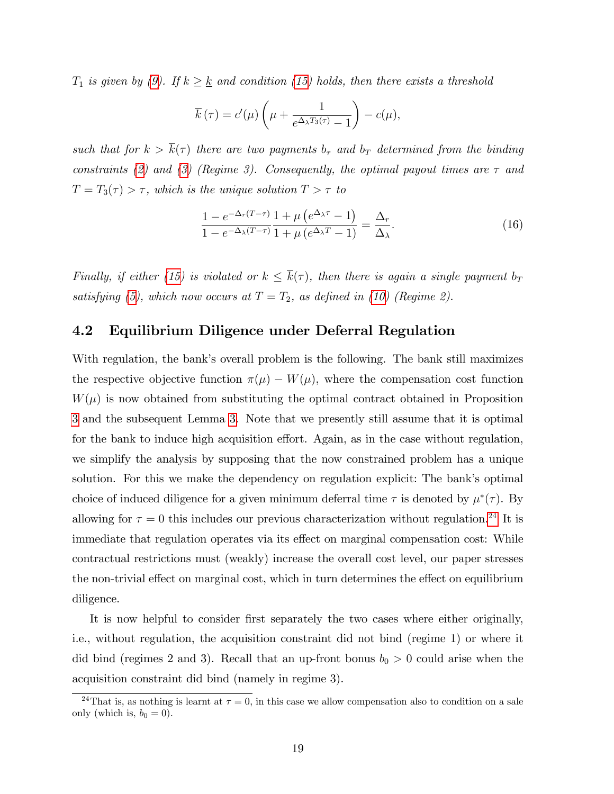$T_1$  is given by [\(9\)](#page-14-2). If  $k \geq \underline{k}$  and condition [\(15\)](#page-20-0) holds, then there exists a threshold

$$
\overline{k}(\tau) = c'(\mu) \left( \mu + \frac{1}{e^{\Delta_{\lambda} T_3(\tau)} - 1} \right) - c(\mu),
$$

such that for  $k > \overline{k}(\tau)$  there are two payments  $b_{\tau}$  and  $b_{T}$  determined from the binding constraints [\(2\)](#page-11-1) and [\(3\)](#page-11-2) (Regime 3). Consequently, the optimal payout times are  $\tau$  and  $T = T_3(\tau) > \tau$ , which is the unique solution  $T > \tau$  to

<span id="page-21-2"></span>
$$
\frac{1 - e^{-\Delta_r(T-\tau)}}{1 - e^{-\Delta_\lambda(T-\tau)}} \frac{1 + \mu\left(e^{\Delta_\lambda \tau} - 1\right)}{1 + \mu\left(e^{\Delta_\lambda T} - 1\right)} = \frac{\Delta_r}{\Delta_\lambda}.\tag{16}
$$

Finally, if either [\(15\)](#page-20-0) is violated or  $k \leq \overline{k}(\tau)$ , then there is again a single payment  $b_T$ satisfying [\(5\)](#page-12-1), which now occurs at  $T = T_2$ , as defined in [\(10\)](#page-14-1) (Regime 2).

### <span id="page-21-0"></span>4.2 Equilibrium Diligence under Deferral Regulation

With regulation, the bank's overall problem is the following. The bank still maximizes the respective objective function  $\pi(\mu) - W(\mu)$ , where the compensation cost function  $W(\mu)$  is now obtained from substituting the optimal contract obtained in Proposition [3](#page-19-3) and the subsequent Lemma [3.](#page-20-1) Note that we presently still assume that it is optimal for the bank to induce high acquisition effort. Again, as in the case without regulation, we simplify the analysis by supposing that the now constrained problem has a unique solution. For this we make the dependency on regulation explicit: The bank's optimal choice of induced diligence for a given minimum deferral time  $\tau$  is denoted by  $\mu^*(\tau)$ . By allowing for  $\tau = 0$  this includes our previous characterization without regulation.<sup>[24](#page-21-1)</sup> It is immediate that regulation operates via its effect on marginal compensation cost: While contractual restrictions must (weakly) increase the overall cost level, our paper stresses the non-trivial effect on marginal cost, which in turn determines the effect on equilibrium diligence.

It is now helpful to consider first separately the two cases where either originally, i.e., without regulation, the acquisition constraint did not bind (regime 1) or where it did bind (regimes 2 and 3). Recall that an up-front bonus  $b_0 > 0$  could arise when the acquisition constraint did bind (namely in regime 3).

<span id="page-21-1"></span><sup>&</sup>lt;sup>24</sup>That is, as nothing is learnt at  $\tau = 0$ , in this case we allow compensation also to condition on a sale only (which is,  $b_0 = 0$ ).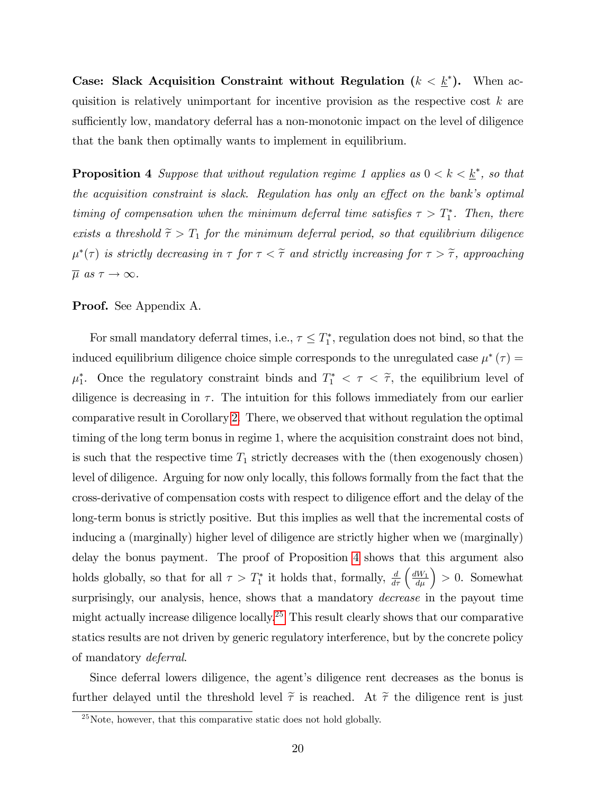Case: Slack Acquisition Constraint without Regulation  $(k < \underline{k}^*)$ . When acquisition is relatively unimportant for incentive provision as the respective cost  $k$  are sufficiently low, mandatory deferral has a non-monotonic impact on the level of diligence that the bank then optimally wants to implement in equilibrium.

<span id="page-22-0"></span>**Proposition 4** Suppose that without regulation regime 1 applies as  $0 < k < \underline{k}^*$ , so that the acquisition constraint is slack. Regulation has only an effect on the bank's optimal timing of compensation when the minimum deferral time satisfies  $\tau > T_1^*$ . Then, there exists a threshold  $\tilde{\tau} > T_1$  for the minimum deferral period, so that equilibrium diligence  $\mu^*(\tau)$  is strictly decreasing in  $\tau$  for  $\tau < \tilde{\tau}$  and strictly increasing for  $\tau > \tilde{\tau}$ , approaching  $\overline{\mu} \ as \ \tau \rightarrow \infty.$ 

Proof. See Appendix A.

For small mandatory deferral times, i.e.,  $\tau \leq T_1^*$ , regulation does not bind, so that the induced equilibrium diligence choice simple corresponds to the unregulated case  $\mu^*(\tau) =$  $\mu_1^*$ . Once the regulatory constraint binds and  $T_1^* < \tau < \tilde{\tau}$ , the equilibrium level of diligence is decreasing in  $\tau$ . The intuition for this follows immediately from our earlier comparative result in Corollary [2.](#page-16-1) There, we observed that without regulation the optimal timing of the long term bonus in regime 1, where the acquisition constraint does not bind, is such that the respective time  $T_1$  strictly decreases with the (then exogenously chosen) level of diligence. Arguing for now only locally, this follows formally from the fact that the cross-derivative of compensation costs with respect to diligence effort and the delay of the long-term bonus is strictly positive. But this implies as well that the incremental costs of inducing a (marginally) higher level of diligence are strictly higher when we (marginally) delay the bonus payment. The proof of Proposition [4](#page-22-0) shows that this argument also holds globally, so that for all  $\tau > T_1^*$  it holds that, formally,  $\frac{d}{d\tau} \left( \frac{dW_1}{d\mu} \right) > 0$ . Somewhat surprisingly, our analysis, hence, shows that a mandatory *decrease* in the payout time might actually increase diligence locally.<sup>[25](#page-22-1)</sup> This result clearly shows that our comparative statics results are not driven by generic regulatory interference, but by the concrete policy of mandatory deferral.

Since deferral lowers diligence, the agent's diligence rent decreases as the bonus is further delayed until the threshold level  $\tilde{\tau}$  is reached. At  $\tilde{\tau}$  the diligence rent is just

<span id="page-22-1"></span> $^{25}$ Note, however, that this comparative static does not hold globally.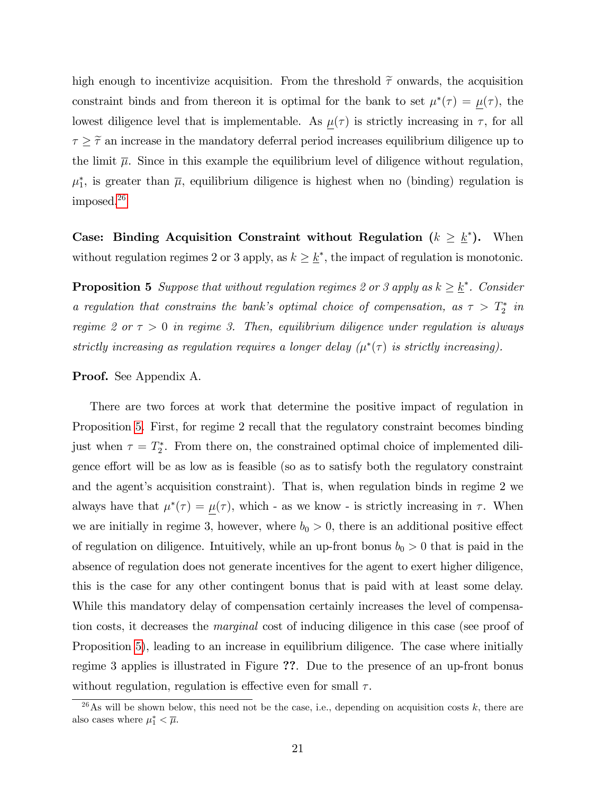high enough to incentivize acquisition. From the threshold  $\tilde{\tau}$  onwards, the acquisition constraint binds and from thereon it is optimal for the bank to set  $\mu^*(\tau) = \mu(\tau)$ , the lowest diligence level that is implementable. As  $\mu(\tau)$  is strictly increasing in  $\tau$ , for all  $\tau \geq \tilde{\tau}$  an increase in the mandatory deferral period increases equilibrium diligence up to the limit  $\overline{\mu}$ . Since in this example the equilibrium level of diligence without regulation,  $\mu_{1}^{*}$ , is greater than  $\overline{\mu}$ , equilibrium diligence is highest when no (binding) regulation is imposed.[26](#page-23-0)

Case: Binding Acquisition Constraint without Regulation  $(k \geq \underline{k}^*)$ . When without regulation regimes 2 or 3 apply, as  $k \geq \underline{k}^*$ , the impact of regulation is monotonic.

<span id="page-23-1"></span>**Proposition 5** Suppose that without regulation regimes 2 or 3 apply as  $k \geq \underline{k}^*$ . Consider a regulation that constrains the bank's optimal choice of compensation, as  $\tau > T_2^*$  in regime 2 or  $\tau > 0$  in regime 3. Then, equilibrium diligence under regulation is always strictly increasing as regulation requires a longer delay  $(\mu^*(\tau))$  is strictly increasing).

#### Proof. See Appendix A.

There are two forces at work that determine the positive impact of regulation in Proposition [5.](#page-23-1) First, for regime 2 recall that the regulatory constraint becomes binding just when  $\tau = T_2^*$ . From there on, the constrained optimal choice of implemented diligence effort will be as low as is feasible (so as to satisfy both the regulatory constraint and the agent's acquisition constraint). That is, when regulation binds in regime  $2$  we always have that  $\mu^*(\tau) = \mu(\tau)$ , which - as we know - is strictly increasing in  $\tau$ . When we are initially in regime 3, however, where  $b_0 > 0$ , there is an additional positive effect of regulation on diligence. Intuitively, while an up-front bonus  $b_0 > 0$  that is paid in the absence of regulation does not generate incentives for the agent to exert higher diligence, this is the case for any other contingent bonus that is paid with at least some delay. While this mandatory delay of compensation certainly increases the level of compensation costs, it decreases the marginal cost of inducing diligence in this case (see proof of Proposition [5\)](#page-23-1), leading to an increase in equilibrium diligence. The case where initially regime 3 applies is illustrated in Figure ??. Due to the presence of an up-front bonus without regulation, regulation is effective even for small  $\tau$ .

<span id="page-23-0"></span><sup>&</sup>lt;sup>26</sup>As will be shown below, this need not be the case, i.e., depending on acquisition costs k, there are also cases where  $\mu_1^* < \overline{\mu}$ .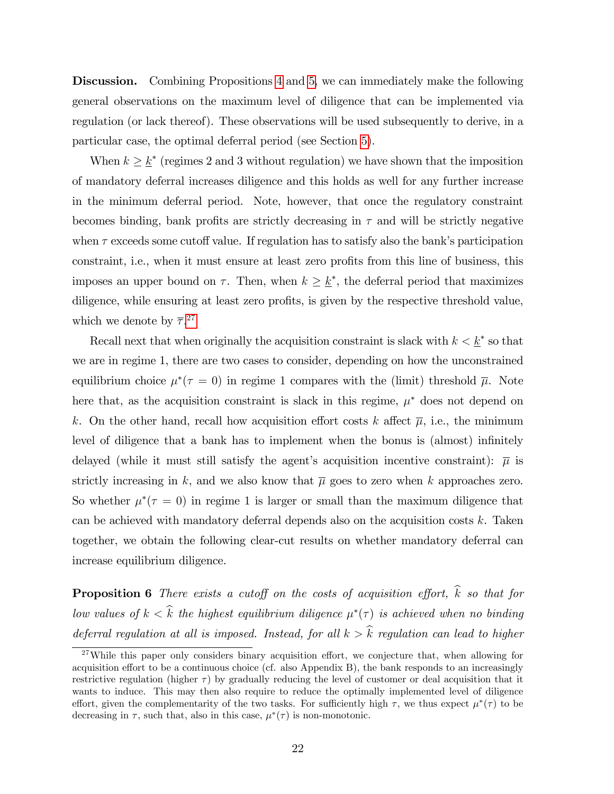Discussion. Combining Propositions [4](#page-22-0) and [5,](#page-23-1) we can immediately make the following general observations on the maximum level of diligence that can be implemented via regulation (or lack thereof). These observations will be used subsequently to derive, in a particular case, the optimal deferral period (see Section [5\)](#page-25-0).

When  $k \geq \underline{k}^*$  (regimes 2 and 3 without regulation) we have shown that the imposition of mandatory deferral increases diligence and this holds as well for any further increase in the minimum deferral period. Note, however, that once the regulatory constraint becomes binding, bank profits are strictly decreasing in  $\tau$  and will be strictly negative when  $\tau$  exceeds some cutoff value. If regulation has to satisfy also the bank's participation constraint, i.e., when it must ensure at least zero profits from this line of business, this imposes an upper bound on  $\tau$ . Then, when  $k \geq \underline{k}^*$ , the deferral period that maximizes diligence, while ensuring at least zero profits, is given by the respective threshold value, which we denote by  $\overline{\tau}$ <sup>[27](#page-24-0)</sup>

Recall next that when originally the acquisition constraint is slack with  $k < \underline{k}^*$  so that we are in regime 1, there are two cases to consider, depending on how the unconstrained equilibrium choice  $\mu^*(\tau = 0)$  in regime 1 compares with the (limit) threshold  $\overline{\mu}$ . Note here that, as the acquisition constraint is slack in this regime,  $\mu^*$  does not depend on k. On the other hand, recall how acquisition effort costs k affect  $\overline{\mu}$ , i.e., the minimum level of diligence that a bank has to implement when the bonus is (almost) infinitely delayed (while it must still satisfy the agent's acquisition incentive constraint):  $\bar{\mu}$  is strictly increasing in k, and we also know that  $\overline{\mu}$  goes to zero when k approaches zero. So whether  $\mu^*(\tau = 0)$  in regime 1 is larger or small than the maximum diligence that can be achieved with mandatory deferral depends also on the acquisition costs k. Taken together, we obtain the following clear-cut results on whether mandatory deferral can increase equilibrium diligence.

<span id="page-24-1"></span>**Proposition 6** There exists a cutoff on the costs of acquisition effort,  $\hat{k}$  so that for low values of  $k < k$  the highest equilibrium diligence  $\mu^*(\tau)$  is achieved when no binding deferral regulation at all is imposed. Instead, for all  $k > \hat{k}$  regulation can lead to higher

<span id="page-24-0"></span> $27$ While this paper only considers binary acquisition effort, we conjecture that, when allowing for acquisition effort to be a continuous choice (cf. also Appendix B), the bank responds to an increasingly restrictive regulation (higher  $\tau$ ) by gradually reducing the level of customer or deal acquisition that it wants to induce. This may then also require to reduce the optimally implemented level of diligence effort, given the complementarity of the two tasks. For sufficiently high  $\tau$ , we thus expect  $\mu^*(\tau)$  to be decreasing in  $\tau$ , such that, also in this case,  $\mu^*(\tau)$  is non-monotonic.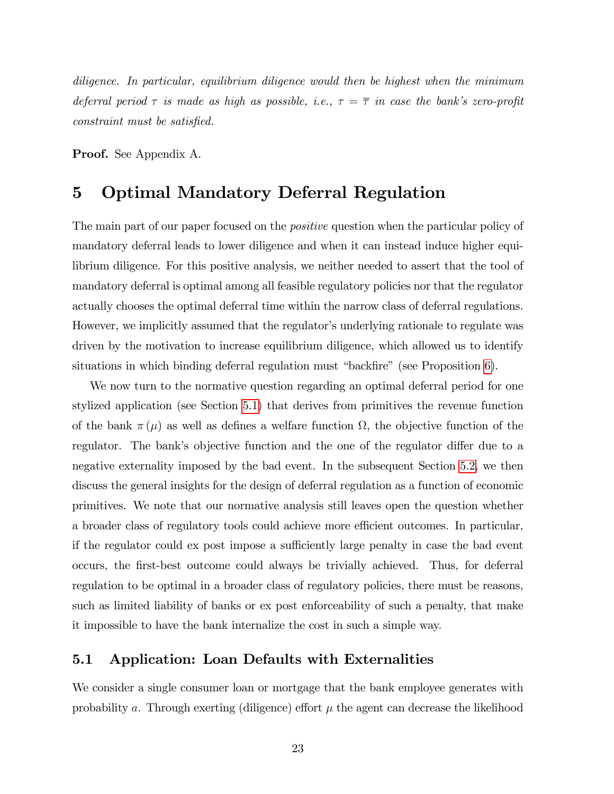diligence. In particular, equilibrium diligence would then be highest when the minimum deferral period  $\tau$  is made as high as possible, i.e.,  $\tau = \overline{\tau}$  in case the bank's zero-profit constraint must be satisfied.

Proof. See Appendix A.

# <span id="page-25-0"></span>5 Optimal Mandatory Deferral Regulation

The main part of our paper focused on the *positive* question when the particular policy of mandatory deferral leads to lower diligence and when it can instead induce higher equilibrium diligence. For this positive analysis, we neither needed to assert that the tool of mandatory deferral is optimal among all feasible regulatory policies nor that the regulator actually chooses the optimal deferral time within the narrow class of deferral regulations. However, we implicitly assumed that the regulator's underlying rationale to regulate was driven by the motivation to increase equilibrium diligence, which allowed us to identify situations in which binding deferral regulation must "backfire" (see Proposition  $6$ ).

We now turn to the normative question regarding an optimal deferral period for one stylized application (see Section [5.1\)](#page-25-1) that derives from primitives the revenue function of the bank  $\pi(\mu)$  as well as defines a welfare function  $\Omega$ , the objective function of the regulator. The bank's objective function and the one of the regulator differ due to a negative externality imposed by the bad event. In the subsequent Section [5.2,](#page-27-0) we then discuss the general insights for the design of deferral regulation as a function of economic primitives. We note that our normative analysis still leaves open the question whether a broader class of regulatory tools could achieve more efficient outcomes. In particular, if the regulator could ex post impose a sufficiently large penalty in case the bad event occurs, the Örst-best outcome could always be trivially achieved. Thus, for deferral regulation to be optimal in a broader class of regulatory policies, there must be reasons, such as limited liability of banks or ex post enforceability of such a penalty, that make it impossible to have the bank internalize the cost in such a simple way.

### <span id="page-25-1"></span>5.1 Application: Loan Defaults with Externalities

We consider a single consumer loan or mortgage that the bank employee generates with probability a. Through exerting (diligence) effort  $\mu$  the agent can decrease the likelihood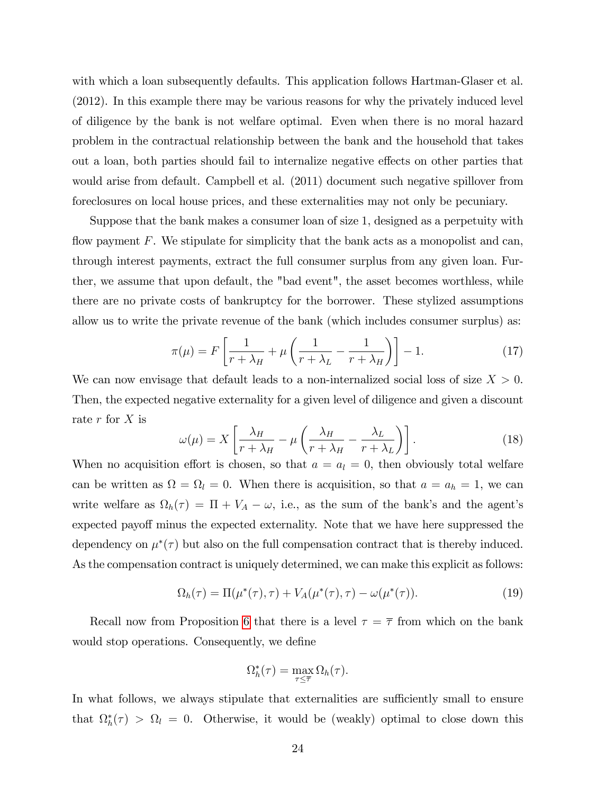with which a loan subsequently defaults. This application follows Hartman-Glaser et al. (2012). In this example there may be various reasons for why the privately induced level of diligence by the bank is not welfare optimal. Even when there is no moral hazard problem in the contractual relationship between the bank and the household that takes out a loan, both parties should fail to internalize negative effects on other parties that would arise from default. Campbell et al.  $(2011)$  document such negative spillover from foreclosures on local house prices, and these externalities may not only be pecuniary.

Suppose that the bank makes a consumer loan of size 1, designed as a perpetuity with flow payment  $F$ . We stipulate for simplicity that the bank acts as a monopolist and can, through interest payments, extract the full consumer surplus from any given loan. Further, we assume that upon default, the "bad event", the asset becomes worthless, while there are no private costs of bankruptcy for the borrower. These stylized assumptions allow us to write the private revenue of the bank (which includes consumer surplus) as:

$$
\pi(\mu) = F\left[\frac{1}{r + \lambda_H} + \mu\left(\frac{1}{r + \lambda_L} - \frac{1}{r + \lambda_H}\right)\right] - 1.
$$
\n(17)

We can now envisage that default leads to a non-internalized social loss of size  $X > 0$ . Then, the expected negative externality for a given level of diligence and given a discount rate  $r$  for  $X$  is

<span id="page-26-0"></span>
$$
\omega(\mu) = X \left[ \frac{\lambda_H}{r + \lambda_H} - \mu \left( \frac{\lambda_H}{r + \lambda_H} - \frac{\lambda_L}{r + \lambda_L} \right) \right].
$$
\n(18)

When no acquisition effort is chosen, so that  $a = a_l = 0$ , then obviously total welfare can be written as  $\Omega = \Omega_l = 0$ . When there is acquisition, so that  $a = a_h = 1$ , we can write welfare as  $\Omega_h(\tau) = \Pi + V_A - \omega$ , i.e., as the sum of the bank's and the agent's expected payoff minus the expected externality. Note that we have here suppressed the dependency on  $\mu^*(\tau)$  but also on the full compensation contract that is thereby induced. As the compensation contract is uniquely determined, we can make this explicit as follows:

<span id="page-26-1"></span>
$$
\Omega_h(\tau) = \Pi(\mu^*(\tau), \tau) + V_A(\mu^*(\tau), \tau) - \omega(\mu^*(\tau)).
$$
\n(19)

Recall now from Proposition [6](#page-24-1) that there is a level  $\tau = \overline{\tau}$  from which on the bank would stop operations. Consequently, we define

$$
\Omega_h^*(\tau) = \max_{\tau \leq \overline{\tau}} \Omega_h(\tau).
$$

In what follows, we always stipulate that externalities are sufficiently small to ensure that  $\Omega_h^*(\tau) > \Omega_l = 0$ . Otherwise, it would be (weakly) optimal to close down this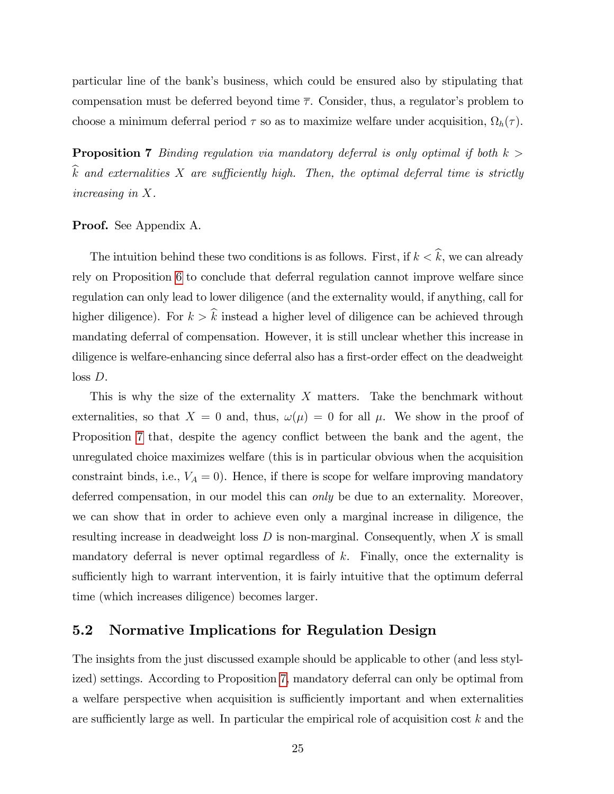particular line of the bankís business, which could be ensured also by stipulating that compensation must be deferred beyond time  $\bar{\tau}$ . Consider, thus, a regulator's problem to choose a minimum deferral period  $\tau$  so as to maximize welfare under acquisition,  $\Omega_h(\tau)$ .

<span id="page-27-1"></span>**Proposition 7** Binding regulation via mandatory deferral is only optimal if both  $k >$  $\widehat{k}$  and externalities X are sufficiently high. Then, the optimal deferral time is strictly increasing in X.

#### Proof. See Appendix A.

The intuition behind these two conditions is as follows. First, if  $k < \hat{k}$ , we can already rely on Proposition [6](#page-24-1) to conclude that deferral regulation cannot improve welfare since regulation can only lead to lower diligence (and the externality would, if anything, call for higher diligence). For  $k > \hat{k}$  instead a higher level of diligence can be achieved through mandating deferral of compensation. However, it is still unclear whether this increase in diligence is welfare-enhancing since deferral also has a first-order effect on the deadweight loss D.

This is why the size of the externality X matters. Take the benchmark without externalities, so that  $X = 0$  and, thus,  $\omega(\mu) = 0$  for all  $\mu$ . We show in the proof of Proposition [7](#page-27-1) that, despite the agency conflict between the bank and the agent, the unregulated choice maximizes welfare (this is in particular obvious when the acquisition constraint binds, i.e.,  $V_A = 0$ ). Hence, if there is scope for welfare improving mandatory deferred compensation, in our model this can *only* be due to an externality. Moreover, we can show that in order to achieve even only a marginal increase in diligence, the resulting increase in deadweight loss  $D$  is non-marginal. Consequently, when  $X$  is small mandatory deferral is never optimal regardless of  $k$ . Finally, once the externality is sufficiently high to warrant intervention, it is fairly intuitive that the optimum deferral time (which increases diligence) becomes larger.

### <span id="page-27-0"></span>5.2 Normative Implications for Regulation Design

The insights from the just discussed example should be applicable to other (and less stylized) settings. According to Proposition [7,](#page-27-1) mandatory deferral can only be optimal from a welfare perspective when acquisition is sufficiently important and when externalities are sufficiently large as well. In particular the empirical role of acquisition cost  $k$  and the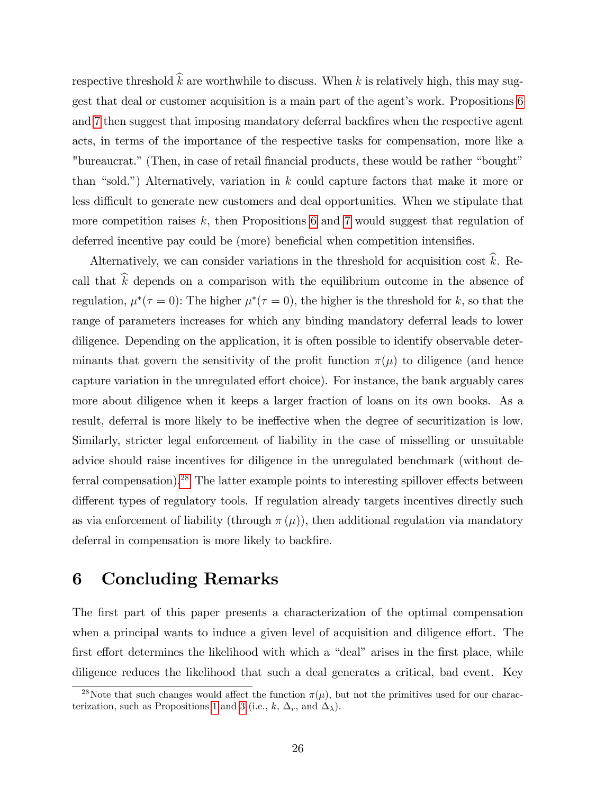respective threshold  $\widehat{k}$  are worthwhile to discuss. When k is relatively high, this may sug-gest that deal or customer acquisition is a main part of the agent's work. Propositions [6](#page-24-1) and [7](#page-27-1) then suggest that imposing mandatory deferral backfires when the respective agent acts, in terms of the importance of the respective tasks for compensation, more like a "bureaucrat." (Then, in case of retail financial products, these would be rather "bought" than "sold.") Alternatively, variation in  $k$  could capture factors that make it more or less difficult to generate new customers and deal opportunities. When we stipulate that more competition raises  $k$ , then Propositions [6](#page-24-1) and [7](#page-27-1) would suggest that regulation of deferred incentive pay could be (more) beneficial when competition intensifies.

Alternatively, we can consider variations in the threshold for acquisition cost  $\hat{k}$ . Recall that  $\hat{k}$  depends on a comparison with the equilibrium outcome in the absence of regulation,  $\mu^*(\tau=0)$ : The higher  $\mu^*(\tau=0)$ , the higher is the threshold for k, so that the range of parameters increases for which any binding mandatory deferral leads to lower diligence. Depending on the application, it is often possible to identify observable determinants that govern the sensitivity of the profit function  $\pi(\mu)$  to diligence (and hence capture variation in the unregulated effort choice). For instance, the bank arguably cares more about diligence when it keeps a larger fraction of loans on its own books. As a result, deferral is more likely to be ineffective when the degree of securitization is low. Similarly, stricter legal enforcement of liability in the case of misselling or unsuitable advice should raise incentives for diligence in the unregulated benchmark (without de-ferral compensation).<sup>[28](#page-28-0)</sup> The latter example points to interesting spillover effects between different types of regulatory tools. If regulation already targets incentives directly such as via enforcement of liability (through  $\pi(\mu)$ ), then additional regulation via mandatory deferral in compensation is more likely to backfire.

# 6 Concluding Remarks

The first part of this paper presents a characterization of the optimal compensation when a principal wants to induce a given level of acquisition and diligence effort. The first effort determines the likelihood with which a "deal" arises in the first place, while diligence reduces the likelihood that such a deal generates a critical, bad event. Key

<span id="page-28-0"></span><sup>&</sup>lt;sup>28</sup>Note that such changes would affect the function  $\pi(\mu)$ , but not the primitives used for our charac-terization, such as Propositions [1](#page-12-4) and [3](#page-19-3) (i.e., k,  $\Delta_r$ , and  $\Delta_\lambda$ ).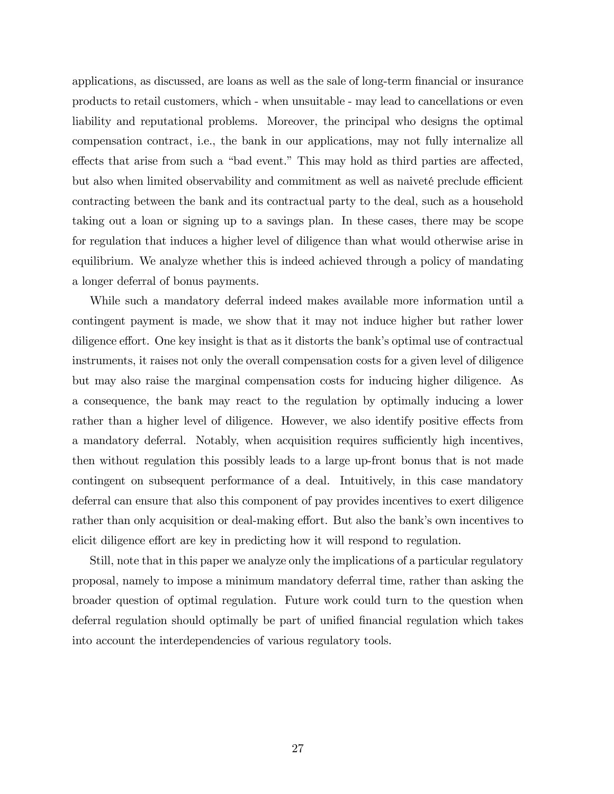applications, as discussed, are loans as well as the sale of long-term financial or insurance products to retail customers, which - when unsuitable - may lead to cancellations or even liability and reputational problems. Moreover, the principal who designs the optimal compensation contract, i.e., the bank in our applications, may not fully internalize all effects that arise from such a "bad event." This may hold as third parties are affected, but also when limited observability and commitment as well as naiveté preclude efficient contracting between the bank and its contractual party to the deal, such as a household taking out a loan or signing up to a savings plan. In these cases, there may be scope for regulation that induces a higher level of diligence than what would otherwise arise in equilibrium. We analyze whether this is indeed achieved through a policy of mandating a longer deferral of bonus payments.

While such a mandatory deferral indeed makes available more information until a contingent payment is made, we show that it may not induce higher but rather lower diligence effort. One key insight is that as it distorts the bank's optimal use of contractual instruments, it raises not only the overall compensation costs for a given level of diligence but may also raise the marginal compensation costs for inducing higher diligence. As a consequence, the bank may react to the regulation by optimally inducing a lower rather than a higher level of diligence. However, we also identify positive effects from a mandatory deferral. Notably, when acquisition requires sufficiently high incentives, then without regulation this possibly leads to a large up-front bonus that is not made contingent on subsequent performance of a deal. Intuitively, in this case mandatory deferral can ensure that also this component of pay provides incentives to exert diligence rather than only acquisition or deal-making effort. But also the bank's own incentives to elicit diligence effort are key in predicting how it will respond to regulation.

Still, note that in this paper we analyze only the implications of a particular regulatory proposal, namely to impose a minimum mandatory deferral time, rather than asking the broader question of optimal regulation. Future work could turn to the question when deferral regulation should optimally be part of unified financial regulation which takes into account the interdependencies of various regulatory tools.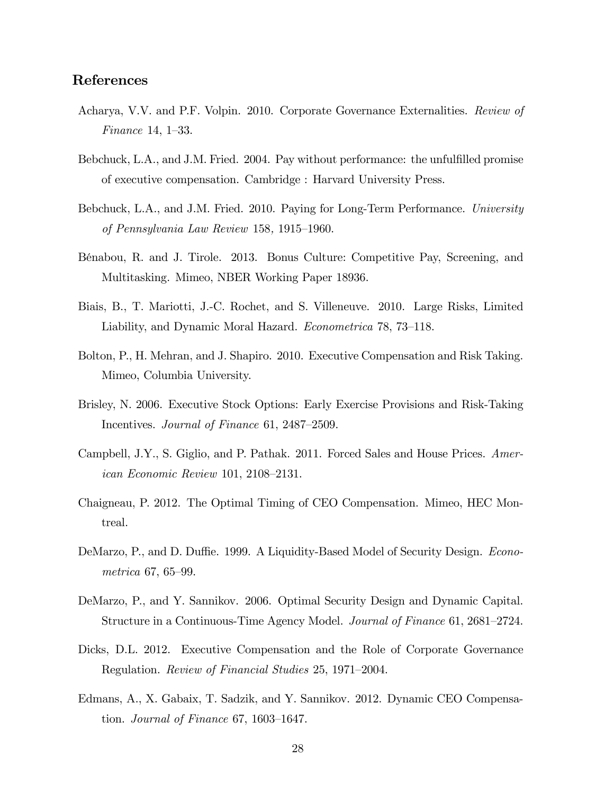### References

- Acharya, V.V. and P.F. Volpin. 2010. Corporate Governance Externalities. Review of Finance 14, 1–33.
- Bebchuck, L.A., and J.M. Fried. 2004. Pay without performance: the unfulfilled promise of executive compensation. Cambridge : Harvard University Press.
- Bebchuck, L.A., and J.M. Fried. 2010. Paying for Long-Term Performance. University of Pennsylvania Law Review  $158, 1915-1960$ .
- BÈnabou, R. and J. Tirole. 2013. Bonus Culture: Competitive Pay, Screening, and Multitasking. Mimeo, NBER Working Paper 18936.
- Biais, B., T. Mariotti, J.-C. Rochet, and S. Villeneuve. 2010. Large Risks, Limited Liability, and Dynamic Moral Hazard. Econometrica 78, 73–118.
- Bolton, P., H. Mehran, and J. Shapiro. 2010. Executive Compensation and Risk Taking. Mimeo, Columbia University.
- Brisley, N. 2006. Executive Stock Options: Early Exercise Provisions and Risk-Taking Incentives. Journal of Finance 61, 2487–2509.
- Campbell, J.Y., S. Giglio, and P. Pathak. 2011. Forced Sales and House Prices. American Economic Review 101, 2108–2131.
- Chaigneau, P. 2012. The Optimal Timing of CEO Compensation. Mimeo, HEC Montreal.
- DeMarzo, P., and D. Duffie. 1999. A Liquidity-Based Model of Security Design. Econo $metrica 67, 65–99.$
- DeMarzo, P., and Y. Sannikov. 2006. Optimal Security Design and Dynamic Capital. Structure in a Continuous-Time Agency Model. *Journal of Finance* 61, 2681–2724.
- Dicks, D.L. 2012. Executive Compensation and the Role of Corporate Governance Regulation. Review of Financial Studies 25, 1971–2004.
- Edmans, A., X. Gabaix, T. Sadzik, and Y. Sannikov. 2012. Dynamic CEO Compensation. Journal of Finance 67, 1603–1647.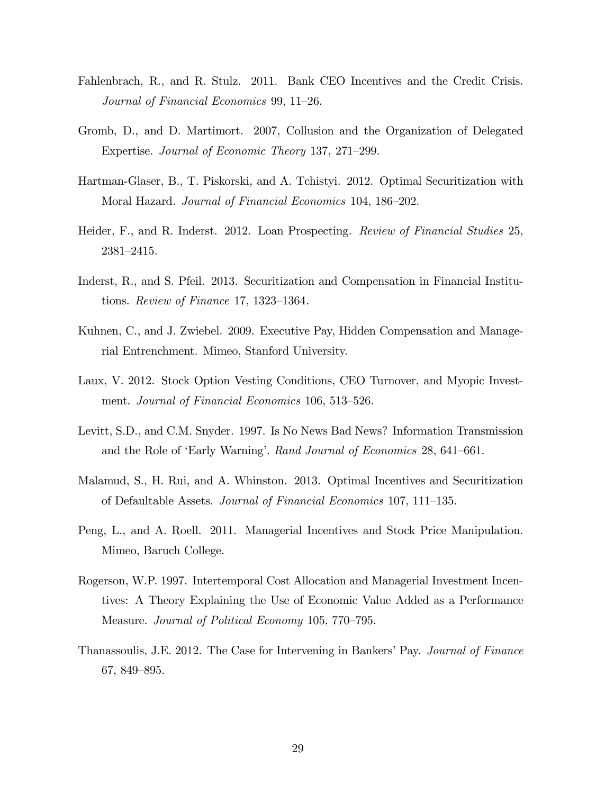- Fahlenbrach, R., and R. Stulz. 2011. Bank CEO Incentives and the Credit Crisis. Journal of Financial Economics 99, 11–26.
- Gromb, D., and D. Martimort. 2007, Collusion and the Organization of Delegated Expertise. Journal of Economic Theory 137, 271–299.
- Hartman-Glaser, B., T. Piskorski, and A. Tchistyi. 2012. Optimal Securitization with Moral Hazard. Journal of Financial Economics 104, 186–202.
- Heider, F., and R. Inderst. 2012. Loan Prospecting. Review of Financial Studies 25,  $2381 - 2415.$
- Inderst, R., and S. Pfeil. 2013. Securitization and Compensation in Financial Institutions. Review of Finance 17, 1323–1364.
- Kuhnen, C., and J. Zwiebel. 2009. Executive Pay, Hidden Compensation and Managerial Entrenchment. Mimeo, Stanford University.
- Laux, V. 2012. Stock Option Vesting Conditions, CEO Turnover, and Myopic Investment. Journal of Financial Economics 106, 513–526.
- Levitt, S.D., and C.M. Snyder. 1997. Is No News Bad News? Information Transmission and the Role of 'Early Warning'. Rand Journal of Economics 28, 641–661.
- Malamud, S., H. Rui, and A. Whinston. 2013. Optimal Incentives and Securitization of Defaultable Assets. Journal of Financial Economics 107, 111–135.
- Peng, L., and A. Roell. 2011. Managerial Incentives and Stock Price Manipulation. Mimeo, Baruch College.
- Rogerson, W.P. 1997. Intertemporal Cost Allocation and Managerial Investment Incentives: A Theory Explaining the Use of Economic Value Added as a Performance Measure. Journal of Political Economy 105, 770–795.
- Thanassoulis, J.E. 2012. The Case for Intervening in Bankers' Pay. Journal of Finance  $67, 849 - 895.$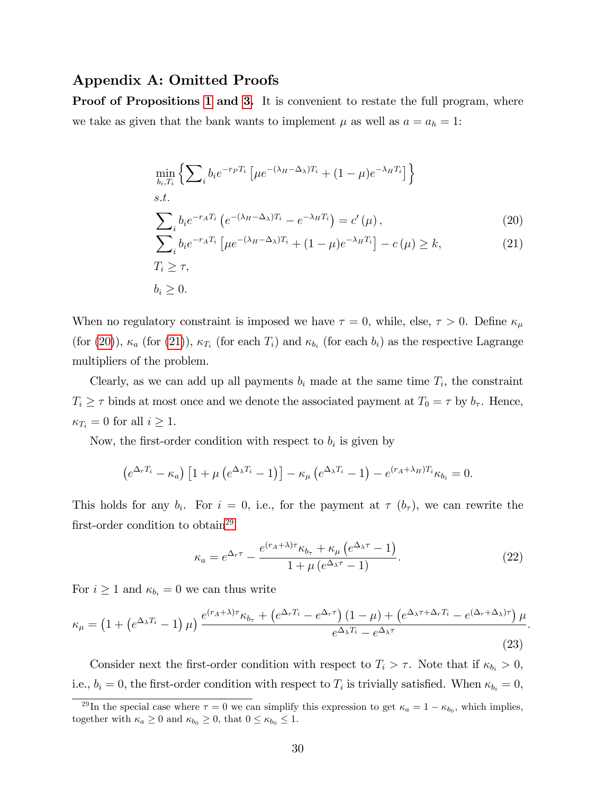### Appendix A: Omitted Proofs

**Proof of Propositions [1](#page-12-4) and [3.](#page-19-3)** It is convenient to restate the full program, where we take as given that the bank wants to implement  $\mu$  as well as  $a = a_h = 1$ :

<span id="page-32-1"></span><span id="page-32-0"></span>
$$
\min_{b_i, T_i} \left\{ \sum_i b_i e^{-r_P T_i} \left[ \mu e^{-(\lambda_H - \Delta_\lambda) T_i} + (1 - \mu) e^{-\lambda_H T_i} \right] \right\}
$$
\n*s.t.*\n
$$
\sum_i b_i e^{-r_A T_i} \left( e^{-(\lambda_H - \Delta_\lambda) T_i} - e^{-\lambda_H T_i} \right) = c'(\mu),
$$
\n
$$
\sum_i b_i e^{-r_A T_i} \left[ \mu e^{-(\lambda_H - \Delta_\lambda) T_i} + (1 - \mu) e^{-\lambda_H T_i} \right] - c(\mu) \ge k,
$$
\n
$$
T_i \ge \tau,
$$
\n
$$
b_i \ge 0.
$$
\n(21)

When no regulatory constraint is imposed we have  $\tau = 0$ , while, else,  $\tau > 0$ . Define  $\kappa_{\mu}$ (for [\(20\)](#page-32-0)),  $\kappa_a$  (for [\(21\)](#page-32-1)),  $\kappa_{T_i}$  (for each  $T_i$ ) and  $\kappa_{b_i}$  (for each  $b_i$ ) as the respective Lagrange multipliers of the problem.

Clearly, as we can add up all payments  $b_i$  made at the same time  $T_i$ , the constraint  $T_i \geq \tau$  binds at most once and we denote the associated payment at  $T_0 = \tau$  by  $b_{\tau}$ . Hence,  $\kappa_{T_i} = 0$  for all  $i \geq 1$ .

Now, the first-order condition with respect to  $b_i$  is given by

$$
\left(e^{\Delta_r T_i}-\kappa_a\right)\left[1+\mu\left(e^{\Delta_\lambda T_i}-1\right)\right]-\kappa_\mu\left(e^{\Delta_\lambda T_i}-1\right)-e^{(r_A+\lambda_H)T_i}\kappa_{b_i}=0.
$$

This holds for any  $b_i$ . For  $i = 0$ , i.e., for the payment at  $\tau(b_{\tau})$ , we can rewrite the first-order condition to obtain<sup>[29](#page-32-2)</sup>

<span id="page-32-3"></span>
$$
\kappa_a = e^{\Delta_r \tau} - \frac{e^{(r_A + \lambda)\tau} \kappa_{b_\tau} + \kappa_\mu \left(e^{\Delta_\lambda \tau} - 1\right)}{1 + \mu \left(e^{\Delta_\lambda \tau} - 1\right)}.
$$
\n(22)

:

For  $i \geq 1$  and  $\kappa_{b_i} = 0$  we can thus write

<span id="page-32-4"></span>
$$
\kappa_{\mu} = \left(1 + \left(e^{\Delta_{\lambda}T_i} - 1\right)\mu\right) \frac{e^{(r_A + \lambda)\tau}\kappa_{b_{\tau}} + \left(e^{\Delta_{r}T_i} - e^{\Delta_{r}\tau}\right)\left(1 - \mu\right) + \left(e^{\Delta_{\lambda}\tau + \Delta_{r}T_i} - e^{(\Delta_{r} + \Delta_{\lambda})\tau}\right)\mu}{e^{\Delta_{\lambda}T_i} - e^{\Delta_{\lambda}\tau}}
$$
\n(23)

Consider next the first-order condition with respect to  $T_i > \tau$ . Note that if  $\kappa_{b_i} > 0$ , i.e.,  $b_i = 0$ , the first-order condition with respect to  $T_i$  is trivially satisfied. When  $\kappa_{b_i} = 0$ ,

<span id="page-32-2"></span><sup>&</sup>lt;sup>29</sup>In the special case where  $\tau = 0$  we can simplify this expression to get  $\kappa_a = 1 - \kappa_{b_0}$ , which implies, together with  $\kappa_a \geq 0$  and  $\kappa_{b_0} \geq 0$ , that  $0 \leq \kappa_{b_0} \leq 1$ .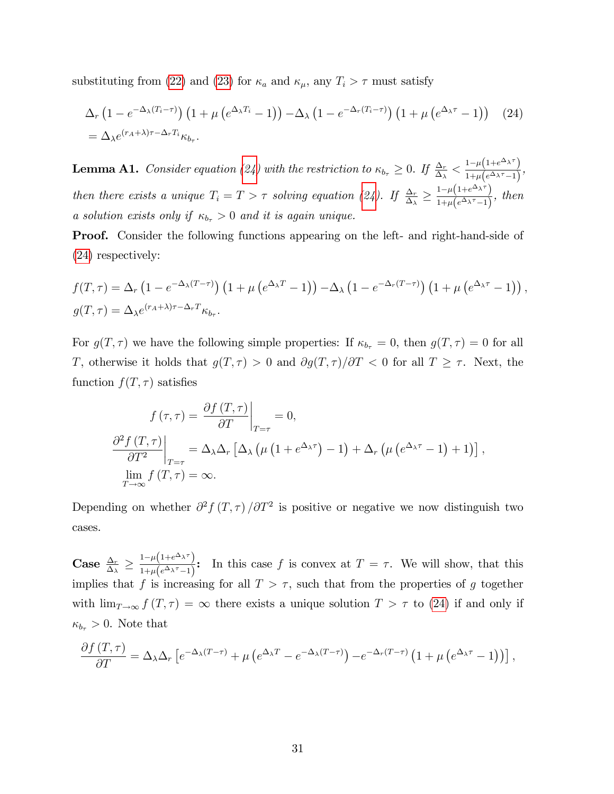substituting from [\(22\)](#page-32-3) and [\(23\)](#page-32-4) for  $\kappa_a$  and  $\kappa_{\mu}$ , any  $T_i > \tau$  must satisfy

<span id="page-33-0"></span>
$$
\Delta_r \left( 1 - e^{-\Delta_\lambda (T_i - \tau)} \right) \left( 1 + \mu \left( e^{\Delta_\lambda T_i} - 1 \right) \right) - \Delta_\lambda \left( 1 - e^{-\Delta_r (T_i - \tau)} \right) \left( 1 + \mu \left( e^{\Delta_\lambda \tau} - 1 \right) \right) \tag{24}
$$
\n
$$
= \Delta_\lambda e^{(r_A + \lambda)\tau - \Delta_r T_i} \kappa_{b_\tau}.
$$

**Lemma A1.** Consider equation [\(24\)](#page-33-0) with the restriction to  $\kappa_{b_{\tau}} \geq 0$ . If  $\frac{\Delta_r}{\Delta_{\lambda}} < \frac{1-\mu(1+e^{\Delta_{\lambda}\tau})}{1+\mu(e^{\Delta_{\lambda}\tau}-1)}$  $\frac{1-\mu(1+e^{-\lambda t})}{1+\mu(e^{\Delta_{\lambda}\tau}-1)},$ then there exists a unique  $T_i = T > \tau$  solving equation [\(24\)](#page-33-0). If  $\frac{\Delta_r}{\Delta_\lambda} \geq$  $1-\mu\left(1+e^{\Delta_{\lambda}\tau}\right)$  $\frac{1-\mu(1+e^{-\lambda})}{1+\mu(e^{\Delta_{\lambda}\tau}-1)},$  then a solution exists only if  $\kappa_{b_\tau} > 0$  and it is again unique.

Proof. Consider the following functions appearing on the left- and right-hand-side of [\(24\)](#page-33-0) respectively:

$$
f(T,\tau) = \Delta_r \left(1 - e^{-\Delta_\lambda (T-\tau)}\right) \left(1 + \mu \left(e^{\Delta_\lambda T} - 1\right)\right) - \Delta_\lambda \left(1 - e^{-\Delta_r (T-\tau)}\right) \left(1 + \mu \left(e^{\Delta_\lambda \tau} - 1\right)\right),
$$
  

$$
g(T,\tau) = \Delta_\lambda e^{(r_A+\lambda)\tau - \Delta_r T} \kappa_{b_\tau}.
$$

For  $g(T, \tau)$  we have the following simple properties: If  $\kappa_{b_\tau} = 0$ , then  $g(T, \tau) = 0$  for all T, otherwise it holds that  $g(T, \tau) > 0$  and  $\partial g(T, \tau)/\partial T < 0$  for all  $T \geq \tau$ . Next, the function  $f(T, \tau)$  satisfies

$$
f(\tau,\tau) = \frac{\partial f(T,\tau)}{\partial T}\Big|_{T=\tau} = 0,
$$
  

$$
\frac{\partial^2 f(T,\tau)}{\partial T^2}\Big|_{T=\tau} = \Delta_{\lambda}\Delta_r \left[\Delta_{\lambda}\left(\mu\left(1 + e^{\Delta_{\lambda}\tau}\right) - 1\right) + \Delta_r\left(\mu\left(e^{\Delta_{\lambda}\tau} - 1\right) + 1\right)\right],
$$
  

$$
\lim_{T \to \infty} f(T,\tau) = \infty.
$$

Depending on whether  $\partial^2 f(T,\tau)/\partial T^2$  is positive or negative we now distinguish two cases.

 $\text{Case} \,\, \frac{\Delta_r}{\Delta_\lambda} \geq$  $1-\mu\left(1+e^{\Delta_{\lambda}\tau}\right)$  $\frac{1-\mu(1+e^{-\lambda t})}{1+\mu(e^{\lambda\lambda \tau}-1)}$ : In this case f is convex at  $T=\tau$ . We will show, that this implies that f is increasing for all  $T > \tau$ , such that from the properties of g together with  $\lim_{T\to\infty} f(T,\tau) = \infty$  there exists a unique solution  $T > \tau$  to [\(24\)](#page-33-0) if and only if  $\kappa_{b_{\tau}} > 0$ . Note that

$$
\frac{\partial f(T,\tau)}{\partial T} = \Delta_{\lambda} \Delta_r \left[ e^{-\Delta_{\lambda}(T-\tau)} + \mu \left( e^{\Delta_{\lambda}T} - e^{-\Delta_{\lambda}(T-\tau)} \right) - e^{-\Delta_r(T-\tau)} \left( 1 + \mu \left( e^{\Delta_{\lambda}\tau} - 1 \right) \right) \right],
$$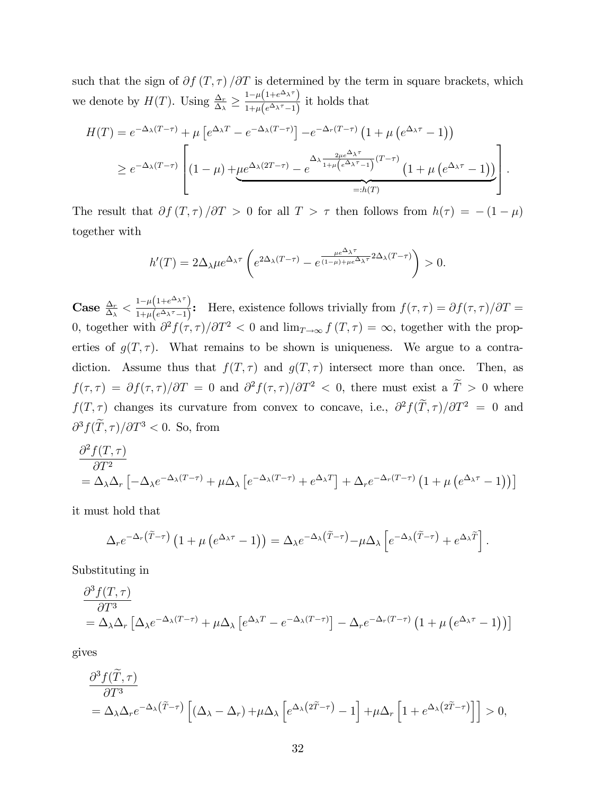such that the sign of  $\partial f(T, \tau) / \partial T$  is determined by the term in square brackets, which we denote by  $H(T)$ . Using  $\frac{\Delta_r}{\Delta_\lambda} \geq$  $1-\mu\left(1+e^{\Delta_{\lambda}\tau}\right)$  $\frac{1-\mu(1+e^{-\lambda t})}{1+\mu(e^{\Delta_{\lambda}\tau}-1)}$  it holds that

$$
H(T) = e^{-\Delta_{\lambda}(T-\tau)} + \mu \left[ e^{\Delta_{\lambda}T} - e^{-\Delta_{\lambda}(T-\tau)} \right] - e^{-\Delta_{r}(T-\tau)} \left( 1 + \mu \left( e^{\Delta_{\lambda}\tau} - 1 \right) \right)
$$
  
\n
$$
\geq e^{-\Delta_{\lambda}(T-\tau)} \left[ (1-\mu) + \mu e^{\Delta_{\lambda}(2T-\tau)} - e^{-\Delta_{\lambda} \frac{2\mu e^{\Delta_{\lambda}\tau}}{1+\mu \left( e^{\Delta_{\lambda}\tau} - 1 \right)} (T-\tau)} \left( 1 + \mu \left( e^{\Delta_{\lambda}\tau} - 1 \right) \right) \right]
$$
  
\n=:h(T)

The result that  $\partial f(T, \tau) / \partial T > 0$  for all  $T > \tau$  then follows from  $h(\tau) = -(1 - \mu)$ together with

$$
h'(T) = 2\Delta_{\lambda}\mu e^{\Delta_{\lambda}\tau} \left(e^{2\Delta_{\lambda}(T-\tau)} - e^{\frac{\mu e^{\Delta_{\lambda}\tau}}{(1-\mu)+\mu e^{\Delta_{\lambda}\tau}}2\Delta_{\lambda}(T-\tau)}\right) > 0.
$$

 $\textbf{Case} \; \frac{\Delta_r}{\Delta_\lambda}< \frac{1-\mu\left(1+e^{\Delta_\lambda \tau}\right)}{1+\mu\left(e^{\Delta_\lambda \tau}-1\right)}$  $\frac{1}{1+\mu(e^{\Delta_{\lambda}\tau}-1)}$ : Here, existence follows trivially from  $f(\tau,\tau)=\partial f(\tau,\tau)/\partial T=$ 0, together with  $\partial^2 f(\tau, \tau)/\partial T^2 < 0$  and  $\lim_{T \to \infty} f(T, \tau) = \infty$ , together with the properties of  $g(T, \tau)$ . What remains to be shown is uniqueness. We argue to a contradiction. Assume thus that  $f(T, \tau)$  and  $g(T, \tau)$  intersect more than once. Then, as  $f(\tau, \tau) = \partial f(\tau, \tau) / \partial T = 0$  and  $\partial^2 f(\tau, \tau) / \partial T^2 < 0$ , there must exist a  $T > 0$  where  $f(T,\tau)$  changes its curvature from convex to concave, i.e.,  $\partial^2 f(\tilde{T},\tau)/\partial T^2 = 0$  and  $\partial^3 f(\tilde{T}, \tau) / \partial T^3 < 0$ . So, from

$$
\frac{\partial^2 f(T,\tau)}{\partial T^2} = \Delta_{\lambda} \Delta_r \left[ -\Delta_{\lambda} e^{-\Delta_{\lambda}(T-\tau)} + \mu \Delta_{\lambda} \left[ e^{-\Delta_{\lambda}(T-\tau)} + e^{\Delta_{\lambda}T} \right] + \Delta_r e^{-\Delta_r(T-\tau)} \left( 1 + \mu \left( e^{\Delta_{\lambda}\tau} - 1 \right) \right) \right]
$$

it must hold that

$$
\Delta_r e^{-\Delta_r(\tilde{T}-\tau)} \left(1+\mu\left(e^{\Delta_\lambda \tau}-1\right)\right) = \Delta_\lambda e^{-\Delta_\lambda(\tilde{T}-\tau)} - \mu \Delta_\lambda \left[e^{-\Delta_\lambda(\tilde{T}-\tau)} + e^{\Delta_\lambda \tilde{T}}\right].
$$

Substituting in

$$
\frac{\partial^3 f(T,\tau)}{\partial T^3} = \Delta_{\lambda} \Delta_r \left[ \Delta_{\lambda} e^{-\Delta_{\lambda}(T-\tau)} + \mu \Delta_{\lambda} \left[ e^{\Delta_{\lambda} T} - e^{-\Delta_{\lambda}(T-\tau)} \right] - \Delta_r e^{-\Delta_r(T-\tau)} \left( 1 + \mu \left( e^{\Delta_{\lambda} \tau} - 1 \right) \right) \right]
$$

gives

$$
\frac{\partial^3 f(\tilde{T},\tau)}{\partial T^3} = \Delta_{\lambda} \Delta_r e^{-\Delta_{\lambda} (\tilde{T}-\tau)} \left[ (\Delta_{\lambda} - \Delta_r) + \mu \Delta_{\lambda} \left[ e^{\Delta_{\lambda} (2\tilde{T}-\tau)} - 1 \right] + \mu \Delta_r \left[ 1 + e^{\Delta_{\lambda} (2\tilde{T}-\tau)} \right] \right] > 0,
$$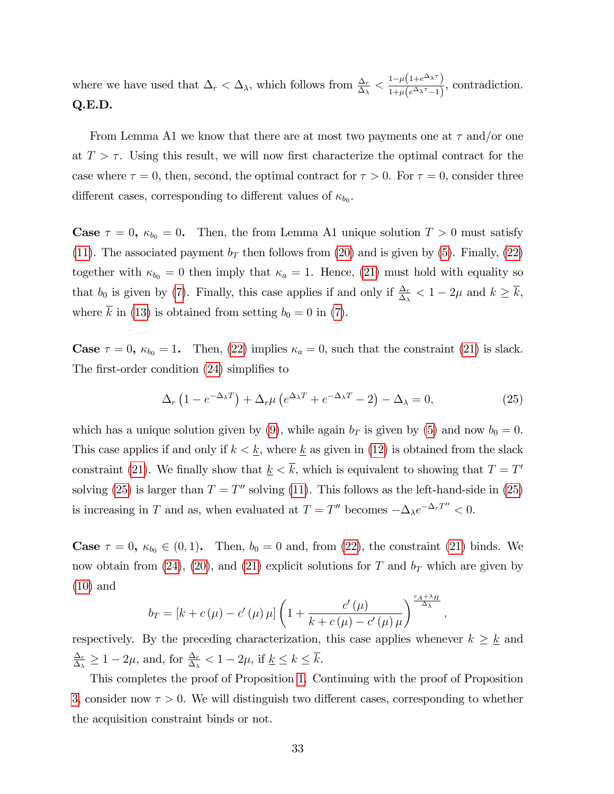where we have used that  $\Delta_r < \Delta_\lambda$ , which follows from  $\frac{\Delta_r}{\Delta_\lambda} < \frac{1-\mu(1+e^{\Delta_\lambda \tau})}{1+\mu(e^{\Delta_\lambda \tau}-1)}$  $\frac{1-\mu(1+e^{-\lambda t})}{1+\mu(e^{\Delta_{\lambda}\tau}-1)},$  contradiction. Q.E.D.

From Lemma A1 we know that there are at most two payments one at  $\tau$  and/or one at  $T > \tau$ . Using this result, we will now first characterize the optimal contract for the case where  $\tau = 0$ , then, second, the optimal contract for  $\tau > 0$ . For  $\tau = 0$ , consider three different cases, corresponding to different values of  $\kappa_{b_0}$ .

**Case**  $\tau = 0$ ,  $\kappa_{b_0} = 0$ . Then, the from Lemma A1 unique solution  $T > 0$  must satisfy [\(11\)](#page-15-2). The associated payment  $b_T$  then follows from [\(20\)](#page-32-0) and is given by [\(5\)](#page-12-1). Finally, [\(22\)](#page-32-3) together with  $\kappa_{b_0} = 0$  then imply that  $\kappa_a = 1$ . Hence, [\(21\)](#page-32-1) must hold with equality so that  $b_0$  is given by [\(7\)](#page-12-2). Finally, this case applies if and only if  $\frac{\Delta_r}{\Delta_\lambda} < 1 - 2\mu$  and  $k \ge \overline{k}$ , where  $\overline{k}$  in [\(13\)](#page-15-3) is obtained from setting  $b_0 = 0$  in [\(7\)](#page-12-2).

**Case**  $\tau = 0$ ,  $\kappa_{b_0} = 1$ . Then, [\(22\)](#page-32-3) implies  $\kappa_a = 0$ , such that the constraint [\(21\)](#page-32-1) is slack. The first-order condition  $(24)$  simplifies to

<span id="page-35-0"></span>
$$
\Delta_r \left( 1 - e^{-\Delta_\lambda T} \right) + \Delta_r \mu \left( e^{\Delta_\lambda T} + e^{-\Delta_\lambda T} - 2 \right) - \Delta_\lambda = 0, \tag{25}
$$

;

which has a unique solution given by [\(9\)](#page-14-2), while again  $b<sub>T</sub>$  is given by [\(5\)](#page-12-1) and now  $b<sub>0</sub> = 0$ . This case applies if and only if  $k < \underline{k}$ , where  $\underline{k}$  as given in [\(12\)](#page-15-1) is obtained from the slack constraint [\(21\)](#page-32-1). We finally show that  $\underline{k} < k$ , which is equivalent to showing that  $T = T'$ solving [\(25\)](#page-35-0) is larger than  $T = T''$  solving [\(11\)](#page-15-2). This follows as the left-hand-side in (25) is increasing in T and as, when evaluated at  $T = T''$  becomes  $-\Delta_{\lambda}e^{-\Delta_r T''} < 0$ .

**Case**  $\tau = 0$ ,  $\kappa_{b_0} \in (0, 1)$ . Then,  $b_0 = 0$  and, from [\(22\)](#page-32-3), the constraint [\(21\)](#page-32-1) binds. We now obtain from [\(24\)](#page-33-0), [\(20\)](#page-32-0), and [\(21\)](#page-32-1) explicit solutions for T and  $b_T$  which are given by [\(10\)](#page-14-1) and

<span id="page-35-1"></span>
$$
b_T = \left[k + c(\mu) - c'(\mu)\mu\right] \left(1 + \frac{c'(\mu)}{k + c(\mu) - c'(\mu)\mu}\right)^{\frac{r_A + \lambda_H}{\Delta_{\lambda}}}
$$

respectively. By the preceding characterization, this case applies whenever  $k \geq \underline{k}$  and  $\Delta_r$  $\frac{\Delta_r}{\Delta_\lambda} \geq 1 - 2\mu$ , and, for  $\frac{\Delta_r}{\Delta_\lambda} < 1 - 2\mu$ , if  $\underline{k} \leq k \leq \overline{k}$ .

This completes the proof of Proposition [1.](#page-12-4) Continuing with the proof of Proposition [3,](#page-19-3) consider now  $\tau > 0$ . We will distinguish two different cases, corresponding to whether the acquisition constraint binds or not.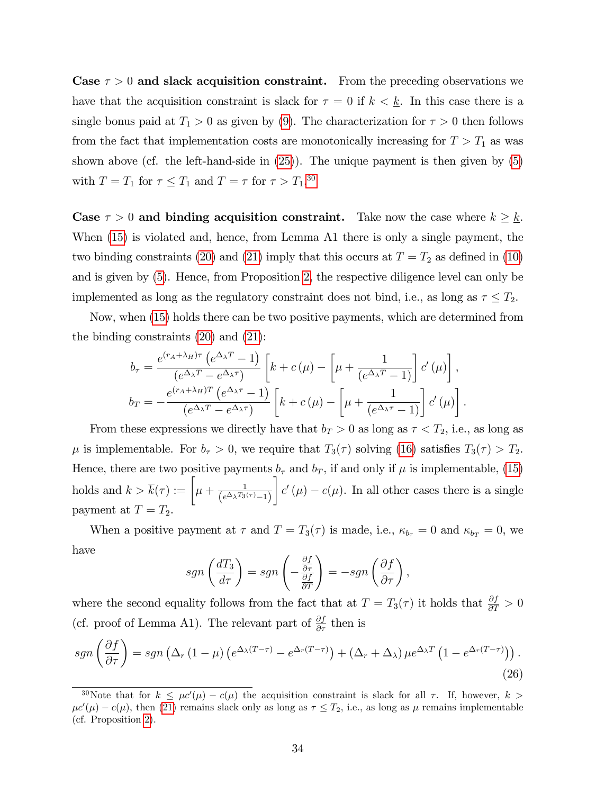Case  $\tau > 0$  and slack acquisition constraint. From the preceding observations we have that the acquisition constraint is slack for  $\tau = 0$  if  $k < \underline{k}$ . In this case there is a single bonus paid at  $T_1 > 0$  as given by [\(9\)](#page-14-2). The characterization for  $\tau > 0$  then follows from the fact that implementation costs are monotonically increasing for  $T > T_1$  as was shown above (cf. the left-hand-side in [\(25\)](#page-35-0)). The unique payment is then given by [\(5\)](#page-12-1) with  $T = T_1$  for  $\tau \le T_1$  and  $T = \tau$  for  $\tau > T_1$ .<sup>[30](#page-36-0)</sup>

Case  $\tau > 0$  and binding acquisition constraint. Take now the case where  $k \geq \underline{k}$ . When [\(15\)](#page-20-0) is violated and, hence, from Lemma A1 there is only a single payment, the two binding constraints [\(20\)](#page-32-0) and [\(21\)](#page-32-1) imply that this occurs at  $T = T_2$  as defined in [\(10\)](#page-14-1) and is given by [\(5\)](#page-12-1). Hence, from Proposition [2,](#page-19-2) the respective diligence level can only be implemented as long as the regulatory constraint does not bind, i.e., as long as  $\tau \leq T_2$ .

Now, when [\(15\)](#page-20-0) holds there can be two positive payments, which are determined from the binding constraints [\(20\)](#page-32-0) and [\(21\)](#page-32-1):

$$
b_{\tau} = \frac{e^{(r_A + \lambda_H)\tau} \left(e^{\Delta_{\lambda}T} - 1\right)}{(e^{\Delta_{\lambda}T} - e^{\Delta_{\lambda}\tau})} \left[k + c(\mu) - \left[\mu + \frac{1}{(e^{\Delta_{\lambda}T} - 1)}\right] c'(\mu)\right],
$$
  

$$
b_T = -\frac{e^{(r_A + \lambda_H)T} \left(e^{\Delta_{\lambda}\tau} - 1\right)}{(e^{\Delta_{\lambda}T} - e^{\Delta_{\lambda}\tau})} \left[k + c(\mu) - \left[\mu + \frac{1}{(e^{\Delta_{\lambda}\tau} - 1)}\right] c'(\mu)\right].
$$

From these expressions we directly have that  $b_T > 0$  as long as  $\tau < T_2$ , i.e., as long as  $\mu$  is implementable. For  $b_{\tau} > 0$ , we require that  $T_3(\tau)$  solving [\(16\)](#page-21-2) satisfies  $T_3(\tau) > T_2$ . Hence, there are two positive payments  $b_{\tau}$  and  $b_{T}$ , if and only if  $\mu$  is implementable, [\(15\)](#page-20-0) holds and  $k > \overline{k}(\tau) := \left[\mu + \frac{1}{(\sqrt{\Delta} \sqrt{T})^2}\right]$  $\left(e^{\Delta_{\lambda} T_3(\tau)}-1\right)$ 1  $c'(\mu) - c(\mu)$ . In all other cases there is a single payment at  $T = T_2$ .

When a positive payment at  $\tau$  and  $T = T_3(\tau)$  is made, i.e.,  $\kappa_{b_\tau} = 0$  and  $\kappa_{b_T} = 0$ , we have

$$
sgn\left(\frac{dT_3}{d\tau}\right) = sgn\left(-\frac{\frac{\partial f}{\partial \tau}}{\frac{\partial f}{\partial T}}\right) = -sgn\left(\frac{\partial f}{\partial \tau}\right),
$$

where the second equality follows from the fact that at  $T = T_3(\tau)$  it holds that  $\frac{\partial f}{\partial T} > 0$ (cf. proof of Lemma A1). The relevant part of  $\frac{\partial f}{\partial \tau}$  then is

$$
sgn\left(\frac{\partial f}{\partial \tau}\right) = sgn\left(\Delta_r\left(1-\mu\right)\left(e^{\Delta_\lambda\left(T-\tau\right)} - e^{\Delta_r\left(T-\tau\right)}\right) + \left(\Delta_r + \Delta_\lambda\right)\mu e^{\Delta_\lambda T}\left(1 - e^{\Delta_r\left(T-\tau\right)}\right)\right).
$$
\n(26)

<span id="page-36-0"></span><sup>&</sup>lt;sup>30</sup>Note that for  $k \leq \mu c'(\mu) - c(\mu)$  the acquisition constraint is slack for all  $\tau$ . If, however,  $k >$  $\mu c'(\mu) - c(\mu)$ , then [\(21\)](#page-32-1) remains slack only as long as  $\tau \le T_2$ , i.e., as long as  $\mu$  remains implementable (cf. Proposition [2\)](#page-19-2).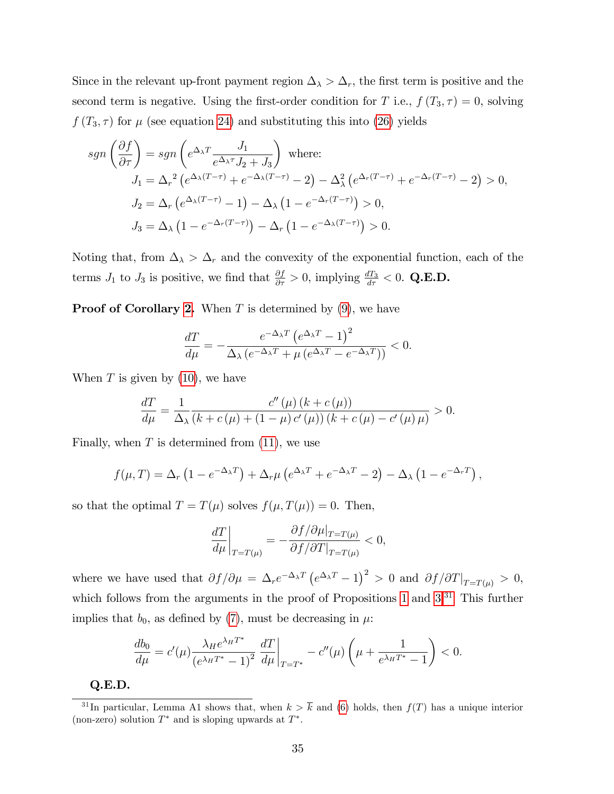Since in the relevant up-front payment region  $\Delta_{\lambda} > \Delta_r$ , the first term is positive and the second term is negative. Using the first-order condition for T i.e.,  $f(T_3, \tau) = 0$ , solving  $f(T_3, \tau)$  for  $\mu$  (see equation [24\)](#page-33-0) and substituting this into [\(26\)](#page-35-1) yields

$$
sgn\left(\frac{\partial f}{\partial \tau}\right) = sgn\left(e^{\Delta_{\lambda}T}\frac{J_1}{e^{\Delta_{\lambda}\tau}J_2 + J_3}\right) \text{ where:}
$$
  
\n
$$
J_1 = \Delta_r^2 \left(e^{\Delta_{\lambda}(T-\tau)} + e^{-\Delta_{\lambda}(T-\tau)} - 2\right) - \Delta_{\lambda}^2 \left(e^{\Delta_r(T-\tau)} + e^{-\Delta_r(T-\tau)} - 2\right) > 0,
$$
  
\n
$$
J_2 = \Delta_r \left(e^{\Delta_{\lambda}(T-\tau)} - 1\right) - \Delta_{\lambda} \left(1 - e^{-\Delta_r(T-\tau)}\right) > 0,
$$
  
\n
$$
J_3 = \Delta_{\lambda} \left(1 - e^{-\Delta_r(T-\tau)}\right) - \Delta_r \left(1 - e^{-\Delta_{\lambda}(T-\tau)}\right) > 0.
$$

Noting that, from  $\Delta_{\lambda} > \Delta_r$  and the convexity of the exponential function, each of the terms  $J_1$  to  $J_3$  is positive, we find that  $\frac{\partial f}{\partial \tau} > 0$ , implying  $\frac{dT_3}{d\tau} < 0$ . Q.E.D.

**Proof of Corollary [2.](#page-16-1)** When  $T$  is determined by  $(9)$ , we have

$$
\frac{dT}{d\mu} = -\frac{e^{-\Delta_{\lambda}T} \left(e^{\Delta_{\lambda}T} - 1\right)^2}{\Delta_{\lambda} \left(e^{-\Delta_{\lambda}T} + \mu \left(e^{\Delta_{\lambda}T} - e^{-\Delta_{\lambda}T}\right)\right)} < 0.
$$

When  $T$  is given by  $(10)$ , we have

$$
\frac{dT}{d\mu} = \frac{1}{\Delta_{\lambda}} \frac{c''(\mu) (k + c(\mu))}{(k + c(\mu) + (1 - \mu) c'(\mu)) (k + c(\mu) - c'(\mu)\mu)} > 0.
$$

Finally, when  $T$  is determined from  $(11)$ , we use

$$
f(\mu,T) = \Delta_r \left(1 - e^{-\Delta_\lambda T}\right) + \Delta_r \mu \left(e^{\Delta_\lambda T} + e^{-\Delta_\lambda T} - 2\right) - \Delta_\lambda \left(1 - e^{-\Delta_r T}\right),
$$

so that the optimal  $T = T(\mu)$  solves  $f(\mu, T(\mu)) = 0$ . Then,

$$
\left. \frac{dT}{d\mu} \right|_{T=T(\mu)} = -\frac{\partial f/\partial \mu|_{T=T(\mu)}}{\partial f/\partial T|_{T=T(\mu)}} < 0,
$$

where we have used that  $\partial f/\partial \mu = \Delta_r e^{-\Delta_\lambda T} (e^{\Delta_\lambda T} - 1)^2 > 0$  and  $\partial f/\partial T|_{T=T(\mu)} > 0$ , which follows from the arguments in the proof of Propositions [1](#page-12-4) and [3.](#page-19-3)<sup>[31](#page-37-0)</sup> This further implies that  $b_0$ , as defined by [\(7\)](#page-12-2), must be decreasing in  $\mu$ .

$$
\frac{db_0}{d\mu} = c'(\mu) \frac{\lambda_H e^{\lambda_H T^*}}{(e^{\lambda_H T^*} - 1)^2} \left. \frac{dT}{d\mu} \right|_{T = T^*} - c''(\mu) \left( \mu + \frac{1}{e^{\lambda_H T^*} - 1} \right) < 0.
$$

Q.E.D.

<span id="page-37-0"></span><sup>&</sup>lt;sup>31</sup>In particular, Lemma A1 shows that, when  $k > \overline{k}$  and [\(6\)](#page-12-3) holds, then  $f(T)$  has a unique interior (non-zero) solution  $T^*$  and is sloping upwards at  $T^*$ .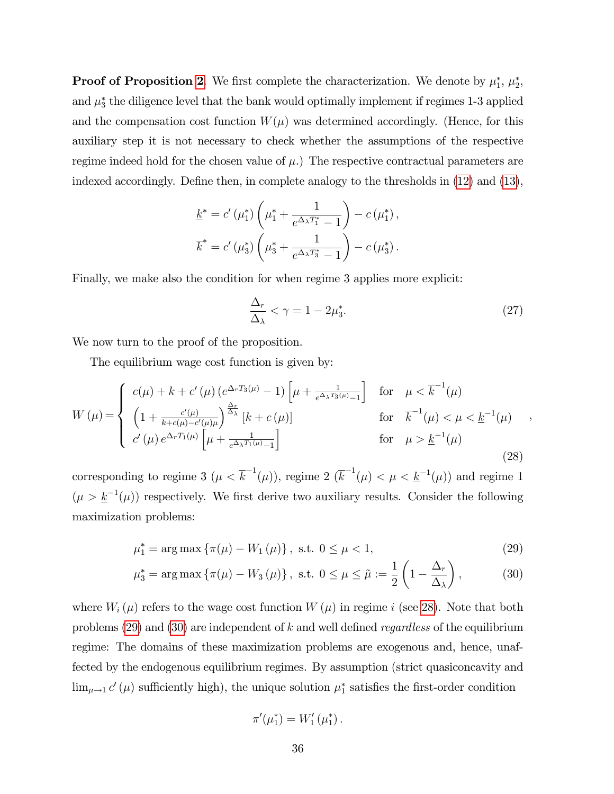**Proof of Proposition [2](#page-17-1).** We first complete the characterization. We denote by  $\mu_1^*, \mu_2^*,$ and  $\mu_3^*$  the diligence level that the bank would optimally implement if regimes 1-3 applied and the compensation cost function  $W(\mu)$  was determined accordingly. (Hence, for this auxiliary step it is not necessary to check whether the assumptions of the respective regime indeed hold for the chosen value of  $\mu$ .) The respective contractual parameters are indexed accordingly. Define then, in complete analogy to the thresholds in  $(12)$  and  $(13)$ ,

$$
\underline{k}^* = c'(\mu_1^*) \left( \mu_1^* + \frac{1}{e^{\Delta_\lambda T_1^*} - 1} \right) - c(\mu_1^*),
$$
  

$$
\overline{k}^* = c'(\mu_3^*) \left( \mu_3^* + \frac{1}{e^{\Delta_\lambda T_3^*} - 1} \right) - c(\mu_3^*).
$$

Finally, we make also the condition for when regime 3 applies more explicit:

<span id="page-38-3"></span>
$$
\frac{\Delta_r}{\Delta_\lambda} < \gamma = 1 - 2\mu_3^*.\tag{27}
$$

We now turn to the proof of the proposition.

The equilibrium wage cost function is given by:

<span id="page-38-0"></span>
$$
W(\mu) = \begin{cases} c(\mu) + k + c'(\mu) \left( e^{\Delta_r T_3(\mu)} - 1 \right) \left[ \mu + \frac{1}{e^{\Delta_\lambda T_3(\mu)} - 1} \right] & \text{for } \mu < \overline{k}^{-1}(\mu) \\ \left( 1 + \frac{c'(\mu)}{k + c(\mu) - c'(\mu)\mu} \right)^{\frac{\Delta_r}{\Delta_\lambda}} \left[ k + c(\mu) \right] & \text{for } \overline{k}^{-1}(\mu) < \mu < \underline{k}^{-1}(\mu) \\ c'(\mu) e^{\Delta_r T_1(\mu)} \left[ \mu + \frac{1}{e^{\Delta_\lambda T_1(\mu)} - 1} \right] & \text{for } \mu > \underline{k}^{-1}(\mu) \end{cases}
$$
(28)

corresponding to regime 3  $(\mu < \overline{k}^{-1}(\mu))$ , regime 2  $(\overline{k}^{-1}(\mu)) < \mu < \underline{k}^{-1}(\mu)$  and regime 1  $(\mu > \underline{k}^{-1}(\mu))$  respectively. We first derive two auxiliary results. Consider the following maximization problems:

$$
\mu_1^* = \arg \max \{ \pi(\mu) - W_1(\mu) \}, \text{ s.t. } 0 \le \mu < 1,\tag{29}
$$

$$
\mu_3^* = \arg \max \left\{ \pi(\mu) - W_3(\mu) \right\}, \text{ s.t. } 0 \le \mu \le \tilde{\mu} := \frac{1}{2} \left( 1 - \frac{\Delta_r}{\Delta_\lambda} \right), \tag{30}
$$

where  $W_i(\mu)$  refers to the wage cost function  $W(\mu)$  in regime i (see [28\)](#page-38-0). Note that both problems  $(29)$  and  $(30)$  are independent of k and well defined *regardless* of the equilibrium regime: The domains of these maximization problems are exogenous and, hence, unaffected by the endogenous equilibrium regimes. By assumption (strict quasiconcavity and  $\lim_{\mu \to 1} c'(\mu)$  sufficiently high), the unique solution  $\mu_1^*$  satisfies the first-order condition

<span id="page-38-2"></span><span id="page-38-1"></span>
$$
\pi'(\mu_1^*) = W_1'(\mu_1^*)\,.
$$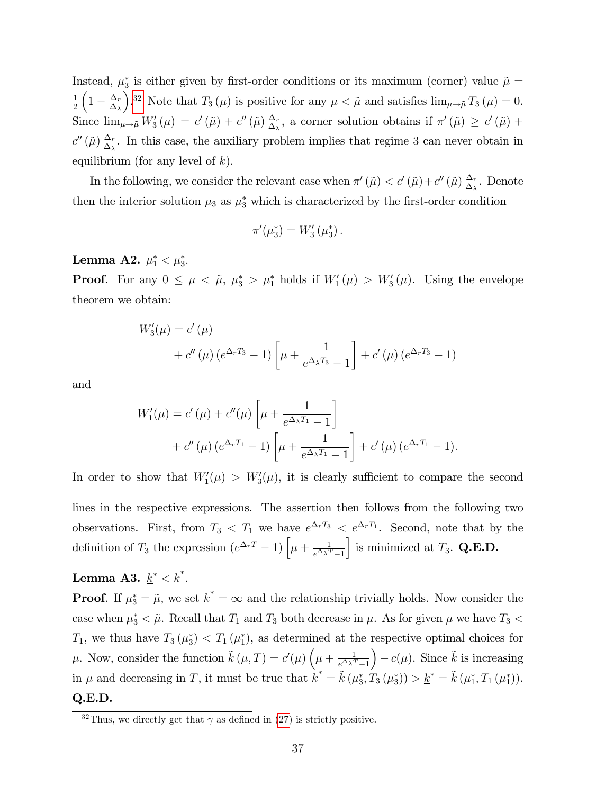Instead,  $\mu_3^*$  is either given by first-order conditions or its maximum (corner) value  $\tilde{\mu} =$ 1 2  $\left(1 - \frac{\Delta_r}{\Delta_\lambda}\right)$  $\Delta_\lambda$ ).<sup>[32](#page-39-0)</sup> Note that  $T_3(\mu)$  is positive for any  $\mu < \tilde{\mu}$  and satisfies  $\lim_{\mu \to \tilde{\mu}} T_3(\mu) = 0$ . Since  $\lim_{\mu\to\tilde{\mu}} W_3'(\mu) = c'(\tilde{\mu}) + c''(\tilde{\mu}) \frac{\Delta_r}{\Delta_{\lambda}}$  $\frac{\Delta_r}{\Delta_{\lambda}},$  a corner solution obtains if  $\pi'(\tilde{\mu}) \geq c'(\tilde{\mu}) +$  $c''(\tilde{\mu})\frac{\Delta_r}{\Delta_{\lambda}}$  $\frac{\Delta_r}{\Delta_{\lambda}}$ . In this case, the auxiliary problem implies that regime 3 can never obtain in equilibrium (for any level of  $k$ ).

In the following, we consider the relevant case when  $\pi'(\tilde{\mu}) < c'(\tilde{\mu}) + c''(\tilde{\mu}) \frac{\Delta_r}{\Delta_r}$  $\frac{\Delta_r}{\Delta_\lambda}$ . Denote then the interior solution  $\mu_3$  as  $\mu_3^*$  which is characterized by the first-order condition

$$
\pi'(\mu_3^*) = W'_3(\mu_3^*)\,.
$$

Lemma A2.  $\mu_1^* < \mu_3^*$ .

**Proof.** For any  $0 \leq \mu < \tilde{\mu}$ ,  $\mu_3^* > \mu_1^*$  holds if  $W_1'(\mu) > W_3'(\mu)$ . Using the envelope theorem we obtain:

$$
W'_{3}(\mu) = c'(\mu)
$$
  
+ c''(\mu) (e^{\Delta\_r T\_3} - 1) \left[ \mu + \frac{1}{e^{\Delta\_\lambda T\_3} - 1} \right] + c'(\mu) (e^{\Delta\_r T\_3} - 1)

and

$$
W'_{1}(\mu) = c'(\mu) + c''(\mu) \left[ \mu + \frac{1}{e^{\Delta_{\lambda} T_{1}} - 1} \right] + c''(\mu) (e^{\Delta_{r} T_{1}} - 1) \left[ \mu + \frac{1}{e^{\Delta_{\lambda} T_{1}} - 1} \right] + c'(\mu) (e^{\Delta_{r} T_{1}} - 1).
$$

In order to show that  $W_1'(\mu) > W_3'(\mu)$ , it is clearly sufficient to compare the second lines in the respective expressions. The assertion then follows from the following two observations. First, from  $T_3 < T_1$  we have  $e^{\Delta_r T_3} < e^{\Delta_r T_1}$ . Second, note that by the definition of  $T_3$  the expression  $(e^{\Delta_r T} - 1) \left[ \mu + \frac{1}{e^{\Delta_\lambda T}} \right]$  $e^{\Delta_{\lambda} T}-1$ is minimized at  $T_3$ . **Q.E.D.** 

### ${\bf Lemma \ \ } {\bf A3.} \ \ \underline{k}^* < \overline{k}^*.$

**Proof.** If  $\mu_3^* = \tilde{\mu}$ , we set  $\overline{k}^* = \infty$  and the relationship trivially holds. Now consider the case when  $\mu_3^* < \tilde{\mu}$ . Recall that  $T_1$  and  $T_3$  both decrease in  $\mu$ . As for given  $\mu$  we have  $T_3 <$  $T_1$ , we thus have  $T_3(\mu_3^*) < T_1(\mu_1^*)$ , as determined at the respective optimal choices for  $\mu$ . Now, consider the function  $\tilde{k}(\mu, T) = c'(\mu) \left(\mu + \frac{1}{c^{\Delta} \lambda^2} \right)$  $e^{\Delta_{\lambda} T}-1$  $-c(\mu)$ . Since  $\tilde{k}$  is increasing in  $\mu$  and decreasing in T, it must be true that  $\overline{k}^* = \tilde{k} (\mu_3^*, T_3 (\mu_3^*)) > \underline{k}^* = \tilde{k} (\mu_1^*, T_1 (\mu_1^*)).$ Q.E.D.

<span id="page-39-0"></span><sup>&</sup>lt;sup>32</sup>Thus, we directly get that  $\gamma$  as defined in [\(27\)](#page-38-3) is strictly positive.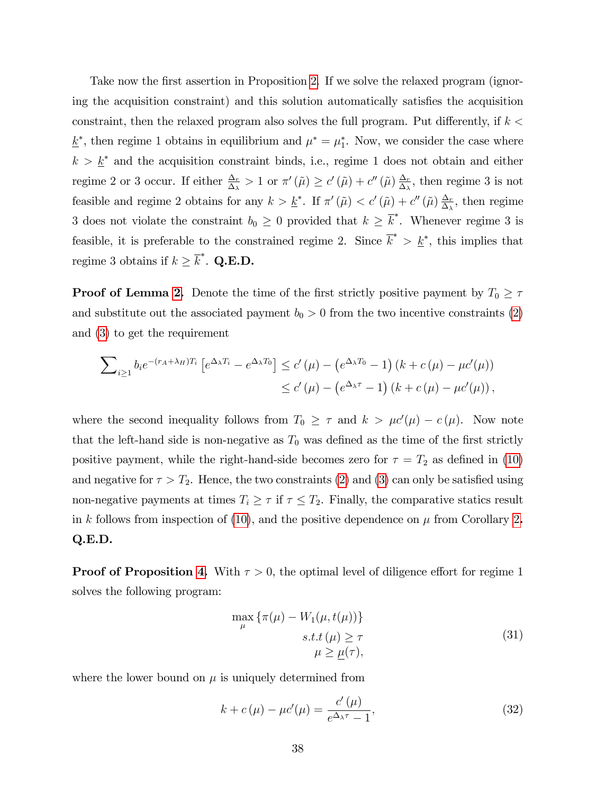Take now the first assertion in Proposition [2.](#page-17-1) If we solve the relaxed program (ignoring the acquisition constraint) and this solution automatically satisfies the acquisition constraint, then the relaxed program also solves the full program. Put differently, if  $k <$  $\underline{k}^*$ , then regime 1 obtains in equilibrium and  $\mu^* = \mu_1^*$ . Now, we consider the case where  $k > \underline{k}^*$  and the acquisition constraint binds, i.e., regime 1 does not obtain and either regime 2 or 3 occur. If either  $\frac{\Delta_r}{\Delta_\lambda} > 1$  or  $\pi'(\tilde{\mu}) \ge c'(\tilde{\mu}) + c''(\tilde{\mu}) \frac{\Delta_r}{\Delta_\lambda}$  $\frac{\Delta_r}{\Delta_\lambda}$ , then regime 3 is not feasible and regime 2 obtains for any  $k > \underline{k}^*$ . If  $\pi'(\tilde{\mu}) < c'(\tilde{\mu}) + c''(\tilde{\mu}) \frac{\Delta_r}{\Delta_s}$  $\frac{\Delta_r}{\Delta_\lambda}$ , then regime 3 does not violate the constraint  $b_0 \geq 0$  provided that  $k \geq \overline{k}^*$ . Whenever regime 3 is feasible, it is preferable to the constrained regime 2. Since  $\overline{k}^* > \underline{k}^*$ , this implies that regime 3 obtains if  $k \geq \overline{k}^*$ . **Q.E.D.** 

**Proof of Lemma [2.](#page-19-2)** Denote the time of the first strictly positive payment by  $T_0 \geq \tau$ and substitute out the associated payment  $b_0 > 0$  from the two incentive constraints [\(2\)](#page-11-1) and [\(3\)](#page-11-2) to get the requirement

$$
\sum_{i\geq 1} b_i e^{-(r_A+\lambda_H)T_i} \left[ e^{\Delta_\lambda T_i} - e^{\Delta_\lambda T_0} \right] \leq c'(\mu) - \left( e^{\Delta_\lambda T_0} - 1 \right) \left( k + c(\mu) - \mu c'(\mu) \right)
$$
  

$$
\leq c'(\mu) - \left( e^{\Delta_\lambda \tau} - 1 \right) \left( k + c(\mu) - \mu c'(\mu) \right),
$$

where the second inequality follows from  $T_0 \geq \tau$  and  $k > \mu c'(\mu) - c(\mu)$ . Now note that the left-hand side is non-negative as  $T_0$  was defined as the time of the first strictly positive payment, while the right-hand-side becomes zero for  $\tau = T_2$  as defined in [\(10\)](#page-14-1) and negative for  $\tau > T_2$ . Hence, the two constraints [\(2\)](#page-11-1) and [\(3\)](#page-11-2) can only be satisfied using non-negative payments at times  $T_i \geq \tau$  if  $\tau \leq T_2$ . Finally, the comparative statics result in k follows from inspection of [\(10\)](#page-14-1), and the positive dependence on  $\mu$  from Corollary [2](#page-16-1). Q.E.D.

**Proof of Proposition [4.](#page-22-0)** With  $\tau > 0$ , the optimal level of diligence effort for regime 1 solves the following program:

<span id="page-40-0"></span>
$$
\max_{\mu} \{\pi(\mu) - W_1(\mu, t(\mu))\}
$$
  
s.t.  $t(\mu) \ge \tau$   
 $\mu \ge \underline{\mu}(\tau),$  (31)

where the lower bound on  $\mu$  is uniquely determined from

<span id="page-40-1"></span>
$$
k + c(\mu) - \mu c'(\mu) = \frac{c'(\mu)}{e^{\Delta_{\lambda}\tau} - 1},
$$
\n(32)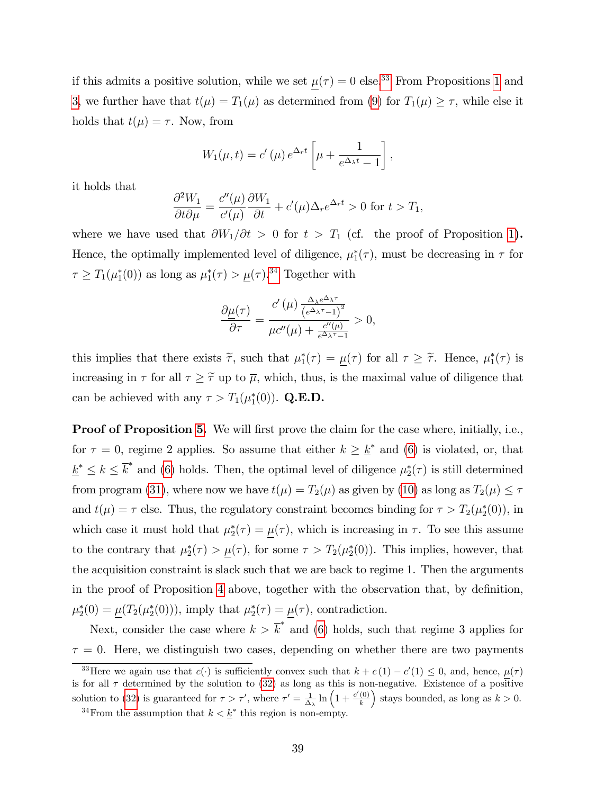if this admits a positive solution, while we set  $\underline{\mu}(\tau) = 0$  else.<sup>[33](#page-41-0)</sup> From Propositions [1](#page-12-4) and [3,](#page-19-3) we further have that  $t(\mu) = T_1(\mu)$  as determined from [\(9\)](#page-14-2) for  $T_1(\mu) \geq \tau$ , while else it holds that  $t(\mu) = \tau$ . Now, from

$$
W_1(\mu, t) = c'(\mu) e^{\Delta_r t} \left[ \mu + \frac{1}{e^{\Delta_\lambda t} - 1} \right],
$$

it holds that

$$
\frac{\partial^2 W_1}{\partial t \partial \mu} = \frac{c''(\mu)}{c'(\mu)} \frac{\partial W_1}{\partial t} + c'(\mu) \Delta_r e^{\Delta_r t} > 0 \text{ for } t > T_1,
$$

where we have used that  $\partial W_1/\partial t > 0$  for  $t > T_1$  (cf. the proof of Proposition [1](#page-12-4)). Hence, the optimally implemented level of diligence,  $\mu_1^*(\tau)$ , must be decreasing in  $\tau$  for  $\tau \geq T_1(\mu_1^*(0))$  as long as  $\mu_1^*(\tau) > \underline{\mu}(\tau).^{34}$  $\mu_1^*(\tau) > \underline{\mu}(\tau).^{34}$  $\mu_1^*(\tau) > \underline{\mu}(\tau).^{34}$  Together with

$$
\frac{\partial \underline{\mu}(\tau)}{\partial \tau} = \frac{c'(\mu) \frac{\Delta_{\lambda} e^{\Delta_{\lambda} \tau}}{(e^{\Delta_{\lambda} \tau} - 1)^2}}{\mu c''(\mu) + \frac{c''(\mu)}{e^{\Delta_{\lambda} \tau} - 1}} > 0,
$$

this implies that there exists  $\tilde{\tau}$ , such that  $\mu_1^*(\tau) = \underline{\mu}(\tau)$  for all  $\tau \geq \tilde{\tau}$ . Hence,  $\mu_1^*(\tau)$  is increasing in  $\tau$  for all  $\tau \geq \tilde{\tau}$  up to  $\overline{\mu}$ , which, thus, is the maximal value of diligence that can be achieved with any  $\tau > T_1(\mu_1^*(0))$ . Q.E.D.

**Proof of Proposition [5.](#page-23-1)** We will first prove the claim for the case where, initially, i.e., for  $\tau = 0$ , regime 2 applies. So assume that either  $k \geq \underline{k}^*$  and [\(6\)](#page-12-3) is violated, or, that  $\underline{k}^* \leq k \leq \overline{k}^*$  and [\(6\)](#page-12-3) holds. Then, the optimal level of diligence  $\mu_2^*(\tau)$  is still determined from program [\(31\)](#page-40-0), where now we have  $t(\mu) = T_2(\mu)$  as given by [\(10\)](#page-14-1) as long as  $T_2(\mu) \leq \tau$ and  $t(\mu) = \tau$  else. Thus, the regulatory constraint becomes binding for  $\tau > T_2(\mu_2^*(0))$ , in which case it must hold that  $\mu_2^*(\tau) = \mu(\tau)$ , which is increasing in  $\tau$ . To see this assume to the contrary that  $\mu_2^*(\tau) > \mu(\tau)$ , for some  $\tau > T_2(\mu_2^*(0))$ . This implies, however, that the acquisition constraint is slack such that we are back to regime 1. Then the arguments in the proof of Proposition [4](#page-22-0) above, together with the observation that, by definition,  $\mu_2^*(0) = \underline{\mu}(T_2(\mu_2^*(0))),$  imply that  $\mu_2^*(\tau) = \underline{\mu}(\tau)$ , contradiction.

Next, consider the case where  $k > \overline{k}^*$  and [\(6\)](#page-12-3) holds, such that regime 3 applies for  $\tau = 0$ . Here, we distinguish two cases, depending on whether there are two payments

<span id="page-41-0"></span><sup>&</sup>lt;sup>33</sup>Here we again use that  $c(\cdot)$  is sufficiently convex such that  $k + c(1) - c'(1) \leq 0$ , and, hence,  $\mu(\tau)$ is for all  $\tau$  determined by the solution to [\(32\)](#page-40-1) as long as this is non-negative. Existence of a positive solution to [\(32\)](#page-40-1) is guaranteed for  $\tau > \tau'$ , where  $\tau' = \frac{1}{\Delta_{\lambda}} \ln \left( 1 + \frac{c'(0)}{k} \right)$ k stays bounded, as long as  $k > 0$ .

<span id="page-41-1"></span><sup>&</sup>lt;sup>34</sup> From the assumption that  $k < \underline{k}^*$  this region is non-empty.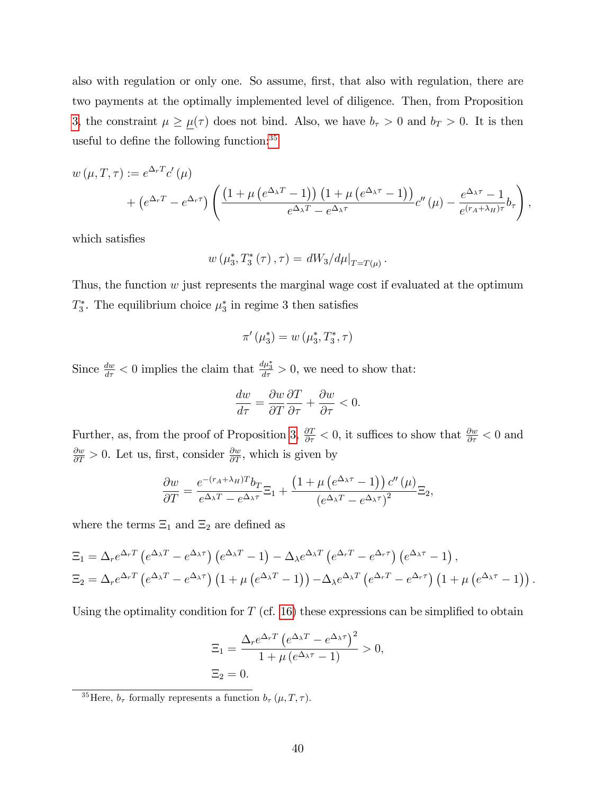also with regulation or only one. So assume, first, that also with regulation, there are two payments at the optimally implemented level of diligence. Then, from Proposition [3,](#page-19-3) the constraint  $\mu \geq \mu(\tau)$  does not bind. Also, we have  $b_{\tau} > 0$  and  $b_{T} > 0$ . It is then useful to define the following function: $35$ 

$$
w(\mu, T, \tau) := e^{\Delta_r T} c'(\mu)
$$
  
+ 
$$
(e^{\Delta_r T} - e^{\Delta_r \tau}) \left( \frac{\left(1 + \mu \left(e^{\Delta_\lambda T} - 1\right)\right) \left(1 + \mu \left(e^{\Delta_\lambda \tau} - 1\right)\right)}{e^{\Delta_\lambda T} - e^{\Delta_\lambda \tau}} c''(\mu) - \frac{e^{\Delta_\lambda \tau} - 1}{e^{\left(r_A + \lambda_H\right)\tau}} b_\tau \right),
$$

which satisfies

$$
w(\mu_3^*, T_3^*(\tau), \tau) = dW_3/d\mu|_{T=T(\mu)}.
$$

Thus, the function  $w$  just represents the marginal wage cost if evaluated at the optimum  $T_3^*$ . The equilibrium choice  $\mu_3^*$  in regime 3 then satisfies

$$
\pi'(\mu_3^*) = w(\mu_3^*, T_3^*, \tau)
$$

Since  $\frac{dw}{d\tau} < 0$  implies the claim that  $\frac{d\mu_3^*}{d\tau} > 0$ , we need to show that:

$$
\frac{dw}{d\tau} = \frac{\partial w}{\partial T}\frac{\partial T}{\partial \tau} + \frac{\partial w}{\partial \tau} < 0.
$$

Further, as, from the proof of Proposition [3,](#page-19-3)  $\frac{\partial T}{\partial \tau} < 0$ , it suffices to show that  $\frac{\partial w}{\partial \tau} < 0$  and  $\frac{\partial w}{\partial T} > 0$ . Let us, first, consider  $\frac{\partial w}{\partial T}$ , which is given by

$$
\frac{\partial w}{\partial T} = \frac{e^{-(r_A + \lambda_H)T} b_T}{e^{\Delta_{\lambda}T} - e^{\Delta_{\lambda}\tau}} \Xi_1 + \frac{\left(1 + \mu \left(e^{\Delta_{\lambda}\tau} - 1\right)\right) c''\left(\mu\right)}{\left(e^{\Delta_{\lambda}T} - e^{\Delta_{\lambda}\tau}\right)^2} \Xi_2,
$$

where the terms  $\Xi_1$  and  $\Xi_2$  are defined as

$$
\Xi_1 = \Delta_r e^{\Delta_r T} \left( e^{\Delta_\lambda T} - e^{\Delta_\lambda \tau} \right) \left( e^{\Delta_\lambda T} - 1 \right) - \Delta_\lambda e^{\Delta_\lambda T} \left( e^{\Delta_r T} - e^{\Delta_r \tau} \right) \left( e^{\Delta_\lambda \tau} - 1 \right),
$$
\n
$$
\Xi_2 = \Delta_r e^{\Delta_r T} \left( e^{\Delta_\lambda T} - e^{\Delta_\lambda \tau} \right) \left( 1 + \mu \left( e^{\Delta_\lambda T} - 1 \right) \right) - \Delta_\lambda e^{\Delta_\lambda T} \left( e^{\Delta_r T} - e^{\Delta_r \tau} \right) \left( 1 + \mu \left( e^{\Delta_\lambda \tau} - 1 \right) \right).
$$

Using the optimality condition for  $T$  (cf. [16\)](#page-21-2) these expressions can be simplified to obtain

$$
\Xi_1 = \frac{\Delta_r e^{\Delta_r T} \left( e^{\Delta_\lambda T} - e^{\Delta_\lambda \tau} \right)^2}{1 + \mu \left( e^{\Delta_\lambda \tau} - 1 \right)} > 0,
$$
  

$$
\Xi_2 = 0.
$$

<span id="page-42-0"></span><sup>&</sup>lt;sup>35</sup>Here,  $b_{\tau}$  formally represents a function  $b_{\tau}(\mu, T, \tau)$ .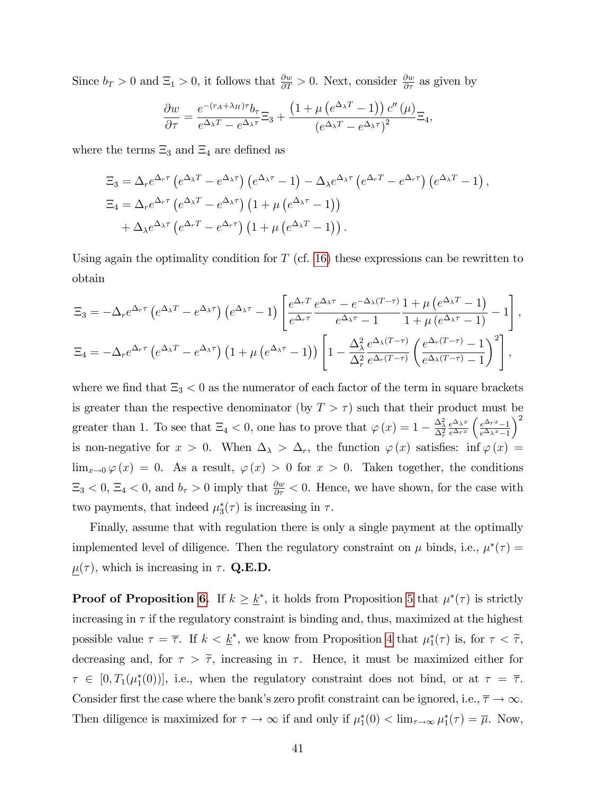Since  $b_T > 0$  and  $\Xi_1 > 0$ , it follows that  $\frac{\partial w}{\partial T} > 0$ . Next, consider  $\frac{\partial w}{\partial T}$  as given by

$$
\frac{\partial w}{\partial \tau} = \frac{e^{-(r_A + \lambda_H)\tau} b_\tau}{e^{\Delta_\lambda T} - e^{\Delta_\lambda \tau}} \Xi_3 + \frac{\left(1 + \mu \left(e^{\Delta_\lambda T} - 1\right)\right) c''(\mu)}{\left(e^{\Delta_\lambda T} - e^{\Delta_\lambda \tau}\right)^2} \Xi_4,
$$

where the terms  $\Xi_3$  and  $\Xi_4$  are defined as

$$
\begin{split} \Xi_{3} &= \Delta_{r} e^{\Delta_{r}\tau} \left( e^{\Delta_{\lambda}T} - e^{\Delta_{\lambda}\tau} \right) \left( e^{\Delta_{\lambda}\tau} - 1 \right) - \Delta_{\lambda} e^{\Delta_{\lambda}\tau} \left( e^{\Delta_{r}T} - e^{\Delta_{r}\tau} \right) \left( e^{\Delta_{\lambda}T} - 1 \right), \\ \Xi_{4} &= \Delta_{r} e^{\Delta_{r}\tau} \left( e^{\Delta_{\lambda}T} - e^{\Delta_{\lambda}\tau} \right) \left( 1 + \mu \left( e^{\Delta_{\lambda}\tau} - 1 \right) \right) \\ &+ \Delta_{\lambda} e^{\Delta_{\lambda}\tau} \left( e^{\Delta_{r}T} - e^{\Delta_{r}\tau} \right) \left( 1 + \mu \left( e^{\Delta_{\lambda}T} - 1 \right) \right). \end{split}
$$

Using again the optimality condition for  $T$  (cf. [16\)](#page-21-2) these expressions can be rewritten to obtain

$$
\Xi_3 = -\Delta_r e^{\Delta_r \tau} \left( e^{\Delta_\lambda T} - e^{\Delta_\lambda \tau} \right) \left( e^{\Delta_\lambda \tau} - 1 \right) \left[ \frac{e^{\Delta_r T}}{e^{\Delta_r \tau}} \frac{e^{\Delta_\lambda \tau} - e^{-\Delta_\lambda (T - \tau)}}{e^{\Delta_\lambda \tau} - 1} \frac{1 + \mu \left( e^{\Delta_\lambda T} - 1 \right)}{1 + \mu \left( e^{\Delta_\lambda \tau} - 1 \right)} - 1 \right],
$$
\n
$$
\Xi_4 = -\Delta_r e^{\Delta_r \tau} \left( e^{\Delta_\lambda T} - e^{\Delta_\lambda \tau} \right) \left( 1 + \mu \left( e^{\Delta_\lambda \tau} - 1 \right) \right) \left[ 1 - \frac{\Delta_\lambda^2}{\Delta_r^2} \frac{e^{\Delta_\lambda (T - \tau)}}{e^{\Delta_r (T - \tau)}} \left( \frac{e^{\Delta_r (T - \tau)} - 1}{e^{\Delta_\lambda (T - \tau)} - 1} \right)^2 \right],
$$

where we find that  $\Xi_3 < 0$  as the numerator of each factor of the term in square brackets is greater than the respective denominator (by  $T > \tau$ ) such that their product must be greater than 1. To see that  $\Xi_4 < 0$ , one has to prove that  $\varphi(x) = 1 - \frac{\Delta_{\lambda}^2}{\Delta_r^2}$  $e^{\Delta_{\lambda} x}$  $e^{\Delta_r x}$  $\left(\frac{e^{\Delta_r x}-1}{2}\right)$  $e^{\Delta_{\lambda}x}-1$  $\setminus^2$ is non-negative for  $x > 0$ . When  $\Delta_{\lambda} > \Delta_r$ , the function  $\varphi(x)$  satisfies: inf  $\varphi(x)$  =  $\lim_{x\to 0} \varphi(x) = 0$ . As a result,  $\varphi(x) > 0$  for  $x > 0$ . Taken together, the conditions  $\Xi_3 < 0$ ,  $\Xi_4 < 0$ , and  $b_\tau > 0$  imply that  $\frac{\partial w}{\partial \tau} < 0$ . Hence, we have shown, for the case with two payments, that indeed  $\mu_3^*(\tau)$  is increasing in  $\tau$ .

Finally, assume that with regulation there is only a single payment at the optimally implemented level of diligence. Then the regulatory constraint on  $\mu$  binds, i.e.,  $\mu^*(\tau) =$  $\underline{\mu}(\tau)$ , which is increasing in  $\tau$ . Q.E.D.

**Proof of Proposition [6.](#page-24-1)** If  $k \geq \underline{k}^*$ , it holds from Proposition [5](#page-23-1) that  $\mu^*(\tau)$  is strictly increasing in  $\tau$  if the regulatory constraint is binding and, thus, maximized at the highest possible value  $\tau = \overline{\tau}$ . If  $k < \underline{k}^*$ , we know from Proposition [4](#page-22-0) that  $\mu_1^*(\tau)$  is, for  $\tau < \tilde{\tau}$ , decreasing and, for  $\tau > \tilde{\tau}$ , increasing in  $\tau$ . Hence, it must be maximized either for  $\tau \in [0, T_1(\mu_1^*(0))]$ , i.e., when the regulatory constraint does not bind, or at  $\tau = \overline{\tau}$ . Consider first the case where the bank's zero profit constraint can be ignored, i.e.,  $\overline{\tau} \to \infty$ . Then diligence is maximized for  $\tau \to \infty$  if and only if  $\mu_1^*(0) < \lim_{\tau \to \infty} \mu_1^*(\tau) = \overline{\mu}$ . Now,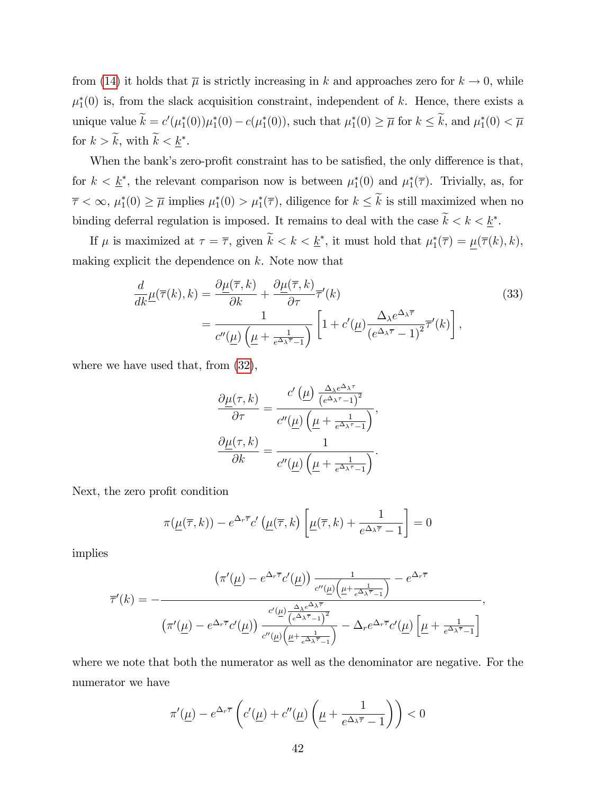from [\(14\)](#page-19-1) it holds that  $\overline{\mu}$  is strictly increasing in k and approaches zero for  $k \to 0$ , while  $\mu_1^*(0)$  is, from the slack acquisition constraint, independent of k. Hence, there exists a unique value  $k = c'(\mu_1^*(0))\mu_1^*(0) - c(\mu_1^*(0))$ , such that  $\mu_1^*(0) \geq \overline{\mu}$  for  $k \leq k$ , and  $\mu_1^*(0) < \overline{\mu}$ for  $k > k$ , with  $k < \underline{k}^*$ .

When the bank's zero-profit constraint has to be satisfied, the only difference is that, for  $k < \underline{k}^*$ , the relevant comparison now is between  $\mu_1^*(0)$  and  $\mu_1^*(\overline{\tau})$ . Trivially, as, for  $\overline{\tau} < \infty$ ,  $\mu_1^*(0) \ge \overline{\mu}$  implies  $\mu_1^*(0) > \mu_1^*(\overline{\tau})$ , diligence for  $k \le k$  is still maximized when no binding deferral regulation is imposed. It remains to deal with the case  $k < k < \underline{k}^*$ .

If  $\mu$  is maximized at  $\tau = \overline{\tau}$ , given  $k < k < \underline{k}^*$ , it must hold that  $\mu_1^*(\overline{\tau}) = \underline{\mu}(\overline{\tau}(k), k)$ , making explicit the dependence on  $k$ . Note now that

$$
\frac{d}{dk}\underline{\mu}(\overline{\tau}(k),k) = \frac{\partial \underline{\mu}(\overline{\tau},k)}{\partial k} + \frac{\partial \underline{\mu}(\overline{\tau},k)}{\partial \tau}\overline{\tau}'(k) \n= \frac{1}{c''(\underline{\mu})\left(\underline{\mu} + \frac{1}{e^{\Delta_{\lambda}\overline{\tau}}-1}\right)} \left[1 + c'(\underline{\mu})\frac{\Delta_{\lambda}e^{\Delta_{\lambda}\overline{\tau}}}{\left(e^{\Delta_{\lambda}\overline{\tau}}-1\right)^{2}}\overline{\tau}'(k)\right],
$$
\n(33)

where we have used that, from [\(32\)](#page-40-1),

<span id="page-44-0"></span>
$$
\frac{\partial \underline{\mu}(\tau, k)}{\partial \tau} = \frac{c' \left(\underline{\mu}\right) \frac{\Delta_{\lambda} e^{\Delta_{\lambda} \tau}}{\left(e^{\Delta_{\lambda} \tau} - 1\right)^2}}{c''(\underline{\mu}) \left(\underline{\mu} + \frac{1}{e^{\Delta_{\lambda} \tau} - 1}\right)},
$$

$$
\frac{\partial \underline{\mu}(\tau, k)}{\partial k} = \frac{1}{c''(\underline{\mu}) \left(\underline{\mu} + \frac{1}{e^{\Delta_{\lambda} \tau} - 1}\right)}.
$$

Next, the zero profit condition

$$
\pi(\underline{\mu}(\overline{\tau},k)) - e^{\Delta_r \overline{\tau}} c'(\underline{\mu}(\overline{\tau},k) \left[ \underline{\mu}(\overline{\tau},k) + \frac{1}{e^{\Delta_\lambda \overline{\tau}} - 1} \right] = 0
$$

implies

$$
\overline{\tau}'(k) = -\frac{\left(\pi'(\underline{\mu}) - e^{\Delta_r \overline{\tau}} c'(\underline{\mu})\right) \frac{1}{c''(\underline{\mu})\left(\underline{\mu} + \frac{1}{e^{\Delta_\lambda \overline{\tau}} - 1}\right)} - e^{\Delta_r \overline{\tau}}}{\left(\pi'(\underline{\mu}) - e^{\Delta_r \overline{\tau}} c'(\underline{\mu})\right) \frac{\frac{\Delta_\lambda e^{\Delta_\lambda \overline{\tau}}}{(e^{\Delta_\lambda \overline{\tau}} - 1)^2}}{c''(\underline{\mu})\left(\underline{\mu} + \frac{1}{e^{\Delta_\lambda \overline{\tau}} - 1}\right)} - \Delta_r e^{\Delta_r \overline{\tau}} c'(\underline{\mu}) \left[\underline{\mu} + \frac{1}{e^{\Delta_\lambda \overline{\tau}} - 1}\right]}
$$

where we note that both the numerator as well as the denominator are negative. For the numerator we have

$$
\pi'(\underline{\mu}) - e^{\Delta_r \overline{\tau}} \left( c'(\underline{\mu}) + c''(\underline{\mu}) \left( \underline{\mu} + \frac{1}{e^{\Delta_\lambda \overline{\tau}} - 1} \right) \right) < 0
$$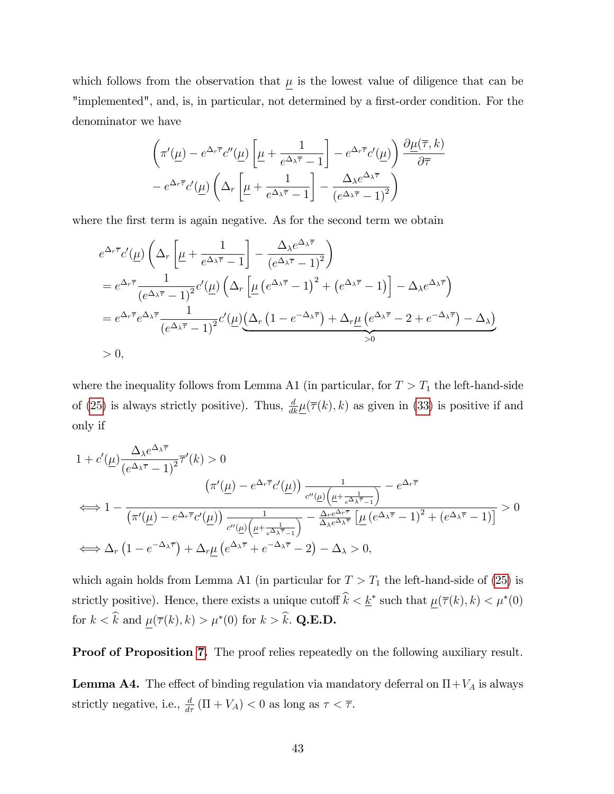which follows from the observation that  $\mu$  is the lowest value of diligence that can be "implemented", and, is, in particular, not determined by a first-order condition. For the denominator we have

$$
\left(\pi'(\underline{\mu}) - e^{\Delta_r \overline{\tau}} c''(\underline{\mu}) \left[\underline{\mu} + \frac{1}{e^{\Delta_\lambda \overline{\tau}} - 1}\right] - e^{\Delta_r \overline{\tau}} c'(\underline{\mu})\right) \frac{\partial \underline{\mu}(\overline{\tau}, k)}{\partial \overline{\tau}} - e^{\Delta_r \overline{\tau}} c'(\underline{\mu}) \left(\Delta_r \left[\underline{\mu} + \frac{1}{e^{\Delta_\lambda \overline{\tau}} - 1}\right] - \frac{\Delta_\lambda e^{\Delta_\lambda \overline{\tau}}}{\left(e^{\Delta_\lambda \overline{\tau}} - 1\right)^2}\right)
$$

where the first term is again negative. As for the second term we obtain

$$
e^{\Delta_r \overline{\tau}} c'(\underline{\mu}) \left( \Delta_r \left[ \underline{\mu} + \frac{1}{e^{\Delta_\lambda \overline{\tau}} - 1} \right] - \frac{\Delta_\lambda e^{\Delta_\lambda \overline{\tau}}}{(e^{\Delta_\lambda \overline{\tau}} - 1)^2} \right)
$$
  
\n
$$
= e^{\Delta_r \overline{\tau}} \frac{1}{(e^{\Delta_\lambda \overline{\tau}} - 1)^2} c'(\underline{\mu}) \left( \Delta_r \left[ \underline{\mu} \left( e^{\Delta_\lambda \overline{\tau}} - 1 \right)^2 + \left( e^{\Delta_\lambda \overline{\tau}} - 1 \right) \right] - \Delta_\lambda e^{\Delta_\lambda \overline{\tau}} \right)
$$
  
\n
$$
= e^{\Delta_r \overline{\tau}} e^{\Delta_\lambda \overline{\tau}} \frac{1}{(e^{\Delta_\lambda \overline{\tau}} - 1)^2} c'(\underline{\mu}) \underbrace{(\Delta_r \left( 1 - e^{-\Delta_\lambda \overline{\tau}} \right) + \Delta_r \underline{\mu} \left( e^{\Delta_\lambda \overline{\tau}} - 2 + e^{-\Delta_\lambda \overline{\tau}} \right) - \Delta_\lambda)}_{>0}
$$
  
\n
$$
> 0,
$$

where the inequality follows from Lemma A1 (in particular, for  $T > T_1$  the left-hand-side of [\(25\)](#page-35-0) is always strictly positive). Thus,  $\frac{d}{dk}\underline{\mu}(\overline{\tau}(k),k)$  as given in [\(33\)](#page-44-0) is positive if and only if

$$
1 + c'(\underline{\mu}) \frac{\Delta_{\lambda} e^{\Delta_{\lambda} \overline{\tau}}}{(e^{\Delta_{\lambda} \overline{\tau}} - 1)^2} \overline{\tau}'(k) > 0
$$

$$
(\pi'(\underline{\mu}) - e^{\Delta_r \overline{\tau}} c'(\underline{\mu})) \frac{1}{c''(\underline{\mu}) \left(\underline{\mu} + \frac{1}{e^{\Delta_{\lambda} \overline{\tau}} - 1}\right)} - e^{\Delta_r \overline{\tau}}
$$

$$
\iff 1 - \frac{1}{(\pi'(\underline{\mu}) - e^{\Delta_r \overline{\tau}} c'(\underline{\mu})) \frac{1}{c''(\underline{\mu}) \left(\underline{\mu} + \frac{1}{e^{\Delta_{\lambda} \overline{\tau}} - 1}\right)} - \frac{\Delta_r e^{\Delta_r \overline{\tau}}}{\Delta_{\lambda} e^{\Delta_{\lambda} \overline{\tau}}} \left[\underline{\mu} \left(e^{\Delta_{\lambda} \overline{\tau}} - 1\right)^2 + \left(e^{\Delta_{\lambda} \overline{\tau}} - 1\right)\right]} > 0
$$

$$
\iff \Delta_r \left(1 - e^{-\Delta_{\lambda} \overline{\tau}}\right) + \Delta_r \underline{\mu} \left(e^{\Delta_{\lambda} \overline{\tau}} + e^{-\Delta_{\lambda} \overline{\tau}} - 2\right) - \Delta_{\lambda} > 0,
$$

which again holds from Lemma A1 (in particular for  $T > T_1$  the left-hand-side of [\(25\)](#page-35-0) is strictly positive). Hence, there exists a unique cutoff  $k < \underline{k}^*$  such that  $\underline{\mu}(\overline{\tau}(k), k) < \mu^*(0)$ for  $k < k$  and  $\mu(\overline{\tau}(k), k) > \mu^*(0)$  for  $k > k$ . Q.E.D.

Proof of Proposition [7.](#page-27-1) The proof relies repeatedly on the following auxiliary result.

**Lemma A4.** The effect of binding regulation via mandatory deferral on  $\Pi + V_A$  is always strictly negative, i.e.,  $\frac{d}{d\tau}(\Pi + V_A) < 0$  as long as  $\tau < \overline{\tau}$ .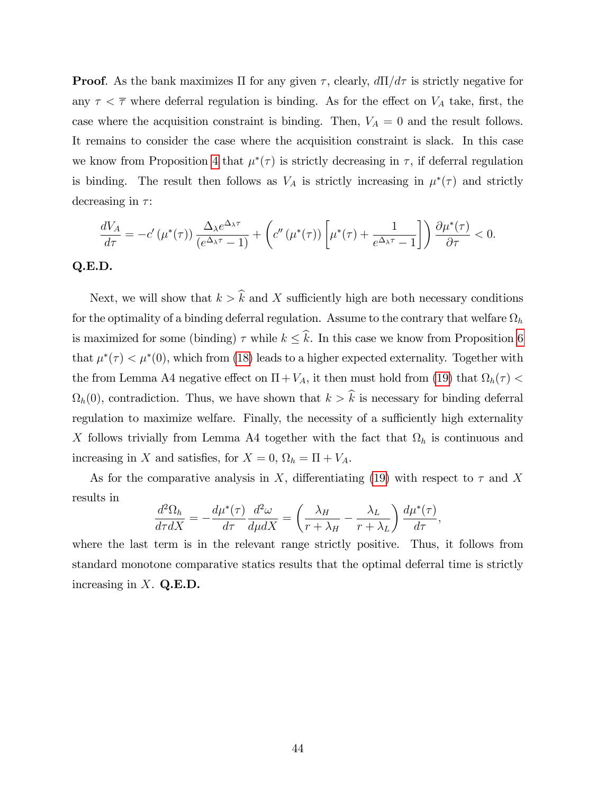**Proof.** As the bank maximizes  $\Pi$  for any given  $\tau$ , clearly,  $d\Pi/d\tau$  is strictly negative for any  $\tau < \overline{\tau}$  where deferral regulation is binding. As for the effect on  $V_A$  take, first, the case where the acquisition constraint is binding. Then,  $V_A = 0$  and the result follows. It remains to consider the case where the acquisition constraint is slack. In this case we know from Proposition [4](#page-22-0) that  $\mu^*(\tau)$  is strictly decreasing in  $\tau$ , if deferral regulation is binding. The result then follows as  $V_A$  is strictly increasing in  $\mu^*(\tau)$  and strictly decreasing in  $\tau$ :

$$
\frac{dV_A}{d\tau} = -c'\left(\mu^*(\tau)\right) \frac{\Delta_{\lambda} e^{\Delta_{\lambda}\tau}}{\left(e^{\Delta_{\lambda}\tau} - 1\right)} + \left(c''\left(\mu^*(\tau)\right) \left[\mu^*(\tau) + \frac{1}{e^{\Delta_{\lambda}\tau} - 1}\right]\right) \frac{\partial \mu^*(\tau)}{\partial \tau} < 0.
$$

#### Q.E.D.

Next, we will show that  $k > \hat{k}$  and X sufficiently high are both necessary conditions for the optimality of a binding deferral regulation. Assume to the contrary that welfare  $\Omega_h$ is maximized for some (binding)  $\tau$  while  $k \leq \hat{k}$ . In this case we know from Proposition [6](#page-24-1) that  $\mu^*(\tau) < \mu^*(0)$ , which from [\(18\)](#page-26-0) leads to a higher expected externality. Together with the from Lemma A4 negative effect on  $\Pi + V_A$ , it then must hold from [\(19\)](#page-26-1) that  $\Omega_h(\tau)$  <  $\Omega_h(0)$ , contradiction. Thus, we have shown that  $k > k$  is necessary for binding deferral regulation to maximize welfare. Finally, the necessity of a sufficiently high externality X follows trivially from Lemma A4 together with the fact that  $\Omega_h$  is continuous and increasing in X and satisfies, for  $X = 0$ ,  $\Omega_h = \Pi + V_A$ .

As for the comparative analysis in X, differentiating [\(19\)](#page-26-1) with respect to  $\tau$  and X results in

$$
\frac{d^2\Omega_h}{d\tau dX} = -\frac{d\mu^*(\tau)}{d\tau}\frac{d^2\omega}{d\mu dX} = \left(\frac{\lambda_H}{r + \lambda_H} - \frac{\lambda_L}{r + \lambda_L}\right)\frac{d\mu^*(\tau)}{d\tau},
$$

where the last term is in the relevant range strictly positive. Thus, it follows from standard monotone comparative statics results that the optimal deferral time is strictly increasing in  $X$ . Q.E.D.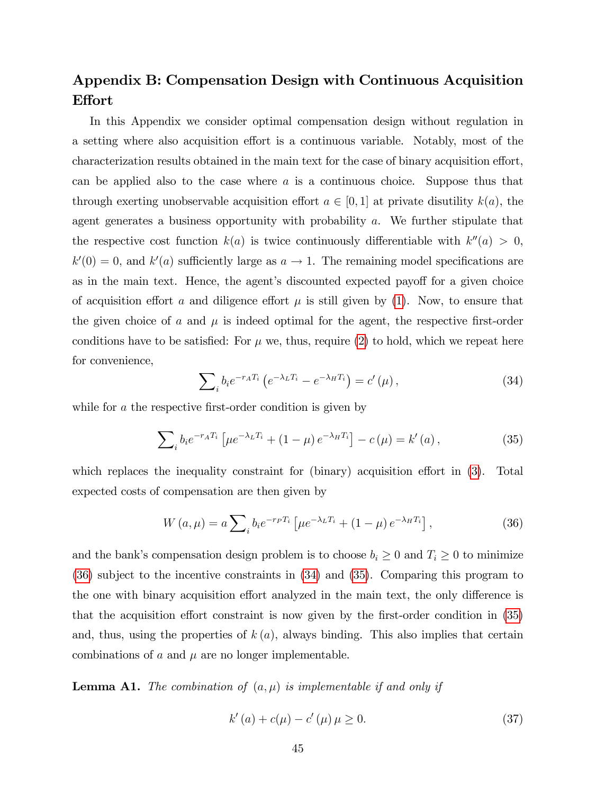# Appendix B: Compensation Design with Continuous Acquisition **Effort**

In this Appendix we consider optimal compensation design without regulation in a setting where also acquisition effort is a continuous variable. Notably, most of the characterization results obtained in the main text for the case of binary acquisition effort, can be applied also to the case where  $a$  is a continuous choice. Suppose thus that through exerting unobservable acquisition effort  $a \in [0, 1]$  at private disutility  $k(a)$ , the agent generates a business opportunity with probability a. We further stipulate that the respective cost function  $k(a)$  is twice continuously differentiable with  $k''(a) > 0$ ,  $k'(0) = 0$ , and  $k'(a)$  sufficiently large as  $a \to 1$ . The remaining model specifications are as in the main text. Hence, the agent's discounted expected payoff for a given choice of acquisition effort a and diligence effort  $\mu$  is still given by [\(1\)](#page-11-3). Now, to ensure that the given choice of a and  $\mu$  is indeed optimal for the agent, the respective first-order conditions have to be satisfied: For  $\mu$  we, thus, require [\(2\)](#page-11-1) to hold, which we repeat here for convenience,

<span id="page-47-1"></span>
$$
\sum_{i} b_{i} e^{-r_{A}T_{i}} \left( e^{-\lambda_{L}T_{i}} - e^{-\lambda_{H}T_{i}} \right) = c'(\mu), \qquad (34)
$$

while for  $a$  the respective first-order condition is given by

<span id="page-47-2"></span>
$$
\sum_{i} b_{i} e^{-r_{A} T_{i}} \left[ \mu e^{-\lambda_{L} T_{i}} + (1 - \mu) e^{-\lambda_{H} T_{i}} \right] - c \left( \mu \right) = k' \left( a \right), \tag{35}
$$

which replaces the inequality constraint for (binary) acquisition effort in  $(3)$ . Total expected costs of compensation are then given by

<span id="page-47-0"></span>
$$
W(a,\mu) = a \sum_{i} b_{i} e^{-r_{i} T_{i}} \left[ \mu e^{-\lambda_{L} T_{i}} + (1 - \mu) e^{-\lambda_{H} T_{i}} \right],
$$
\n(36)

and the bank's compensation design problem is to choose  $b_i \geq 0$  and  $T_i \geq 0$  to minimize [\(36\)](#page-47-0) subject to the incentive constraints in [\(34\)](#page-47-1) and [\(35\)](#page-47-2). Comparing this program to the one with binary acquisition effort analyzed in the main text, the only difference is that the acquisition effort constraint is now given by the first-order condition in  $(35)$ and, thus, using the properties of  $k(a)$ , always binding. This also implies that certain combinations of  $\alpha$  and  $\mu$  are no longer implementable.

**Lemma A1.** The combination of  $(a, \mu)$  is implementable if and only if

<span id="page-47-3"></span>
$$
k'(a) + c(\mu) - c'(\mu)\mu \ge 0.
$$
 (37)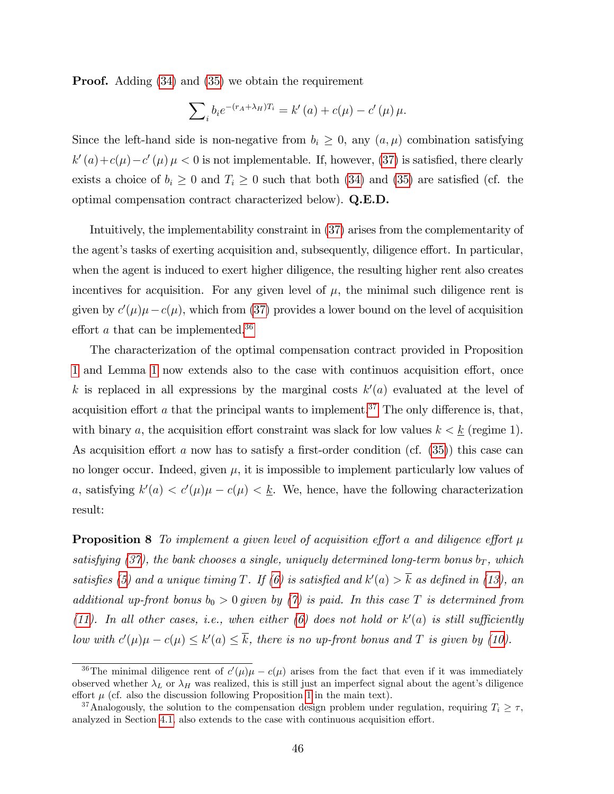**Proof.** Adding [\(34\)](#page-47-1) and [\(35\)](#page-47-2) we obtain the requirement

$$
\sum_{i} b_{i} e^{-(r_{A} + \lambda_{H})T_{i}} = k'(a) + c(\mu) - c'(\mu)\mu.
$$

Since the left-hand side is non-negative from  $b_i \geq 0$ , any  $(a, \mu)$  combination satisfying  $k'(a) + c(\mu) - c'(\mu) \mu < 0$  is not implementable. If, however, [\(37\)](#page-47-3) is satisfied, there clearly exists a choice of  $b_i \geq 0$  and  $T_i \geq 0$  such that both [\(34\)](#page-47-1) and [\(35\)](#page-47-2) are satisfied (cf. the optimal compensation contract characterized below). Q.E.D.

Intuitively, the implementability constraint in [\(37\)](#page-47-3) arises from the complementarity of the agent's tasks of exerting acquisition and, subsequently, diligence effort. In particular, when the agent is induced to exert higher diligence, the resulting higher rent also creates incentives for acquisition. For any given level of  $\mu$ , the minimal such diligence rent is given by  $c'(\mu)\mu - c(\mu)$ , which from [\(37\)](#page-47-3) provides a lower bound on the level of acquisition effort  $a$  that can be implemented.<sup>[36](#page-48-0)</sup>

The characterization of the optimal compensation contract provided in Proposition [1](#page-12-4) and Lemma [1](#page-14-0) now extends also to the case with continuos acquisition effort, once k is replaced in all expressions by the marginal costs  $k'(a)$  evaluated at the level of acquisition effort a that the principal wants to implement.<sup>[37](#page-48-1)</sup> The only difference is, that, with binary a, the acquisition effort constraint was slack for low values  $k < k$  (regime 1). As acquisition effort a now has to satisfy a first-order condition (cf.  $(35)$ ) this case can no longer occur. Indeed, given  $\mu$ , it is impossible to implement particularly low values of a, satisfying  $k'(a) < c'(\mu)\mu - c(\mu) < \underline{k}$ . We, hence, have the following characterization result:

**Proposition 8** To implement a given level of acquisition effort a and diligence effort  $\mu$ satisfying [\(37\)](#page-47-3), the bank chooses a single, uniquely determined long-term bonus  $b_T$ , which satisfies [\(5\)](#page-12-1) and a unique timing T. If [\(6\)](#page-12-3) is satisfied and  $k'(a) > k$  as defined in [\(13\)](#page-15-3), an additional up-front bonus  $b_0 > 0$  given by [\(7\)](#page-12-2) is paid. In this case T is determined from [\(11\)](#page-15-2). In all other cases, i.e., when either [\(6\)](#page-12-3) does not hold or  $k'(a)$  is still sufficiently low with  $c'(\mu)\mu - c(\mu) \leq k'(a) \leq k$ , there is no up-front bonus and T is given by [\(10\)](#page-14-1).

<span id="page-48-0"></span><sup>&</sup>lt;sup>36</sup>The minimal diligence rent of  $c'(\mu)\mu - c(\mu)$  arises from the fact that even if it was immediately observed whether  $\lambda_L$  or  $\lambda_H$  was realized, this is still just an imperfect signal about the agent's diligence effort  $\mu$  (cf. also the discussion following Proposition [1](#page-12-4) in the main text).

<span id="page-48-1"></span><sup>&</sup>lt;sup>37</sup>Analogously, the solution to the compensation design problem under regulation, requiring  $T_i \geq \tau$ , analyzed in Section [4.1,](#page-18-0) also extends to the case with continuous acquisition effort.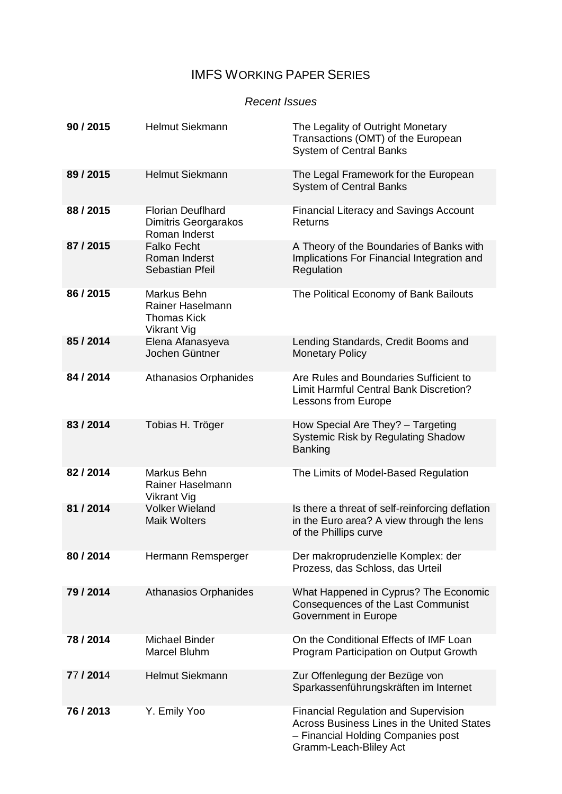# IMFS WORKING PAPER SERIES

### *Recent Issues*

| 90/2015   | <b>Helmut Siekmann</b>                                                      | The Legality of Outright Monetary<br>Transactions (OMT) of the European<br><b>System of Central Banks</b>                                                        |
|-----------|-----------------------------------------------------------------------------|------------------------------------------------------------------------------------------------------------------------------------------------------------------|
| 89/2015   | <b>Helmut Siekmann</b>                                                      | The Legal Framework for the European<br><b>System of Central Banks</b>                                                                                           |
| 88/2015   | <b>Florian Deuflhard</b><br><b>Dimitris Georgarakos</b><br>Roman Inderst    | <b>Financial Literacy and Savings Account</b><br>Returns                                                                                                         |
| 87/2015   | <b>Falko Fecht</b><br>Roman Inderst<br>Sebastian Pfeil                      | A Theory of the Boundaries of Banks with<br>Implications For Financial Integration and<br>Regulation                                                             |
| 86 / 2015 | Markus Behn<br>Rainer Haselmann<br><b>Thomas Kick</b><br><b>Vikrant Vig</b> | The Political Economy of Bank Bailouts                                                                                                                           |
| 85/2014   | Elena Afanasyeva<br>Jochen Güntner                                          | Lending Standards, Credit Booms and<br><b>Monetary Policy</b>                                                                                                    |
| 84 / 2014 | <b>Athanasios Orphanides</b>                                                | Are Rules and Boundaries Sufficient to<br><b>Limit Harmful Central Bank Discretion?</b><br>Lessons from Europe                                                   |
| 83/2014   | Tobias H. Tröger                                                            | How Special Are They? - Targeting<br>Systemic Risk by Regulating Shadow<br><b>Banking</b>                                                                        |
| 82/2014   | Markus Behn<br>Rainer Haselmann<br>Vikrant Vig                              | The Limits of Model-Based Regulation                                                                                                                             |
| 81 / 2014 | <b>Volker Wieland</b><br><b>Maik Wolters</b>                                | Is there a threat of self-reinforcing deflation<br>in the Euro area? A view through the lens<br>of the Phillips curve                                            |
| 80/2014   | Hermann Remsperger                                                          | Der makroprudenzielle Komplex: der<br>Prozess, das Schloss, das Urteil                                                                                           |
| 79/2014   | <b>Athanasios Orphanides</b>                                                | What Happened in Cyprus? The Economic<br>Consequences of the Last Communist<br>Government in Europe                                                              |
| 78/2014   | <b>Michael Binder</b><br><b>Marcel Bluhm</b>                                | On the Conditional Effects of IMF Loan<br>Program Participation on Output Growth                                                                                 |
| 77 / 2014 | <b>Helmut Siekmann</b>                                                      | Zur Offenlegung der Bezüge von<br>Sparkassenführungskräften im Internet                                                                                          |
| 76/2013   | Y. Emily Yoo                                                                | <b>Financial Regulation and Supervision</b><br><b>Across Business Lines in the United States</b><br>- Financial Holding Companies post<br>Gramm-Leach-Bliley Act |